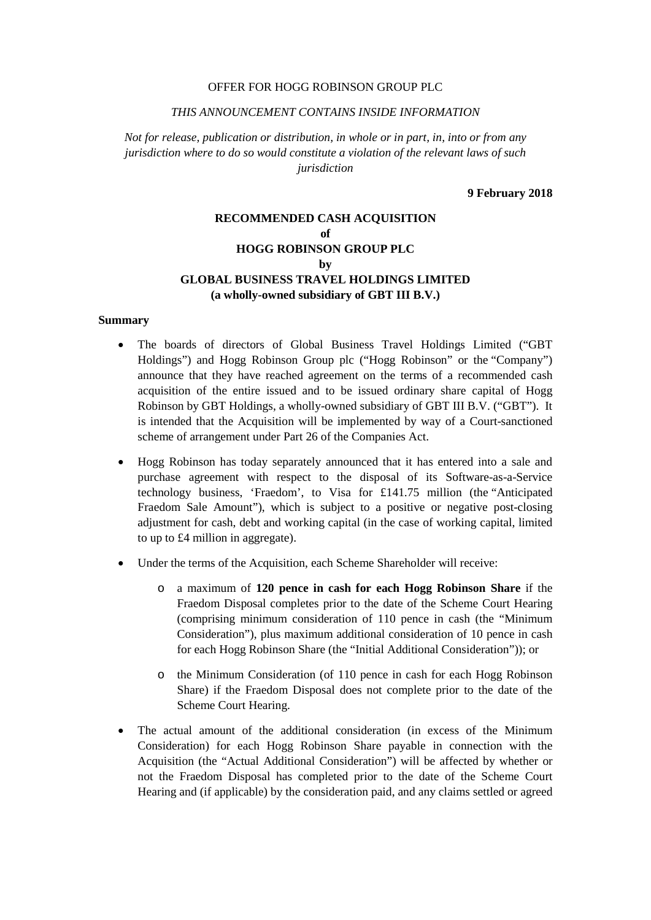#### OFFER FOR HOGG ROBINSON GROUP PLC

#### *THIS ANNOUNCEMENT CONTAINS INSIDE INFORMATION*

*Not for release, publication or distribution, in whole or in part, in, into or from any jurisdiction where to do so would constitute a violation of the relevant laws of such jurisdiction* 

**9 February 2018** 

# **RECOMMENDED CASH ACQUISITION of HOGG ROBINSON GROUP PLC**   $\mathbf{h}\mathbf{v}$ **GLOBAL BUSINESS TRAVEL HOLDINGS LIMITED (a wholly-owned subsidiary of GBT III B.V.)**

#### **Summary**

- The boards of directors of Global Business Travel Holdings Limited ("GBT Holdings") and Hogg Robinson Group plc ("Hogg Robinson" or the "Company") announce that they have reached agreement on the terms of a recommended cash acquisition of the entire issued and to be issued ordinary share capital of Hogg Robinson by GBT Holdings, a wholly-owned subsidiary of GBT III B.V. ("GBT"). It is intended that the Acquisition will be implemented by way of a Court-sanctioned scheme of arrangement under Part 26 of the Companies Act.
- Hogg Robinson has today separately announced that it has entered into a sale and purchase agreement with respect to the disposal of its Software-as-a-Service technology business, 'Fraedom', to Visa for £141.75 million (the "Anticipated Fraedom Sale Amount"), which is subject to a positive or negative post-closing adjustment for cash, debt and working capital (in the case of working capital, limited to up to £4 million in aggregate).
- Under the terms of the Acquisition, each Scheme Shareholder will receive:
	- o a maximum of **120 pence in cash for each Hogg Robinson Share** if the Fraedom Disposal completes prior to the date of the Scheme Court Hearing (comprising minimum consideration of 110 pence in cash (the "Minimum Consideration"), plus maximum additional consideration of 10 pence in cash for each Hogg Robinson Share (the "Initial Additional Consideration")); or
	- o the Minimum Consideration (of 110 pence in cash for each Hogg Robinson Share) if the Fraedom Disposal does not complete prior to the date of the Scheme Court Hearing.
- The actual amount of the additional consideration (in excess of the Minimum Consideration) for each Hogg Robinson Share payable in connection with the Acquisition (the "Actual Additional Consideration") will be affected by whether or not the Fraedom Disposal has completed prior to the date of the Scheme Court Hearing and (if applicable) by the consideration paid, and any claims settled or agreed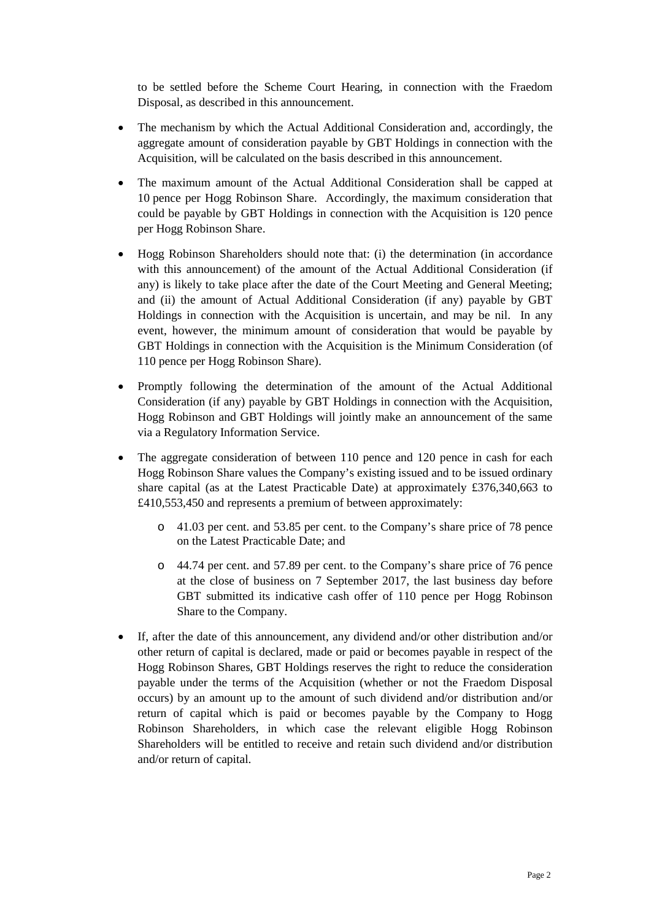to be settled before the Scheme Court Hearing, in connection with the Fraedom Disposal, as described in this announcement.

- The mechanism by which the Actual Additional Consideration and, accordingly, the aggregate amount of consideration payable by GBT Holdings in connection with the Acquisition, will be calculated on the basis described in this announcement.
- The maximum amount of the Actual Additional Consideration shall be capped at 10 pence per Hogg Robinson Share. Accordingly, the maximum consideration that could be payable by GBT Holdings in connection with the Acquisition is 120 pence per Hogg Robinson Share.
- Hogg Robinson Shareholders should note that: (i) the determination (in accordance with this announcement) of the amount of the Actual Additional Consideration (if any) is likely to take place after the date of the Court Meeting and General Meeting; and (ii) the amount of Actual Additional Consideration (if any) payable by GBT Holdings in connection with the Acquisition is uncertain, and may be nil. In any event, however, the minimum amount of consideration that would be payable by GBT Holdings in connection with the Acquisition is the Minimum Consideration (of 110 pence per Hogg Robinson Share).
- Promptly following the determination of the amount of the Actual Additional Consideration (if any) payable by GBT Holdings in connection with the Acquisition, Hogg Robinson and GBT Holdings will jointly make an announcement of the same via a Regulatory Information Service.
- The aggregate consideration of between 110 pence and 120 pence in cash for each Hogg Robinson Share values the Company's existing issued and to be issued ordinary share capital (as at the Latest Practicable Date) at approximately £376,340,663 to £410,553,450 and represents a premium of between approximately:
	- o 41.03 per cent. and 53.85 per cent. to the Company's share price of 78 pence on the Latest Practicable Date; and
	- o 44.74 per cent. and 57.89 per cent. to the Company's share price of 76 pence at the close of business on 7 September 2017, the last business day before GBT submitted its indicative cash offer of 110 pence per Hogg Robinson Share to the Company.
- If, after the date of this announcement, any dividend and/or other distribution and/or other return of capital is declared, made or paid or becomes payable in respect of the Hogg Robinson Shares, GBT Holdings reserves the right to reduce the consideration payable under the terms of the Acquisition (whether or not the Fraedom Disposal occurs) by an amount up to the amount of such dividend and/or distribution and/or return of capital which is paid or becomes payable by the Company to Hogg Robinson Shareholders, in which case the relevant eligible Hogg Robinson Shareholders will be entitled to receive and retain such dividend and/or distribution and/or return of capital.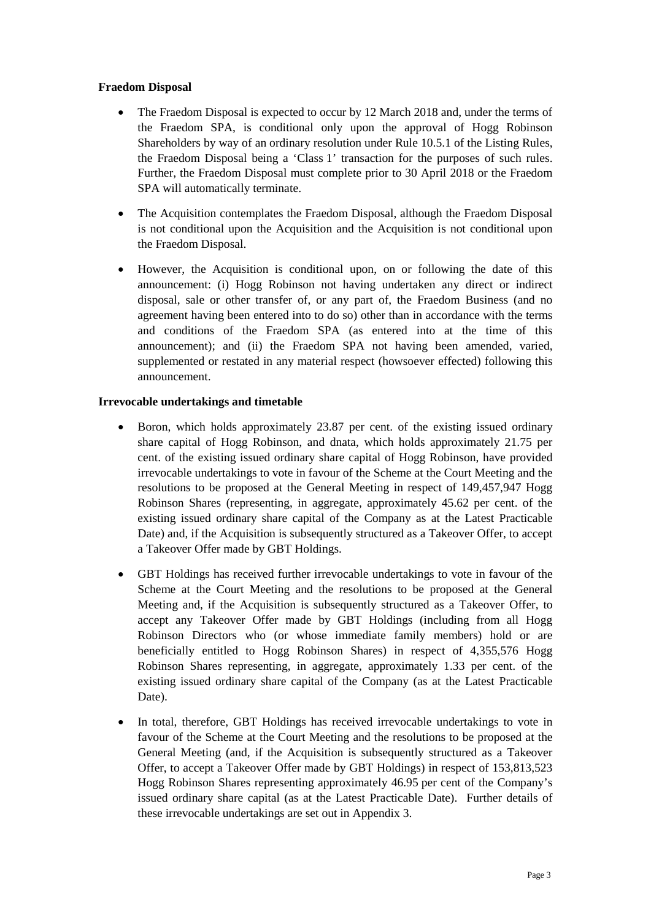# **Fraedom Disposal**

- The Fraedom Disposal is expected to occur by 12 March 2018 and, under the terms of the Fraedom SPA, is conditional only upon the approval of Hogg Robinson Shareholders by way of an ordinary resolution under Rule 10.5.1 of the Listing Rules, the Fraedom Disposal being a 'Class 1' transaction for the purposes of such rules. Further, the Fraedom Disposal must complete prior to 30 April 2018 or the Fraedom SPA will automatically terminate.
- The Acquisition contemplates the Fraedom Disposal, although the Fraedom Disposal is not conditional upon the Acquisition and the Acquisition is not conditional upon the Fraedom Disposal.
- However, the Acquisition is conditional upon, on or following the date of this announcement: (i) Hogg Robinson not having undertaken any direct or indirect disposal, sale or other transfer of, or any part of, the Fraedom Business (and no agreement having been entered into to do so) other than in accordance with the terms and conditions of the Fraedom SPA (as entered into at the time of this announcement); and (ii) the Fraedom SPA not having been amended, varied, supplemented or restated in any material respect (howsoever effected) following this announcement.

# **Irrevocable undertakings and timetable**

- Boron, which holds approximately 23.87 per cent. of the existing issued ordinary share capital of Hogg Robinson, and dnata, which holds approximately 21.75 per cent. of the existing issued ordinary share capital of Hogg Robinson, have provided irrevocable undertakings to vote in favour of the Scheme at the Court Meeting and the resolutions to be proposed at the General Meeting in respect of 149,457,947 Hogg Robinson Shares (representing, in aggregate, approximately 45.62 per cent. of the existing issued ordinary share capital of the Company as at the Latest Practicable Date) and, if the Acquisition is subsequently structured as a Takeover Offer, to accept a Takeover Offer made by GBT Holdings.
- GBT Holdings has received further irrevocable undertakings to vote in favour of the Scheme at the Court Meeting and the resolutions to be proposed at the General Meeting and, if the Acquisition is subsequently structured as a Takeover Offer, to accept any Takeover Offer made by GBT Holdings (including from all Hogg Robinson Directors who (or whose immediate family members) hold or are beneficially entitled to Hogg Robinson Shares) in respect of 4,355,576 Hogg Robinson Shares representing, in aggregate, approximately 1.33 per cent. of the existing issued ordinary share capital of the Company (as at the Latest Practicable Date).
- In total, therefore, GBT Holdings has received irrevocable undertakings to vote in favour of the Scheme at the Court Meeting and the resolutions to be proposed at the General Meeting (and, if the Acquisition is subsequently structured as a Takeover Offer, to accept a Takeover Offer made by GBT Holdings) in respect of 153,813,523 Hogg Robinson Shares representing approximately 46.95 per cent of the Company's issued ordinary share capital (as at the Latest Practicable Date). Further details of these irrevocable undertakings are set out in Appendix 3.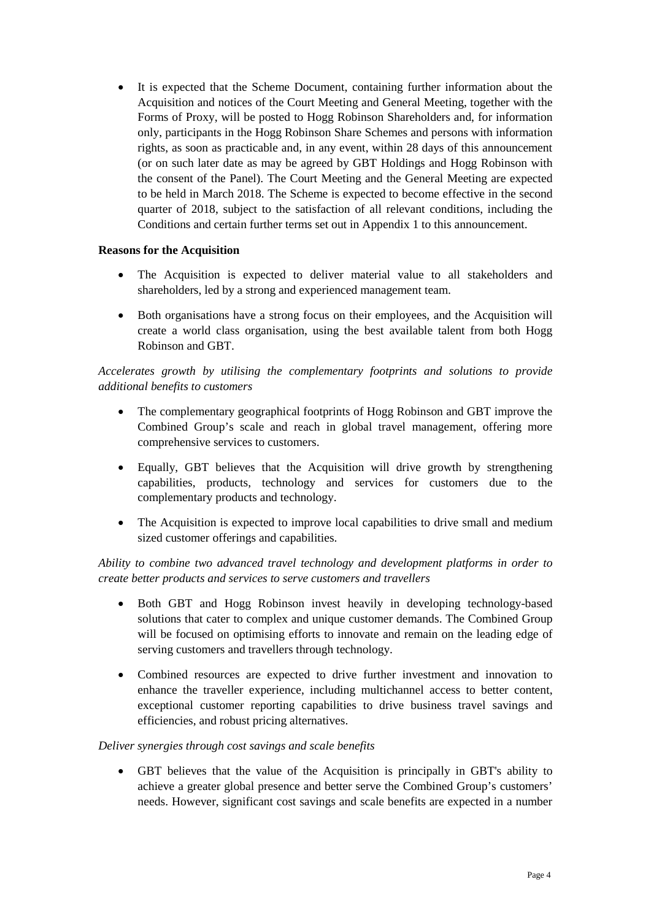It is expected that the Scheme Document, containing further information about the Acquisition and notices of the Court Meeting and General Meeting, together with the Forms of Proxy, will be posted to Hogg Robinson Shareholders and, for information only, participants in the Hogg Robinson Share Schemes and persons with information rights, as soon as practicable and, in any event, within 28 days of this announcement (or on such later date as may be agreed by GBT Holdings and Hogg Robinson with the consent of the Panel). The Court Meeting and the General Meeting are expected to be held in March 2018. The Scheme is expected to become effective in the second quarter of 2018, subject to the satisfaction of all relevant conditions, including the Conditions and certain further terms set out in Appendix 1 to this announcement.

# **Reasons for the Acquisition**

- The Acquisition is expected to deliver material value to all stakeholders and shareholders, led by a strong and experienced management team.
- Both organisations have a strong focus on their employees, and the Acquisition will create a world class organisation, using the best available talent from both Hogg Robinson and GBT.

*Accelerates growth by utilising the complementary footprints and solutions to provide additional benefits to customers* 

- The complementary geographical footprints of Hogg Robinson and GBT improve the Combined Group's scale and reach in global travel management, offering more comprehensive services to customers.
- Equally, GBT believes that the Acquisition will drive growth by strengthening capabilities, products, technology and services for customers due to the complementary products and technology.
- The Acquisition is expected to improve local capabilities to drive small and medium sized customer offerings and capabilities.

*Ability to combine two advanced travel technology and development platforms in order to create better products and services to serve customers and travellers* 

- Both GBT and Hogg Robinson invest heavily in developing technology-based solutions that cater to complex and unique customer demands. The Combined Group will be focused on optimising efforts to innovate and remain on the leading edge of serving customers and travellers through technology.
- Combined resources are expected to drive further investment and innovation to enhance the traveller experience, including multichannel access to better content, exceptional customer reporting capabilities to drive business travel savings and efficiencies, and robust pricing alternatives.

## *Deliver synergies through cost savings and scale benefits*

• GBT believes that the value of the Acquisition is principally in GBT's ability to achieve a greater global presence and better serve the Combined Group's customers' needs. However, significant cost savings and scale benefits are expected in a number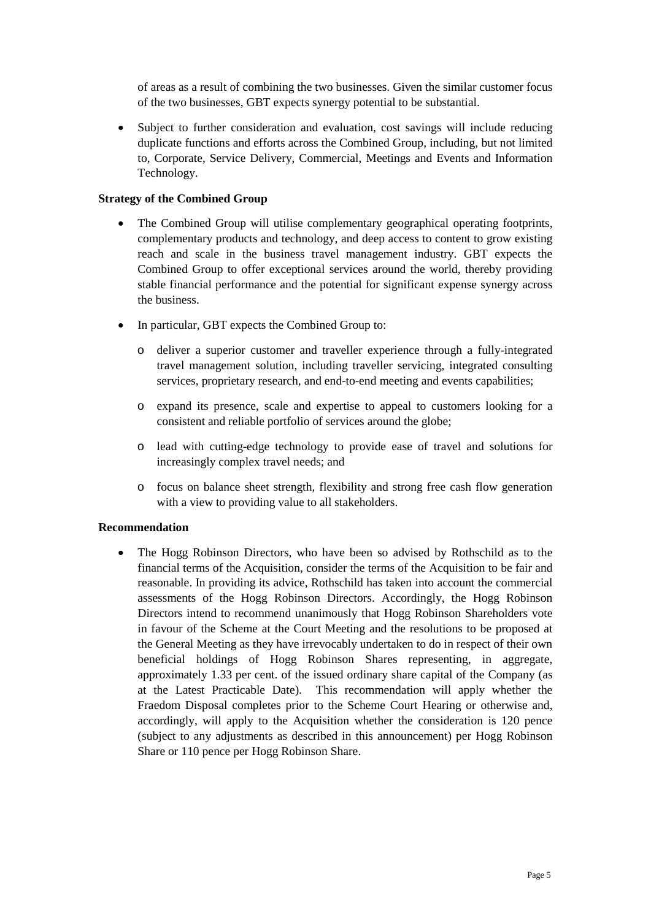of areas as a result of combining the two businesses. Given the similar customer focus of the two businesses, GBT expects synergy potential to be substantial.

• Subject to further consideration and evaluation, cost savings will include reducing duplicate functions and efforts across the Combined Group, including, but not limited to, Corporate, Service Delivery, Commercial, Meetings and Events and Information Technology.

## **Strategy of the Combined Group**

- The Combined Group will utilise complementary geographical operating footprints, complementary products and technology, and deep access to content to grow existing reach and scale in the business travel management industry. GBT expects the Combined Group to offer exceptional services around the world, thereby providing stable financial performance and the potential for significant expense synergy across the business.
- In particular, GBT expects the Combined Group to:
	- o deliver a superior customer and traveller experience through a fully-integrated travel management solution, including traveller servicing, integrated consulting services, proprietary research, and end-to-end meeting and events capabilities;
	- o expand its presence, scale and expertise to appeal to customers looking for a consistent and reliable portfolio of services around the globe;
	- o lead with cutting-edge technology to provide ease of travel and solutions for increasingly complex travel needs; and
	- o focus on balance sheet strength, flexibility and strong free cash flow generation with a view to providing value to all stakeholders.

#### **Recommendation**

• The Hogg Robinson Directors, who have been so advised by Rothschild as to the financial terms of the Acquisition, consider the terms of the Acquisition to be fair and reasonable. In providing its advice, Rothschild has taken into account the commercial assessments of the Hogg Robinson Directors. Accordingly, the Hogg Robinson Directors intend to recommend unanimously that Hogg Robinson Shareholders vote in favour of the Scheme at the Court Meeting and the resolutions to be proposed at the General Meeting as they have irrevocably undertaken to do in respect of their own beneficial holdings of Hogg Robinson Shares representing, in aggregate, approximately 1.33 per cent. of the issued ordinary share capital of the Company (as at the Latest Practicable Date). This recommendation will apply whether the Fraedom Disposal completes prior to the Scheme Court Hearing or otherwise and, accordingly, will apply to the Acquisition whether the consideration is 120 pence (subject to any adjustments as described in this announcement) per Hogg Robinson Share or 110 pence per Hogg Robinson Share.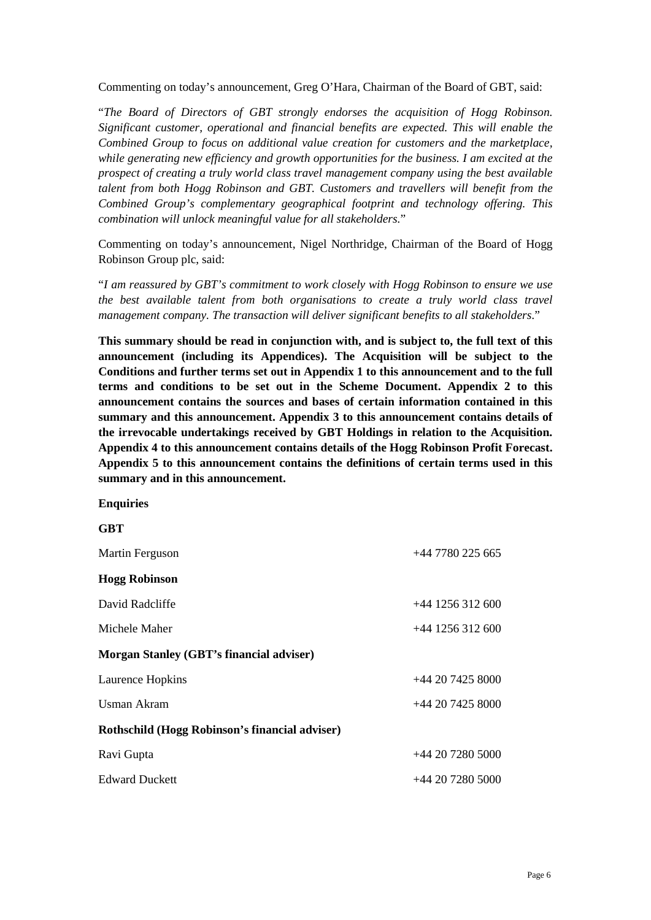Commenting on today's announcement, Greg O'Hara, Chairman of the Board of GBT, said:

"*The Board of Directors of GBT strongly endorses the acquisition of Hogg Robinson. Significant customer, operational and financial benefits are expected. This will enable the Combined Group to focus on additional value creation for customers and the marketplace, while generating new efficiency and growth opportunities for the business. I am excited at the prospect of creating a truly world class travel management company using the best available talent from both Hogg Robinson and GBT. Customers and travellers will benefit from the Combined Group's complementary geographical footprint and technology offering. This combination will unlock meaningful value for all stakeholders.*"

Commenting on today's announcement, Nigel Northridge, Chairman of the Board of Hogg Robinson Group plc, said:

"*I am reassured by GBT's commitment to work closely with Hogg Robinson to ensure we use the best available talent from both organisations to create a truly world class travel management company. The transaction will deliver significant benefits to all stakeholders*."

**This summary should be read in conjunction with, and is subject to, the full text of this announcement (including its Appendices). The Acquisition will be subject to the Conditions and further terms set out in Appendix 1 to this announcement and to the full terms and conditions to be set out in the Scheme Document. Appendix 2 to this announcement contains the sources and bases of certain information contained in this summary and this announcement. Appendix 3 to this announcement contains details of the irrevocable undertakings received by GBT Holdings in relation to the Acquisition. Appendix 4 to this announcement contains details of the Hogg Robinson Profit Forecast. Appendix 5 to this announcement contains the definitions of certain terms used in this summary and in this announcement.** 

#### **Enquiries**

**GBT** 

| $+44$ 7780 225 665 |
|--------------------|
|                    |
| $+44$ 1256 312 600 |
| $+44$ 1256 312 600 |
|                    |
| $+442074258000$    |
| $+442074258000$    |
|                    |
| $+442072805000$    |
| $+442072805000$    |
|                    |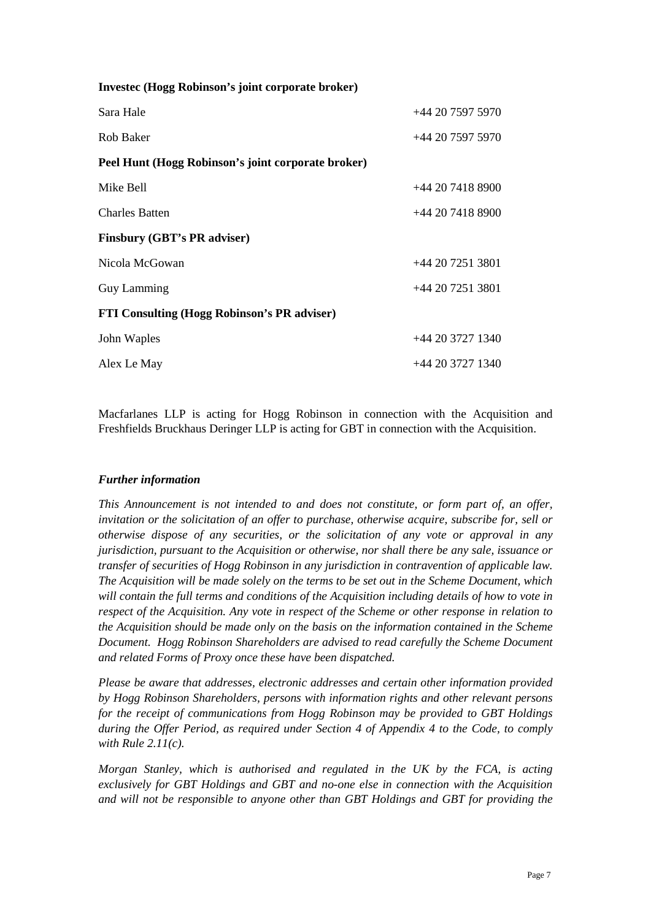| <b>Investec (Hogg Robinson's joint corporate broker)</b> |                 |  |
|----------------------------------------------------------|-----------------|--|
| Sara Hale                                                | $+442075975970$ |  |
| Rob Baker                                                | $+442075975970$ |  |
| Peel Hunt (Hogg Robinson's joint corporate broker)       |                 |  |
| Mike Bell                                                | $+442074188900$ |  |
| <b>Charles Batten</b>                                    | $+442074188900$ |  |
| <b>Finsbury (GBT's PR adviser)</b>                       |                 |  |
| Nicola McGowan                                           | $+442072513801$ |  |
| <b>Guy Lamming</b>                                       | $+442072513801$ |  |
| <b>FTI Consulting (Hogg Robinson's PR adviser)</b>       |                 |  |
| John Waples                                              | $+442037271340$ |  |
| Alex Le May                                              | $+442037271340$ |  |

Macfarlanes LLP is acting for Hogg Robinson in connection with the Acquisition and Freshfields Bruckhaus Deringer LLP is acting for GBT in connection with the Acquisition.

## *Further information*

*This Announcement is not intended to and does not constitute, or form part of, an offer, invitation or the solicitation of an offer to purchase, otherwise acquire, subscribe for, sell or otherwise dispose of any securities, or the solicitation of any vote or approval in any jurisdiction, pursuant to the Acquisition or otherwise, nor shall there be any sale, issuance or transfer of securities of Hogg Robinson in any jurisdiction in contravention of applicable law. The Acquisition will be made solely on the terms to be set out in the Scheme Document, which will contain the full terms and conditions of the Acquisition including details of how to vote in respect of the Acquisition. Any vote in respect of the Scheme or other response in relation to the Acquisition should be made only on the basis on the information contained in the Scheme Document. Hogg Robinson Shareholders are advised to read carefully the Scheme Document and related Forms of Proxy once these have been dispatched.* 

*Please be aware that addresses, electronic addresses and certain other information provided by Hogg Robinson Shareholders, persons with information rights and other relevant persons for the receipt of communications from Hogg Robinson may be provided to GBT Holdings during the Offer Period, as required under Section 4 of Appendix 4 to the Code, to comply with Rule 2.11(c).* 

*Morgan Stanley, which is authorised and regulated in the UK by the FCA, is acting exclusively for GBT Holdings and GBT and no-one else in connection with the Acquisition and will not be responsible to anyone other than GBT Holdings and GBT for providing the*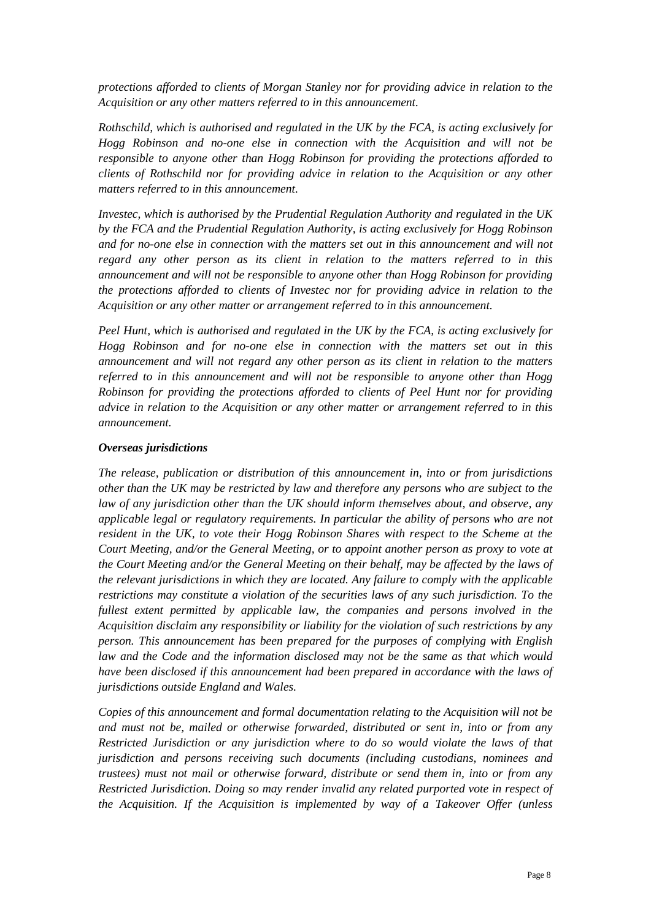*protections afforded to clients of Morgan Stanley nor for providing advice in relation to the Acquisition or any other matters referred to in this announcement.* 

*Rothschild, which is authorised and regulated in the UK by the FCA, is acting exclusively for Hogg Robinson and no-one else in connection with the Acquisition and will not be responsible to anyone other than Hogg Robinson for providing the protections afforded to clients of Rothschild nor for providing advice in relation to the Acquisition or any other matters referred to in this announcement.* 

*Investec, which is authorised by the Prudential Regulation Authority and regulated in the UK by the FCA and the Prudential Regulation Authority, is acting exclusively for Hogg Robinson and for no-one else in connection with the matters set out in this announcement and will not regard any other person as its client in relation to the matters referred to in this announcement and will not be responsible to anyone other than Hogg Robinson for providing the protections afforded to clients of Investec nor for providing advice in relation to the Acquisition or any other matter or arrangement referred to in this announcement.* 

*Peel Hunt, which is authorised and regulated in the UK by the FCA, is acting exclusively for Hogg Robinson and for no-one else in connection with the matters set out in this announcement and will not regard any other person as its client in relation to the matters referred to in this announcement and will not be responsible to anyone other than Hogg Robinson for providing the protections afforded to clients of Peel Hunt nor for providing advice in relation to the Acquisition or any other matter or arrangement referred to in this announcement.* 

#### *Overseas jurisdictions*

*The release, publication or distribution of this announcement in, into or from jurisdictions other than the UK may be restricted by law and therefore any persons who are subject to the law of any jurisdiction other than the UK should inform themselves about, and observe, any applicable legal or regulatory requirements. In particular the ability of persons who are not resident in the UK, to vote their Hogg Robinson Shares with respect to the Scheme at the Court Meeting, and/or the General Meeting, or to appoint another person as proxy to vote at the Court Meeting and/or the General Meeting on their behalf, may be affected by the laws of the relevant jurisdictions in which they are located. Any failure to comply with the applicable restrictions may constitute a violation of the securities laws of any such jurisdiction. To the fullest extent permitted by applicable law, the companies and persons involved in the Acquisition disclaim any responsibility or liability for the violation of such restrictions by any person. This announcement has been prepared for the purposes of complying with English law and the Code and the information disclosed may not be the same as that which would have been disclosed if this announcement had been prepared in accordance with the laws of jurisdictions outside England and Wales.* 

*Copies of this announcement and formal documentation relating to the Acquisition will not be and must not be, mailed or otherwise forwarded, distributed or sent in, into or from any Restricted Jurisdiction or any jurisdiction where to do so would violate the laws of that jurisdiction and persons receiving such documents (including custodians, nominees and trustees) must not mail or otherwise forward, distribute or send them in, into or from any Restricted Jurisdiction. Doing so may render invalid any related purported vote in respect of the Acquisition. If the Acquisition is implemented by way of a Takeover Offer (unless*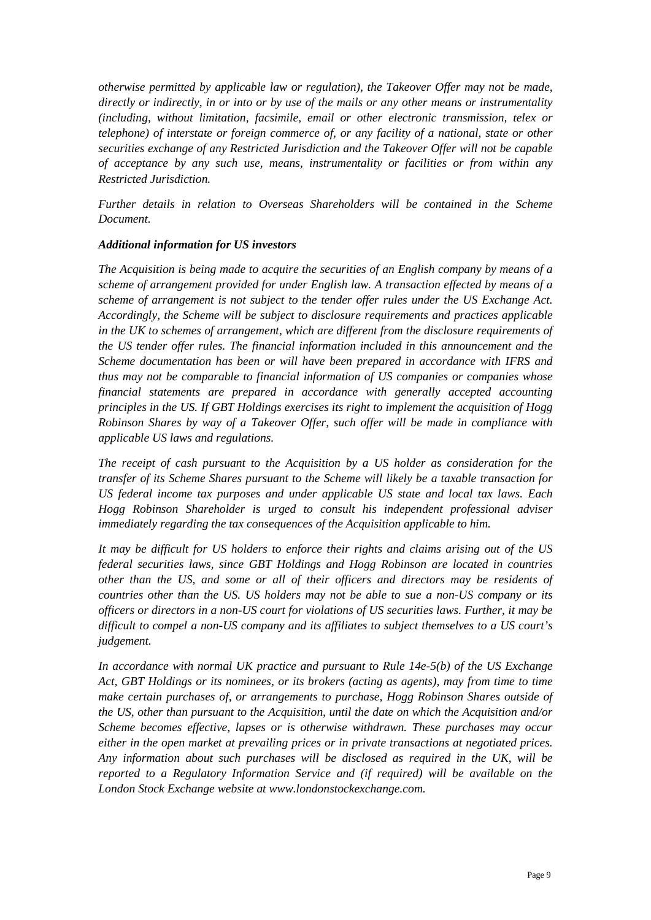*otherwise permitted by applicable law or regulation), the Takeover Offer may not be made, directly or indirectly, in or into or by use of the mails or any other means or instrumentality (including, without limitation, facsimile, email or other electronic transmission, telex or telephone) of interstate or foreign commerce of, or any facility of a national, state or other securities exchange of any Restricted Jurisdiction and the Takeover Offer will not be capable of acceptance by any such use, means, instrumentality or facilities or from within any Restricted Jurisdiction.* 

*Further details in relation to Overseas Shareholders will be contained in the Scheme Document.* 

# *Additional information for US investors*

*The Acquisition is being made to acquire the securities of an English company by means of a scheme of arrangement provided for under English law. A transaction effected by means of a scheme of arrangement is not subject to the tender offer rules under the US Exchange Act. Accordingly, the Scheme will be subject to disclosure requirements and practices applicable in the UK to schemes of arrangement, which are different from the disclosure requirements of the US tender offer rules. The financial information included in this announcement and the Scheme documentation has been or will have been prepared in accordance with IFRS and thus may not be comparable to financial information of US companies or companies whose financial statements are prepared in accordance with generally accepted accounting principles in the US. If GBT Holdings exercises its right to implement the acquisition of Hogg Robinson Shares by way of a Takeover Offer, such offer will be made in compliance with applicable US laws and regulations.* 

*The receipt of cash pursuant to the Acquisition by a US holder as consideration for the transfer of its Scheme Shares pursuant to the Scheme will likely be a taxable transaction for US federal income tax purposes and under applicable US state and local tax laws. Each Hogg Robinson Shareholder is urged to consult his independent professional adviser immediately regarding the tax consequences of the Acquisition applicable to him.* 

*It may be difficult for US holders to enforce their rights and claims arising out of the US federal securities laws, since GBT Holdings and Hogg Robinson are located in countries other than the US, and some or all of their officers and directors may be residents of countries other than the US. US holders may not be able to sue a non-US company or its officers or directors in a non-US court for violations of US securities laws. Further, it may be difficult to compel a non-US company and its affiliates to subject themselves to a US court's judgement.* 

*In accordance with normal UK practice and pursuant to Rule 14e-5(b) of the US Exchange Act, GBT Holdings or its nominees, or its brokers (acting as agents), may from time to time make certain purchases of, or arrangements to purchase, Hogg Robinson Shares outside of the US, other than pursuant to the Acquisition, until the date on which the Acquisition and/or Scheme becomes effective, lapses or is otherwise withdrawn. These purchases may occur either in the open market at prevailing prices or in private transactions at negotiated prices. Any information about such purchases will be disclosed as required in the UK, will be reported to a Regulatory Information Service and (if required) will be available on the London Stock Exchange website at www.londonstockexchange.com.*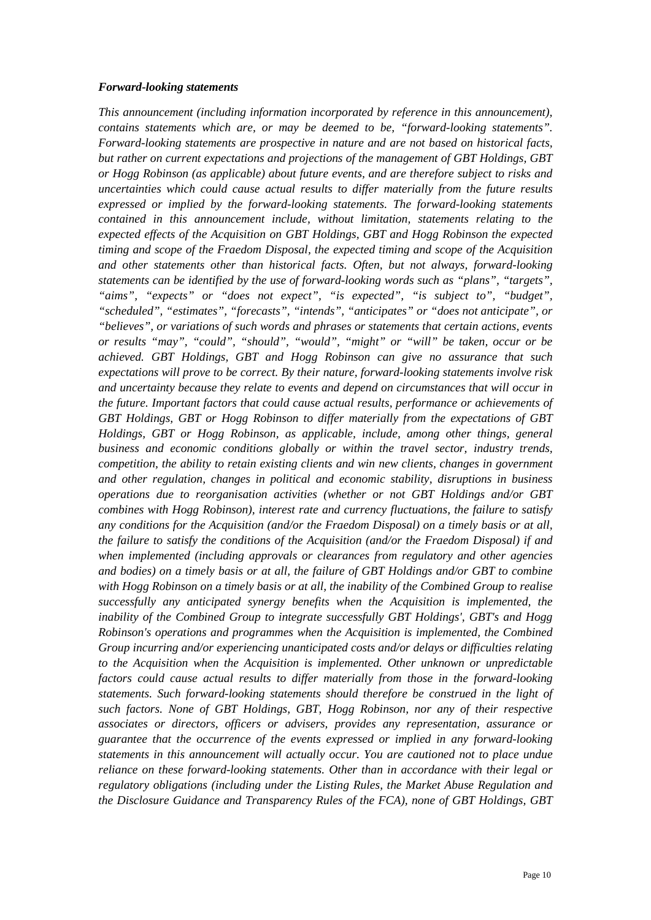#### *Forward-looking statements*

*This announcement (including information incorporated by reference in this announcement), contains statements which are, or may be deemed to be, "forward-looking statements". Forward-looking statements are prospective in nature and are not based on historical facts, but rather on current expectations and projections of the management of GBT Holdings, GBT or Hogg Robinson (as applicable) about future events, and are therefore subject to risks and uncertainties which could cause actual results to differ materially from the future results expressed or implied by the forward-looking statements. The forward-looking statements contained in this announcement include, without limitation, statements relating to the expected effects of the Acquisition on GBT Holdings, GBT and Hogg Robinson the expected timing and scope of the Fraedom Disposal, the expected timing and scope of the Acquisition and other statements other than historical facts. Often, but not always, forward-looking statements can be identified by the use of forward-looking words such as "plans", "targets", "aims", "expects" or "does not expect", "is expected", "is subject to", "budget", "scheduled", "estimates", "forecasts", "intends", "anticipates" or "does not anticipate", or "believes", or variations of such words and phrases or statements that certain actions, events or results "may", "could", "should", "would", "might" or "will" be taken, occur or be achieved. GBT Holdings, GBT and Hogg Robinson can give no assurance that such expectations will prove to be correct. By their nature, forward-looking statements involve risk and uncertainty because they relate to events and depend on circumstances that will occur in the future. Important factors that could cause actual results, performance or achievements of GBT Holdings, GBT or Hogg Robinson to differ materially from the expectations of GBT Holdings, GBT or Hogg Robinson, as applicable, include, among other things, general business and economic conditions globally or within the travel sector, industry trends, competition, the ability to retain existing clients and win new clients, changes in government and other regulation, changes in political and economic stability, disruptions in business operations due to reorganisation activities (whether or not GBT Holdings and/or GBT combines with Hogg Robinson), interest rate and currency fluctuations, the failure to satisfy any conditions for the Acquisition (and/or the Fraedom Disposal) on a timely basis or at all, the failure to satisfy the conditions of the Acquisition (and/or the Fraedom Disposal) if and when implemented (including approvals or clearances from regulatory and other agencies and bodies) on a timely basis or at all, the failure of GBT Holdings and/or GBT to combine with Hogg Robinson on a timely basis or at all, the inability of the Combined Group to realise successfully any anticipated synergy benefits when the Acquisition is implemented, the inability of the Combined Group to integrate successfully GBT Holdings', GBT's and Hogg Robinson's operations and programmes when the Acquisition is implemented, the Combined Group incurring and/or experiencing unanticipated costs and/or delays or difficulties relating to the Acquisition when the Acquisition is implemented. Other unknown or unpredictable factors could cause actual results to differ materially from those in the forward-looking statements. Such forward-looking statements should therefore be construed in the light of such factors. None of GBT Holdings, GBT, Hogg Robinson, nor any of their respective associates or directors, officers or advisers, provides any representation, assurance or guarantee that the occurrence of the events expressed or implied in any forward-looking statements in this announcement will actually occur. You are cautioned not to place undue reliance on these forward-looking statements. Other than in accordance with their legal or regulatory obligations (including under the Listing Rules, the Market Abuse Regulation and the Disclosure Guidance and Transparency Rules of the FCA), none of GBT Holdings, GBT*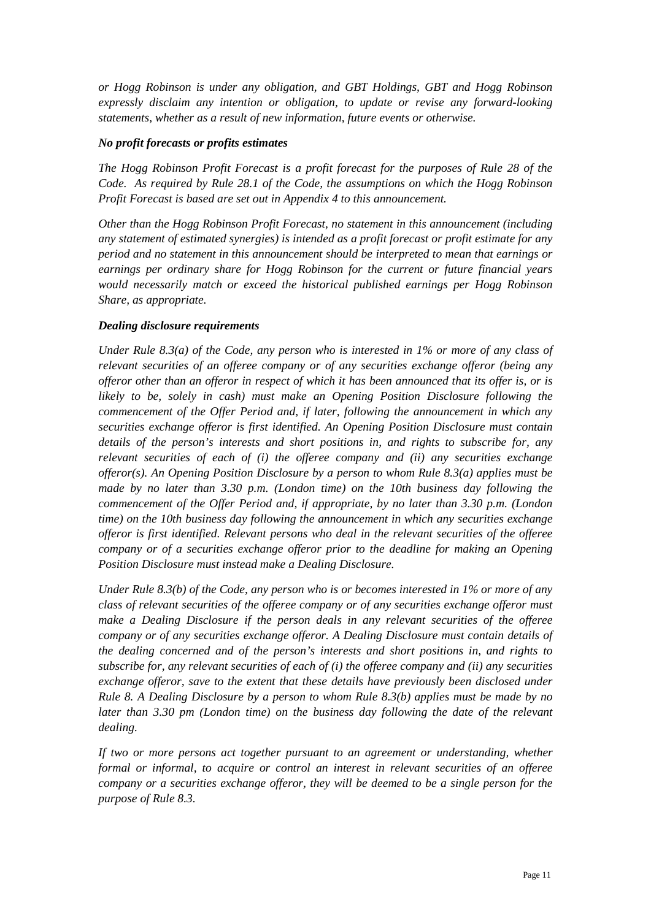*or Hogg Robinson is under any obligation, and GBT Holdings, GBT and Hogg Robinson expressly disclaim any intention or obligation, to update or revise any forward-looking statements, whether as a result of new information, future events or otherwise.* 

## *No profit forecasts or profits estimates*

*The Hogg Robinson Profit Forecast is a profit forecast for the purposes of Rule 28 of the Code. As required by Rule 28.1 of the Code, the assumptions on which the Hogg Robinson Profit Forecast is based are set out in Appendix 4 to this announcement.* 

*Other than the Hogg Robinson Profit Forecast, no statement in this announcement (including any statement of estimated synergies) is intended as a profit forecast or profit estimate for any period and no statement in this announcement should be interpreted to mean that earnings or earnings per ordinary share for Hogg Robinson for the current or future financial years would necessarily match or exceed the historical published earnings per Hogg Robinson Share, as appropriate.* 

## *Dealing disclosure requirements*

*Under Rule 8.3(a) of the Code, any person who is interested in 1% or more of any class of relevant securities of an offeree company or of any securities exchange offeror (being any offeror other than an offeror in respect of which it has been announced that its offer is, or is likely to be, solely in cash) must make an Opening Position Disclosure following the commencement of the Offer Period and, if later, following the announcement in which any securities exchange offeror is first identified. An Opening Position Disclosure must contain details of the person's interests and short positions in, and rights to subscribe for, any relevant securities of each of (i) the offeree company and (ii) any securities exchange offeror(s). An Opening Position Disclosure by a person to whom Rule 8.3(a) applies must be made by no later than 3.30 p.m. (London time) on the 10th business day following the commencement of the Offer Period and, if appropriate, by no later than 3.30 p.m. (London time) on the 10th business day following the announcement in which any securities exchange offeror is first identified. Relevant persons who deal in the relevant securities of the offeree company or of a securities exchange offeror prior to the deadline for making an Opening Position Disclosure must instead make a Dealing Disclosure.* 

*Under Rule 8.3(b) of the Code, any person who is or becomes interested in 1% or more of any class of relevant securities of the offeree company or of any securities exchange offeror must make a Dealing Disclosure if the person deals in any relevant securities of the offeree company or of any securities exchange offeror. A Dealing Disclosure must contain details of the dealing concerned and of the person's interests and short positions in, and rights to subscribe for, any relevant securities of each of (i) the offeree company and (ii) any securities exchange offeror, save to the extent that these details have previously been disclosed under Rule 8. A Dealing Disclosure by a person to whom Rule 8.3(b) applies must be made by no later than 3.30 pm (London time) on the business day following the date of the relevant dealing.* 

*If two or more persons act together pursuant to an agreement or understanding, whether formal or informal, to acquire or control an interest in relevant securities of an offeree company or a securities exchange offeror, they will be deemed to be a single person for the purpose of Rule 8.3.*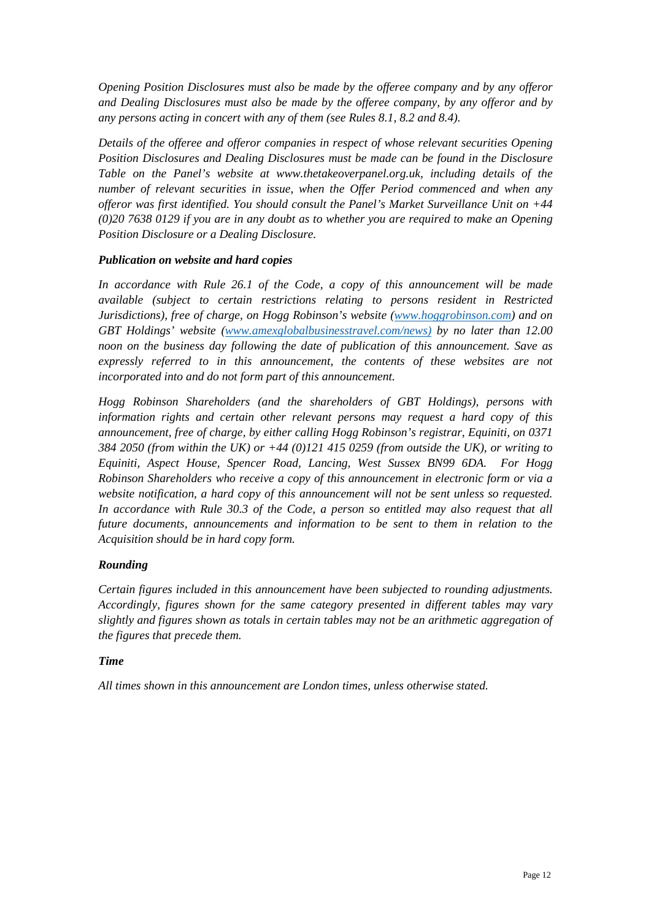*Opening Position Disclosures must also be made by the offeree company and by any offeror and Dealing Disclosures must also be made by the offeree company, by any offeror and by any persons acting in concert with any of them (see Rules 8.1, 8.2 and 8.4).* 

*Details of the offeree and offeror companies in respect of whose relevant securities Opening Position Disclosures and Dealing Disclosures must be made can be found in the Disclosure Table on the Panel's website at www.thetakeoverpanel.org.uk, including details of the number of relevant securities in issue, when the Offer Period commenced and when any offeror was first identified. You should consult the Panel's Market Surveillance Unit on +44 (0)20 7638 0129 if you are in any doubt as to whether you are required to make an Opening Position Disclosure or a Dealing Disclosure.* 

## *Publication on website and hard copies*

In accordance with Rule 26.1 of the Code, a copy of this announcement will be made *available (subject to certain restrictions relating to persons resident in Restricted Jurisdictions), free of charge, on Hogg Robinson's website (www.hoggrobinson.com) and on GBT Holdings' website (www.amexglobalbusinesstravel.com/news) by no later than 12.00 noon on the business day following the date of publication of this announcement. Save as expressly referred to in this announcement, the contents of these websites are not incorporated into and do not form part of this announcement.* 

*Hogg Robinson Shareholders (and the shareholders of GBT Holdings), persons with information rights and certain other relevant persons may request a hard copy of this announcement, free of charge, by either calling Hogg Robinson's registrar, Equiniti, on 0371 384 2050 (from within the UK) or +44 (0)121 415 0259 (from outside the UK), or writing to Equiniti, Aspect House, Spencer Road, Lancing, West Sussex BN99 6DA. For Hogg Robinson Shareholders who receive a copy of this announcement in electronic form or via a website notification, a hard copy of this announcement will not be sent unless so requested. In accordance with Rule 30.3 of the Code, a person so entitled may also request that all future documents, announcements and information to be sent to them in relation to the Acquisition should be in hard copy form.* 

# *Rounding*

*Certain figures included in this announcement have been subjected to rounding adjustments. Accordingly, figures shown for the same category presented in different tables may vary slightly and figures shown as totals in certain tables may not be an arithmetic aggregation of the figures that precede them.* 

## *Time*

*All times shown in this announcement are London times, unless otherwise stated.*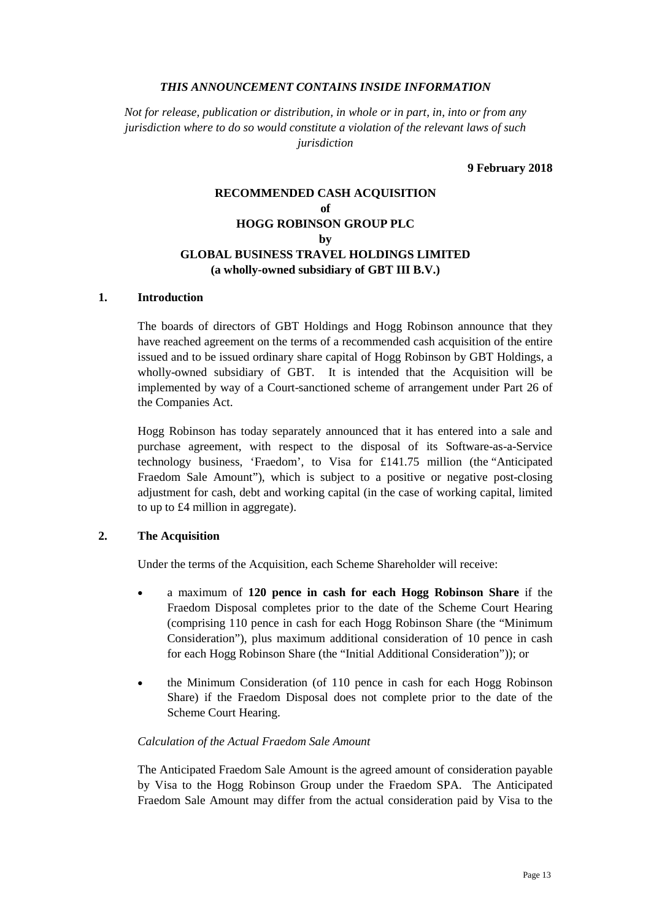#### *THIS ANNOUNCEMENT CONTAINS INSIDE INFORMATION*

*Not for release, publication or distribution, in whole or in part, in, into or from any jurisdiction where to do so would constitute a violation of the relevant laws of such jurisdiction* 

**9 February 2018** 

# **RECOMMENDED CASH ACQUISITION of HOGG ROBINSON GROUP PLC by GLOBAL BUSINESS TRAVEL HOLDINGS LIMITED (a wholly-owned subsidiary of GBT III B.V.)**

#### **1. Introduction**

The boards of directors of GBT Holdings and Hogg Robinson announce that they have reached agreement on the terms of a recommended cash acquisition of the entire issued and to be issued ordinary share capital of Hogg Robinson by GBT Holdings, a wholly-owned subsidiary of GBT. It is intended that the Acquisition will be implemented by way of a Court-sanctioned scheme of arrangement under Part 26 of the Companies Act.

Hogg Robinson has today separately announced that it has entered into a sale and purchase agreement, with respect to the disposal of its Software-as-a-Service technology business, 'Fraedom', to Visa for £141.75 million (the "Anticipated Fraedom Sale Amount"), which is subject to a positive or negative post-closing adjustment for cash, debt and working capital (in the case of working capital, limited to up to £4 million in aggregate).

## **2. The Acquisition**

Under the terms of the Acquisition, each Scheme Shareholder will receive:

- a maximum of **120 pence in cash for each Hogg Robinson Share** if the Fraedom Disposal completes prior to the date of the Scheme Court Hearing (comprising 110 pence in cash for each Hogg Robinson Share (the "Minimum Consideration"), plus maximum additional consideration of 10 pence in cash for each Hogg Robinson Share (the "Initial Additional Consideration")); or
- the Minimum Consideration (of 110 pence in cash for each Hogg Robinson Share) if the Fraedom Disposal does not complete prior to the date of the Scheme Court Hearing.

## *Calculation of the Actual Fraedom Sale Amount*

The Anticipated Fraedom Sale Amount is the agreed amount of consideration payable by Visa to the Hogg Robinson Group under the Fraedom SPA. The Anticipated Fraedom Sale Amount may differ from the actual consideration paid by Visa to the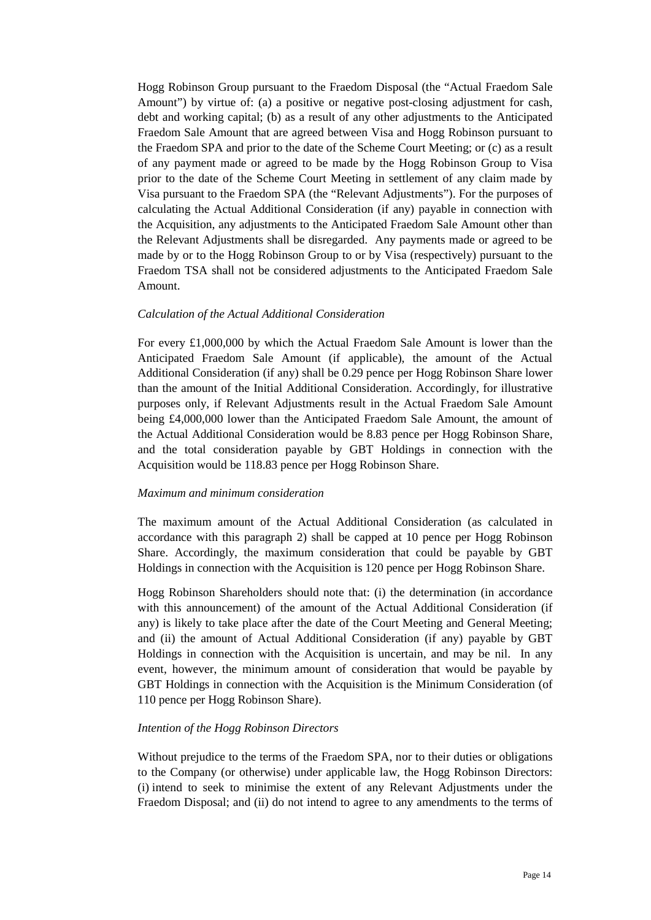Hogg Robinson Group pursuant to the Fraedom Disposal (the "Actual Fraedom Sale Amount") by virtue of: (a) a positive or negative post-closing adjustment for cash, debt and working capital; (b) as a result of any other adjustments to the Anticipated Fraedom Sale Amount that are agreed between Visa and Hogg Robinson pursuant to the Fraedom SPA and prior to the date of the Scheme Court Meeting; or (c) as a result of any payment made or agreed to be made by the Hogg Robinson Group to Visa prior to the date of the Scheme Court Meeting in settlement of any claim made by Visa pursuant to the Fraedom SPA (the "Relevant Adjustments"). For the purposes of calculating the Actual Additional Consideration (if any) payable in connection with the Acquisition, any adjustments to the Anticipated Fraedom Sale Amount other than the Relevant Adjustments shall be disregarded. Any payments made or agreed to be made by or to the Hogg Robinson Group to or by Visa (respectively) pursuant to the Fraedom TSA shall not be considered adjustments to the Anticipated Fraedom Sale Amount.

#### *Calculation of the Actual Additional Consideration*

For every £1,000,000 by which the Actual Fraedom Sale Amount is lower than the Anticipated Fraedom Sale Amount (if applicable), the amount of the Actual Additional Consideration (if any) shall be 0.29 pence per Hogg Robinson Share lower than the amount of the Initial Additional Consideration. Accordingly, for illustrative purposes only, if Relevant Adjustments result in the Actual Fraedom Sale Amount being £4,000,000 lower than the Anticipated Fraedom Sale Amount, the amount of the Actual Additional Consideration would be 8.83 pence per Hogg Robinson Share, and the total consideration payable by GBT Holdings in connection with the Acquisition would be 118.83 pence per Hogg Robinson Share.

#### *Maximum and minimum consideration*

The maximum amount of the Actual Additional Consideration (as calculated in accordance with this paragraph 2) shall be capped at 10 pence per Hogg Robinson Share. Accordingly, the maximum consideration that could be payable by GBT Holdings in connection with the Acquisition is 120 pence per Hogg Robinson Share.

Hogg Robinson Shareholders should note that: (i) the determination (in accordance with this announcement) of the amount of the Actual Additional Consideration (if any) is likely to take place after the date of the Court Meeting and General Meeting; and (ii) the amount of Actual Additional Consideration (if any) payable by GBT Holdings in connection with the Acquisition is uncertain, and may be nil. In any event, however, the minimum amount of consideration that would be payable by GBT Holdings in connection with the Acquisition is the Minimum Consideration (of 110 pence per Hogg Robinson Share).

## *Intention of the Hogg Robinson Directors*

Without prejudice to the terms of the Fraedom SPA, nor to their duties or obligations to the Company (or otherwise) under applicable law, the Hogg Robinson Directors: (i) intend to seek to minimise the extent of any Relevant Adjustments under the Fraedom Disposal; and (ii) do not intend to agree to any amendments to the terms of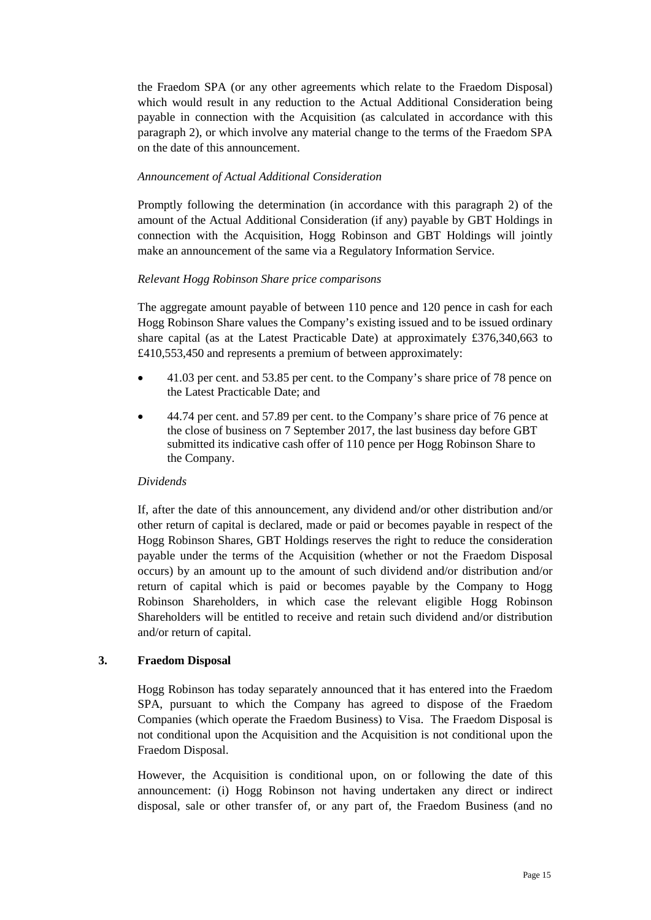the Fraedom SPA (or any other agreements which relate to the Fraedom Disposal) which would result in any reduction to the Actual Additional Consideration being payable in connection with the Acquisition (as calculated in accordance with this paragraph 2), or which involve any material change to the terms of the Fraedom SPA on the date of this announcement.

## *Announcement of Actual Additional Consideration*

Promptly following the determination (in accordance with this paragraph 2) of the amount of the Actual Additional Consideration (if any) payable by GBT Holdings in connection with the Acquisition, Hogg Robinson and GBT Holdings will jointly make an announcement of the same via a Regulatory Information Service.

# *Relevant Hogg Robinson Share price comparisons*

The aggregate amount payable of between 110 pence and 120 pence in cash for each Hogg Robinson Share values the Company's existing issued and to be issued ordinary share capital (as at the Latest Practicable Date) at approximately £376,340,663 to £410,553,450 and represents a premium of between approximately:

- 41.03 per cent. and 53.85 per cent. to the Company's share price of 78 pence on the Latest Practicable Date; and
- 44.74 per cent. and 57.89 per cent. to the Company's share price of 76 pence at the close of business on 7 September 2017, the last business day before GBT submitted its indicative cash offer of 110 pence per Hogg Robinson Share to the Company.

## *Dividends*

If, after the date of this announcement, any dividend and/or other distribution and/or other return of capital is declared, made or paid or becomes payable in respect of the Hogg Robinson Shares, GBT Holdings reserves the right to reduce the consideration payable under the terms of the Acquisition (whether or not the Fraedom Disposal occurs) by an amount up to the amount of such dividend and/or distribution and/or return of capital which is paid or becomes payable by the Company to Hogg Robinson Shareholders, in which case the relevant eligible Hogg Robinson Shareholders will be entitled to receive and retain such dividend and/or distribution and/or return of capital.

## **3. Fraedom Disposal**

Hogg Robinson has today separately announced that it has entered into the Fraedom SPA, pursuant to which the Company has agreed to dispose of the Fraedom Companies (which operate the Fraedom Business) to Visa. The Fraedom Disposal is not conditional upon the Acquisition and the Acquisition is not conditional upon the Fraedom Disposal.

However, the Acquisition is conditional upon, on or following the date of this announcement: (i) Hogg Robinson not having undertaken any direct or indirect disposal, sale or other transfer of, or any part of, the Fraedom Business (and no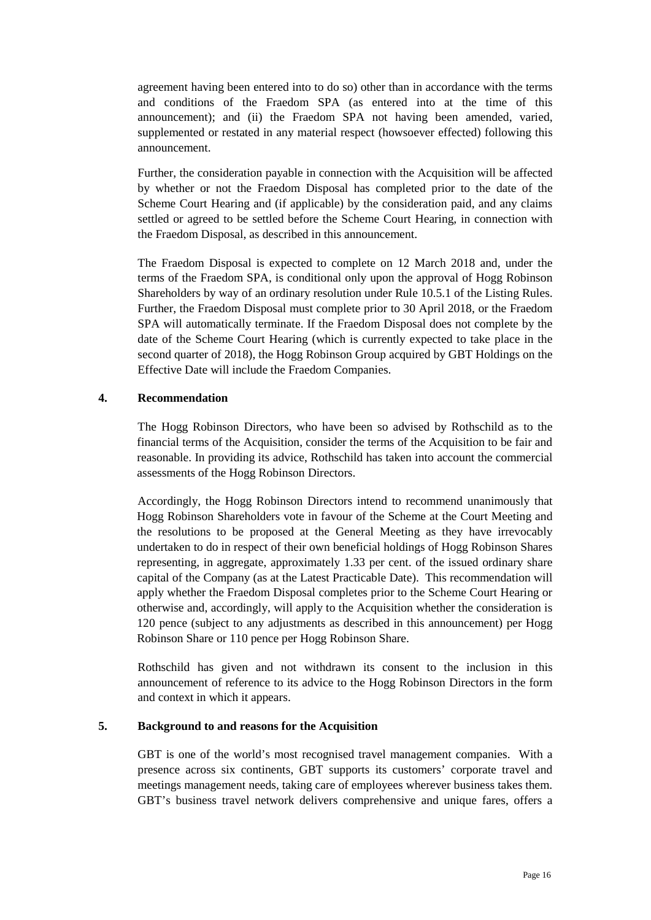agreement having been entered into to do so) other than in accordance with the terms and conditions of the Fraedom SPA (as entered into at the time of this announcement); and (ii) the Fraedom SPA not having been amended, varied, supplemented or restated in any material respect (howsoever effected) following this announcement.

Further, the consideration payable in connection with the Acquisition will be affected by whether or not the Fraedom Disposal has completed prior to the date of the Scheme Court Hearing and (if applicable) by the consideration paid, and any claims settled or agreed to be settled before the Scheme Court Hearing, in connection with the Fraedom Disposal, as described in this announcement.

The Fraedom Disposal is expected to complete on 12 March 2018 and, under the terms of the Fraedom SPA, is conditional only upon the approval of Hogg Robinson Shareholders by way of an ordinary resolution under Rule 10.5.1 of the Listing Rules. Further, the Fraedom Disposal must complete prior to 30 April 2018, or the Fraedom SPA will automatically terminate. If the Fraedom Disposal does not complete by the date of the Scheme Court Hearing (which is currently expected to take place in the second quarter of 2018), the Hogg Robinson Group acquired by GBT Holdings on the Effective Date will include the Fraedom Companies.

## **4. Recommendation**

The Hogg Robinson Directors, who have been so advised by Rothschild as to the financial terms of the Acquisition, consider the terms of the Acquisition to be fair and reasonable. In providing its advice, Rothschild has taken into account the commercial assessments of the Hogg Robinson Directors.

Accordingly, the Hogg Robinson Directors intend to recommend unanimously that Hogg Robinson Shareholders vote in favour of the Scheme at the Court Meeting and the resolutions to be proposed at the General Meeting as they have irrevocably undertaken to do in respect of their own beneficial holdings of Hogg Robinson Shares representing, in aggregate, approximately 1.33 per cent. of the issued ordinary share capital of the Company (as at the Latest Practicable Date). This recommendation will apply whether the Fraedom Disposal completes prior to the Scheme Court Hearing or otherwise and, accordingly, will apply to the Acquisition whether the consideration is 120 pence (subject to any adjustments as described in this announcement) per Hogg Robinson Share or 110 pence per Hogg Robinson Share.

Rothschild has given and not withdrawn its consent to the inclusion in this announcement of reference to its advice to the Hogg Robinson Directors in the form and context in which it appears.

# **5. Background to and reasons for the Acquisition**

GBT is one of the world's most recognised travel management companies. With a presence across six continents, GBT supports its customers' corporate travel and meetings management needs, taking care of employees wherever business takes them. GBT's business travel network delivers comprehensive and unique fares, offers a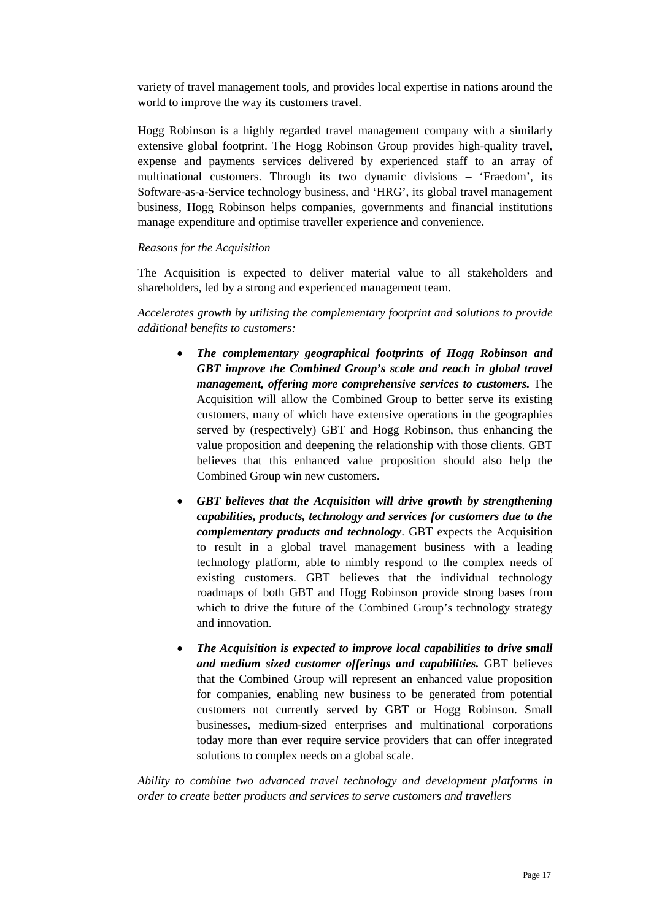variety of travel management tools, and provides local expertise in nations around the world to improve the way its customers travel.

Hogg Robinson is a highly regarded travel management company with a similarly extensive global footprint. The Hogg Robinson Group provides high-quality travel, expense and payments services delivered by experienced staff to an array of multinational customers. Through its two dynamic divisions – 'Fraedom', its Software-as-a-Service technology business, and 'HRG', its global travel management business, Hogg Robinson helps companies, governments and financial institutions manage expenditure and optimise traveller experience and convenience.

#### *Reasons for the Acquisition*

The Acquisition is expected to deliver material value to all stakeholders and shareholders, led by a strong and experienced management team.

*Accelerates growth by utilising the complementary footprint and solutions to provide additional benefits to customers:* 

- *The complementary geographical footprints of Hogg Robinson and GBT improve the Combined Group's scale and reach in global travel management, offering more comprehensive services to customers.* The Acquisition will allow the Combined Group to better serve its existing customers, many of which have extensive operations in the geographies served by (respectively) GBT and Hogg Robinson, thus enhancing the value proposition and deepening the relationship with those clients. GBT believes that this enhanced value proposition should also help the Combined Group win new customers.
- *GBT believes that the Acquisition will drive growth by strengthening capabilities, products, technology and services for customers due to the complementary products and technology*. GBT expects the Acquisition to result in a global travel management business with a leading technology platform, able to nimbly respond to the complex needs of existing customers. GBT believes that the individual technology roadmaps of both GBT and Hogg Robinson provide strong bases from which to drive the future of the Combined Group's technology strategy and innovation.
- *The Acquisition is expected to improve local capabilities to drive small and medium sized customer offerings and capabilities.* GBT believes that the Combined Group will represent an enhanced value proposition for companies, enabling new business to be generated from potential customers not currently served by GBT or Hogg Robinson. Small businesses, medium-sized enterprises and multinational corporations today more than ever require service providers that can offer integrated solutions to complex needs on a global scale.

*Ability to combine two advanced travel technology and development platforms in order to create better products and services to serve customers and travellers*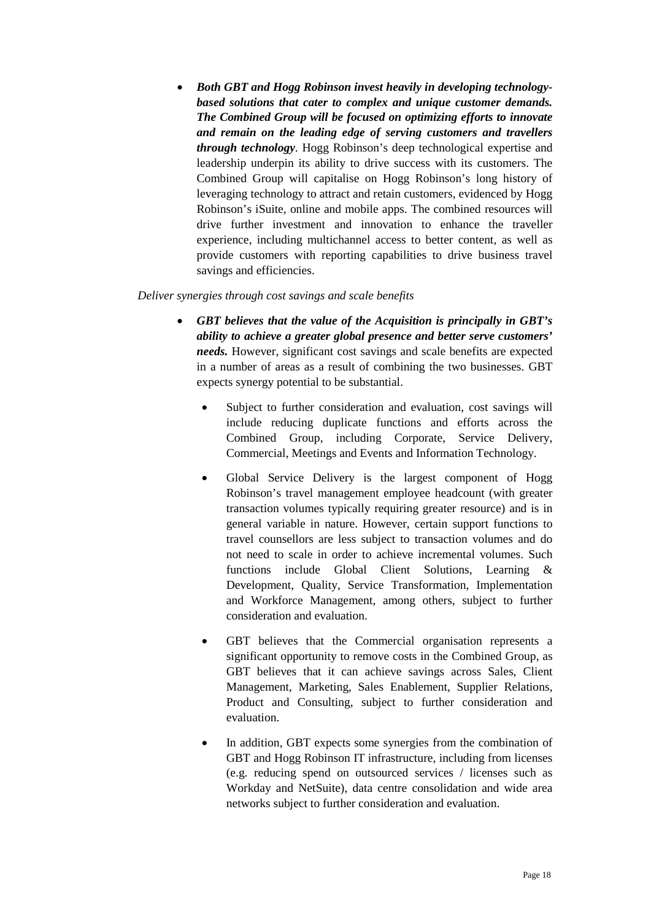• *Both GBT and Hogg Robinson invest heavily in developing technologybased solutions that cater to complex and unique customer demands. The Combined Group will be focused on optimizing efforts to innovate and remain on the leading edge of serving customers and travellers through technology*. Hogg Robinson's deep technological expertise and leadership underpin its ability to drive success with its customers. The Combined Group will capitalise on Hogg Robinson's long history of leveraging technology to attract and retain customers, evidenced by Hogg Robinson's iSuite, online and mobile apps. The combined resources will drive further investment and innovation to enhance the traveller experience, including multichannel access to better content, as well as provide customers with reporting capabilities to drive business travel savings and efficiencies.

## *Deliver synergies through cost savings and scale benefits*

- *GBT believes that the value of the Acquisition is principally in GBT's ability to achieve a greater global presence and better serve customers' needs.* However, significant cost savings and scale benefits are expected in a number of areas as a result of combining the two businesses. GBT expects synergy potential to be substantial.
	- Subject to further consideration and evaluation, cost savings will include reducing duplicate functions and efforts across the Combined Group, including Corporate, Service Delivery, Commercial, Meetings and Events and Information Technology.
	- Global Service Delivery is the largest component of Hogg Robinson's travel management employee headcount (with greater transaction volumes typically requiring greater resource) and is in general variable in nature. However, certain support functions to travel counsellors are less subject to transaction volumes and do not need to scale in order to achieve incremental volumes. Such functions include Global Client Solutions, Learning & Development, Quality, Service Transformation, Implementation and Workforce Management, among others, subject to further consideration and evaluation.
	- GBT believes that the Commercial organisation represents a significant opportunity to remove costs in the Combined Group, as GBT believes that it can achieve savings across Sales, Client Management, Marketing, Sales Enablement, Supplier Relations, Product and Consulting, subject to further consideration and evaluation.
	- In addition, GBT expects some synergies from the combination of GBT and Hogg Robinson IT infrastructure, including from licenses (e.g. reducing spend on outsourced services / licenses such as Workday and NetSuite), data centre consolidation and wide area networks subject to further consideration and evaluation.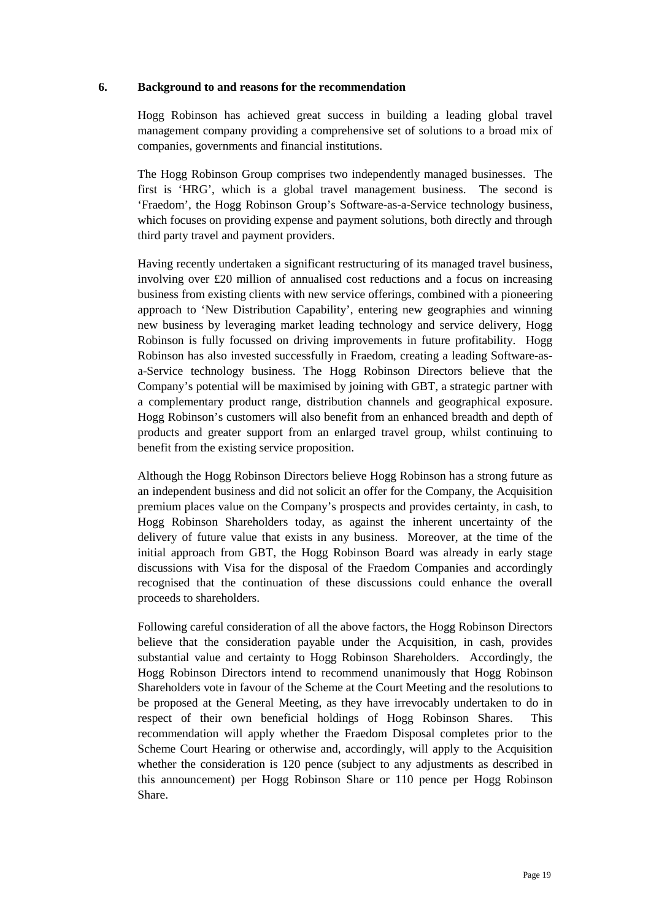### **6. Background to and reasons for the recommendation**

Hogg Robinson has achieved great success in building a leading global travel management company providing a comprehensive set of solutions to a broad mix of companies, governments and financial institutions.

The Hogg Robinson Group comprises two independently managed businesses. The first is 'HRG', which is a global travel management business. The second is 'Fraedom', the Hogg Robinson Group's Software-as-a-Service technology business, which focuses on providing expense and payment solutions, both directly and through third party travel and payment providers.

Having recently undertaken a significant restructuring of its managed travel business, involving over £20 million of annualised cost reductions and a focus on increasing business from existing clients with new service offerings, combined with a pioneering approach to 'New Distribution Capability', entering new geographies and winning new business by leveraging market leading technology and service delivery, Hogg Robinson is fully focussed on driving improvements in future profitability. Hogg Robinson has also invested successfully in Fraedom, creating a leading Software-asa-Service technology business. The Hogg Robinson Directors believe that the Company's potential will be maximised by joining with GBT, a strategic partner with a complementary product range, distribution channels and geographical exposure. Hogg Robinson's customers will also benefit from an enhanced breadth and depth of products and greater support from an enlarged travel group, whilst continuing to benefit from the existing service proposition.

Although the Hogg Robinson Directors believe Hogg Robinson has a strong future as an independent business and did not solicit an offer for the Company, the Acquisition premium places value on the Company's prospects and provides certainty, in cash, to Hogg Robinson Shareholders today, as against the inherent uncertainty of the delivery of future value that exists in any business. Moreover, at the time of the initial approach from GBT, the Hogg Robinson Board was already in early stage discussions with Visa for the disposal of the Fraedom Companies and accordingly recognised that the continuation of these discussions could enhance the overall proceeds to shareholders.

Following careful consideration of all the above factors, the Hogg Robinson Directors believe that the consideration payable under the Acquisition, in cash, provides substantial value and certainty to Hogg Robinson Shareholders. Accordingly, the Hogg Robinson Directors intend to recommend unanimously that Hogg Robinson Shareholders vote in favour of the Scheme at the Court Meeting and the resolutions to be proposed at the General Meeting, as they have irrevocably undertaken to do in respect of their own beneficial holdings of Hogg Robinson Shares. This recommendation will apply whether the Fraedom Disposal completes prior to the Scheme Court Hearing or otherwise and, accordingly, will apply to the Acquisition whether the consideration is 120 pence (subject to any adjustments as described in this announcement) per Hogg Robinson Share or 110 pence per Hogg Robinson Share.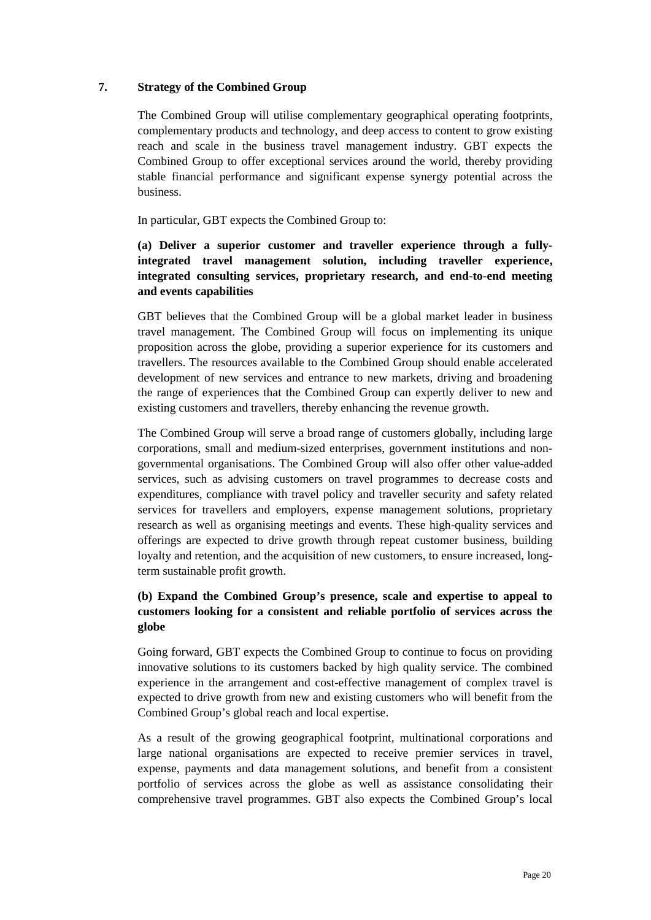# **7. Strategy of the Combined Group**

The Combined Group will utilise complementary geographical operating footprints, complementary products and technology, and deep access to content to grow existing reach and scale in the business travel management industry. GBT expects the Combined Group to offer exceptional services around the world, thereby providing stable financial performance and significant expense synergy potential across the business.

In particular, GBT expects the Combined Group to:

# **(a) Deliver a superior customer and traveller experience through a fullyintegrated travel management solution, including traveller experience, integrated consulting services, proprietary research, and end-to-end meeting and events capabilities**

GBT believes that the Combined Group will be a global market leader in business travel management. The Combined Group will focus on implementing its unique proposition across the globe, providing a superior experience for its customers and travellers. The resources available to the Combined Group should enable accelerated development of new services and entrance to new markets, driving and broadening the range of experiences that the Combined Group can expertly deliver to new and existing customers and travellers, thereby enhancing the revenue growth.

The Combined Group will serve a broad range of customers globally, including large corporations, small and medium-sized enterprises, government institutions and nongovernmental organisations. The Combined Group will also offer other value-added services, such as advising customers on travel programmes to decrease costs and expenditures, compliance with travel policy and traveller security and safety related services for travellers and employers, expense management solutions, proprietary research as well as organising meetings and events. These high-quality services and offerings are expected to drive growth through repeat customer business, building loyalty and retention, and the acquisition of new customers, to ensure increased, longterm sustainable profit growth.

# **(b) Expand the Combined Group's presence, scale and expertise to appeal to customers looking for a consistent and reliable portfolio of services across the globe**

Going forward, GBT expects the Combined Group to continue to focus on providing innovative solutions to its customers backed by high quality service. The combined experience in the arrangement and cost-effective management of complex travel is expected to drive growth from new and existing customers who will benefit from the Combined Group's global reach and local expertise.

As a result of the growing geographical footprint, multinational corporations and large national organisations are expected to receive premier services in travel, expense, payments and data management solutions, and benefit from a consistent portfolio of services across the globe as well as assistance consolidating their comprehensive travel programmes. GBT also expects the Combined Group's local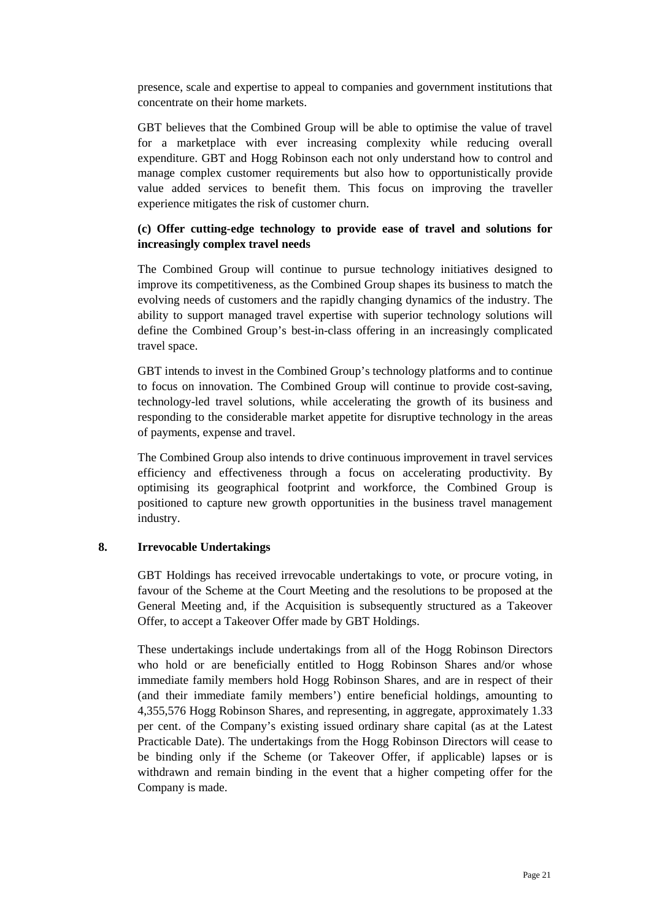presence, scale and expertise to appeal to companies and government institutions that concentrate on their home markets.

GBT believes that the Combined Group will be able to optimise the value of travel for a marketplace with ever increasing complexity while reducing overall expenditure. GBT and Hogg Robinson each not only understand how to control and manage complex customer requirements but also how to opportunistically provide value added services to benefit them. This focus on improving the traveller experience mitigates the risk of customer churn.

# **(c) Offer cutting-edge technology to provide ease of travel and solutions for increasingly complex travel needs**

The Combined Group will continue to pursue technology initiatives designed to improve its competitiveness, as the Combined Group shapes its business to match the evolving needs of customers and the rapidly changing dynamics of the industry. The ability to support managed travel expertise with superior technology solutions will define the Combined Group's best-in-class offering in an increasingly complicated travel space.

GBT intends to invest in the Combined Group's technology platforms and to continue to focus on innovation. The Combined Group will continue to provide cost-saving, technology-led travel solutions, while accelerating the growth of its business and responding to the considerable market appetite for disruptive technology in the areas of payments, expense and travel.

The Combined Group also intends to drive continuous improvement in travel services efficiency and effectiveness through a focus on accelerating productivity. By optimising its geographical footprint and workforce, the Combined Group is positioned to capture new growth opportunities in the business travel management industry.

## **8. Irrevocable Undertakings**

GBT Holdings has received irrevocable undertakings to vote, or procure voting, in favour of the Scheme at the Court Meeting and the resolutions to be proposed at the General Meeting and, if the Acquisition is subsequently structured as a Takeover Offer, to accept a Takeover Offer made by GBT Holdings.

These undertakings include undertakings from all of the Hogg Robinson Directors who hold or are beneficially entitled to Hogg Robinson Shares and/or whose immediate family members hold Hogg Robinson Shares, and are in respect of their (and their immediate family members') entire beneficial holdings, amounting to 4,355,576 Hogg Robinson Shares, and representing, in aggregate, approximately 1.33 per cent. of the Company's existing issued ordinary share capital (as at the Latest Practicable Date). The undertakings from the Hogg Robinson Directors will cease to be binding only if the Scheme (or Takeover Offer, if applicable) lapses or is withdrawn and remain binding in the event that a higher competing offer for the Company is made.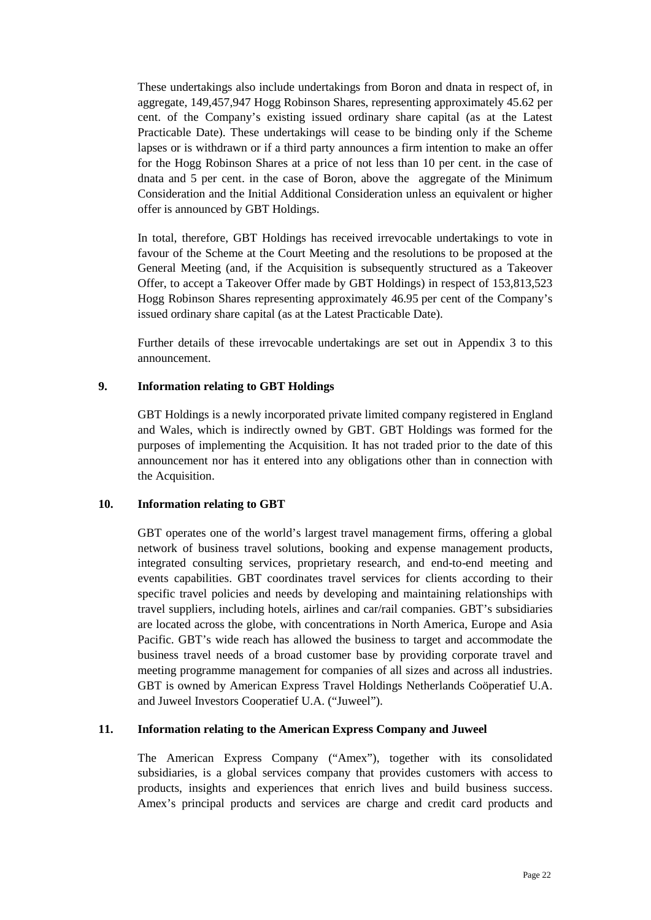These undertakings also include undertakings from Boron and dnata in respect of, in aggregate, 149,457,947 Hogg Robinson Shares, representing approximately 45.62 per cent. of the Company's existing issued ordinary share capital (as at the Latest Practicable Date). These undertakings will cease to be binding only if the Scheme lapses or is withdrawn or if a third party announces a firm intention to make an offer for the Hogg Robinson Shares at a price of not less than 10 per cent. in the case of dnata and 5 per cent. in the case of Boron, above the aggregate of the Minimum Consideration and the Initial Additional Consideration unless an equivalent or higher offer is announced by GBT Holdings.

In total, therefore, GBT Holdings has received irrevocable undertakings to vote in favour of the Scheme at the Court Meeting and the resolutions to be proposed at the General Meeting (and, if the Acquisition is subsequently structured as a Takeover Offer, to accept a Takeover Offer made by GBT Holdings) in respect of 153,813,523 Hogg Robinson Shares representing approximately 46.95 per cent of the Company's issued ordinary share capital (as at the Latest Practicable Date).

Further details of these irrevocable undertakings are set out in Appendix 3 to this announcement.

## **9. Information relating to GBT Holdings**

GBT Holdings is a newly incorporated private limited company registered in England and Wales, which is indirectly owned by GBT. GBT Holdings was formed for the purposes of implementing the Acquisition. It has not traded prior to the date of this announcement nor has it entered into any obligations other than in connection with the Acquisition.

## **10. Information relating to GBT**

GBT operates one of the world's largest travel management firms, offering a global network of business travel solutions, booking and expense management products, integrated consulting services, proprietary research, and end-to-end meeting and events capabilities. GBT coordinates travel services for clients according to their specific travel policies and needs by developing and maintaining relationships with travel suppliers, including hotels, airlines and car/rail companies. GBT's subsidiaries are located across the globe, with concentrations in North America, Europe and Asia Pacific. GBT's wide reach has allowed the business to target and accommodate the business travel needs of a broad customer base by providing corporate travel and meeting programme management for companies of all sizes and across all industries. GBT is owned by American Express Travel Holdings Netherlands Coöperatief U.A. and Juweel Investors Cooperatief U.A. ("Juweel").

## **11. Information relating to the American Express Company and Juweel**

The American Express Company ("Amex"), together with its consolidated subsidiaries, is a global services company that provides customers with access to products, insights and experiences that enrich lives and build business success. Amex's principal products and services are charge and credit card products and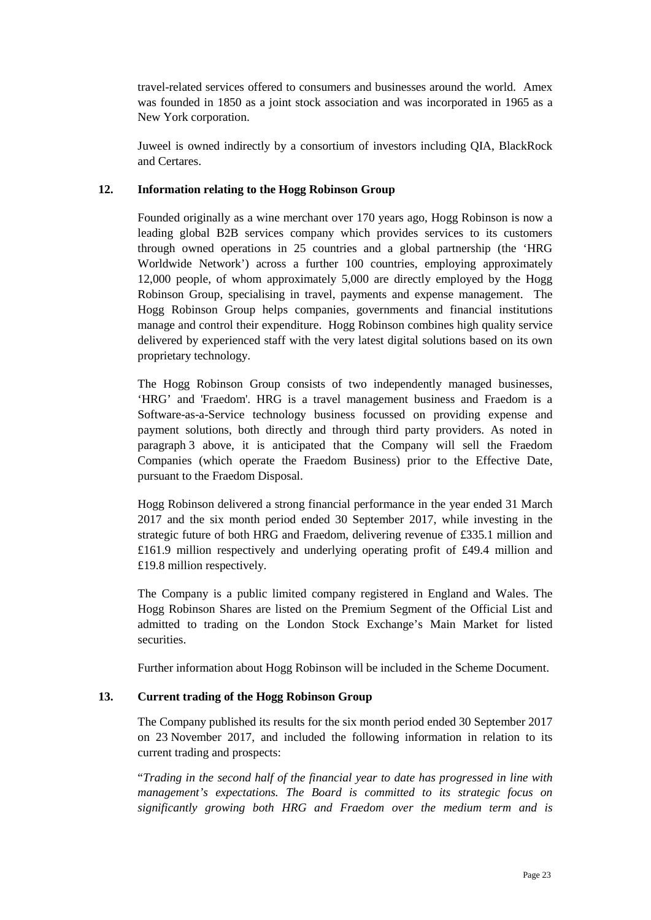travel-related services offered to consumers and businesses around the world. Amex was founded in 1850 as a joint stock association and was incorporated in 1965 as a New York corporation.

Juweel is owned indirectly by a consortium of investors including QIA, BlackRock and Certares.

# **12. Information relating to the Hogg Robinson Group**

Founded originally as a wine merchant over 170 years ago, Hogg Robinson is now a leading global B2B services company which provides services to its customers through owned operations in 25 countries and a global partnership (the 'HRG Worldwide Network') across a further 100 countries, employing approximately 12,000 people, of whom approximately 5,000 are directly employed by the Hogg Robinson Group, specialising in travel, payments and expense management. The Hogg Robinson Group helps companies, governments and financial institutions manage and control their expenditure. Hogg Robinson combines high quality service delivered by experienced staff with the very latest digital solutions based on its own proprietary technology.

The Hogg Robinson Group consists of two independently managed businesses, 'HRG' and 'Fraedom'. HRG is a travel management business and Fraedom is a Software-as-a-Service technology business focussed on providing expense and payment solutions, both directly and through third party providers. As noted in paragraph 3 above, it is anticipated that the Company will sell the Fraedom Companies (which operate the Fraedom Business) prior to the Effective Date, pursuant to the Fraedom Disposal.

Hogg Robinson delivered a strong financial performance in the year ended 31 March 2017 and the six month period ended 30 September 2017, while investing in the strategic future of both HRG and Fraedom, delivering revenue of £335.1 million and £161.9 million respectively and underlying operating profit of £49.4 million and £19.8 million respectively.

The Company is a public limited company registered in England and Wales. The Hogg Robinson Shares are listed on the Premium Segment of the Official List and admitted to trading on the London Stock Exchange's Main Market for listed securities.

Further information about Hogg Robinson will be included in the Scheme Document.

## **13. Current trading of the Hogg Robinson Group**

The Company published its results for the six month period ended 30 September 2017 on 23 November 2017, and included the following information in relation to its current trading and prospects:

"*Trading in the second half of the financial year to date has progressed in line with management's expectations. The Board is committed to its strategic focus on significantly growing both HRG and Fraedom over the medium term and is*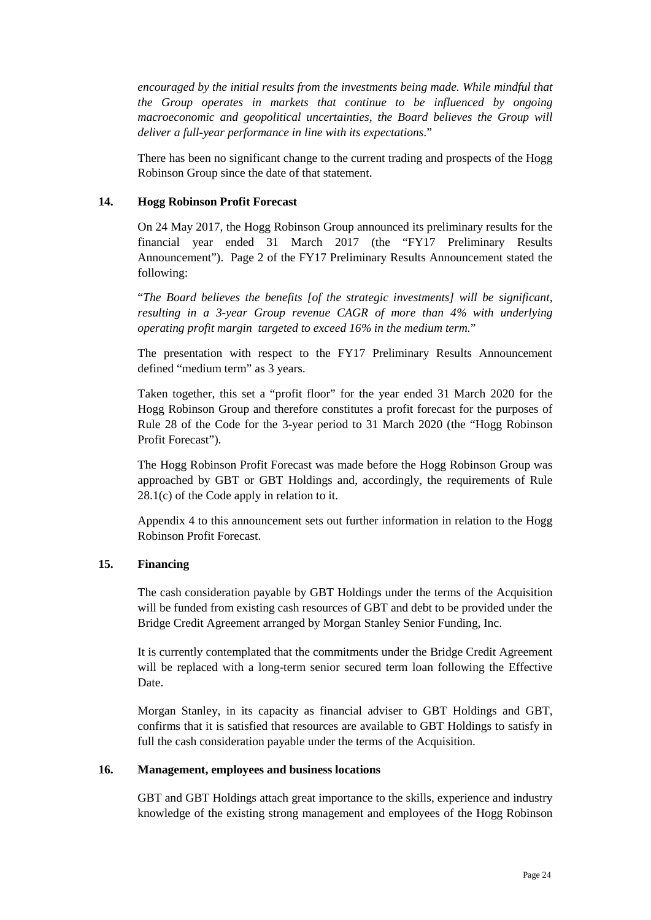*encouraged by the initial results from the investments being made. While mindful that the Group operates in markets that continue to be influenced by ongoing macroeconomic and geopolitical uncertainties, the Board believes the Group will deliver a full-year performance in line with its expectations*."

There has been no significant change to the current trading and prospects of the Hogg Robinson Group since the date of that statement.

#### **14. Hogg Robinson Profit Forecast**

On 24 May 2017, the Hogg Robinson Group announced its preliminary results for the financial year ended 31 March 2017 (the "FY17 Preliminary Results Announcement"). Page 2 of the FY17 Preliminary Results Announcement stated the following:

"*The Board believes the benefits [of the strategic investments] will be significant, resulting in a 3-year Group revenue CAGR of more than 4% with underlying operating profit margin targeted to exceed 16% in the medium term.*"

The presentation with respect to the FY17 Preliminary Results Announcement defined "medium term" as 3 years.

Taken together, this set a "profit floor" for the year ended 31 March 2020 for the Hogg Robinson Group and therefore constitutes a profit forecast for the purposes of Rule 28 of the Code for the 3-year period to 31 March 2020 (the "Hogg Robinson Profit Forecast").

The Hogg Robinson Profit Forecast was made before the Hogg Robinson Group was approached by GBT or GBT Holdings and, accordingly, the requirements of Rule 28.1(c) of the Code apply in relation to it.

Appendix 4 to this announcement sets out further information in relation to the Hogg Robinson Profit Forecast.

## **15. Financing**

The cash consideration payable by GBT Holdings under the terms of the Acquisition will be funded from existing cash resources of GBT and debt to be provided under the Bridge Credit Agreement arranged by Morgan Stanley Senior Funding, Inc.

It is currently contemplated that the commitments under the Bridge Credit Agreement will be replaced with a long-term senior secured term loan following the Effective Date.

Morgan Stanley, in its capacity as financial adviser to GBT Holdings and GBT, confirms that it is satisfied that resources are available to GBT Holdings to satisfy in full the cash consideration payable under the terms of the Acquisition.

#### **16. Management, employees and business locations**

GBT and GBT Holdings attach great importance to the skills, experience and industry knowledge of the existing strong management and employees of the Hogg Robinson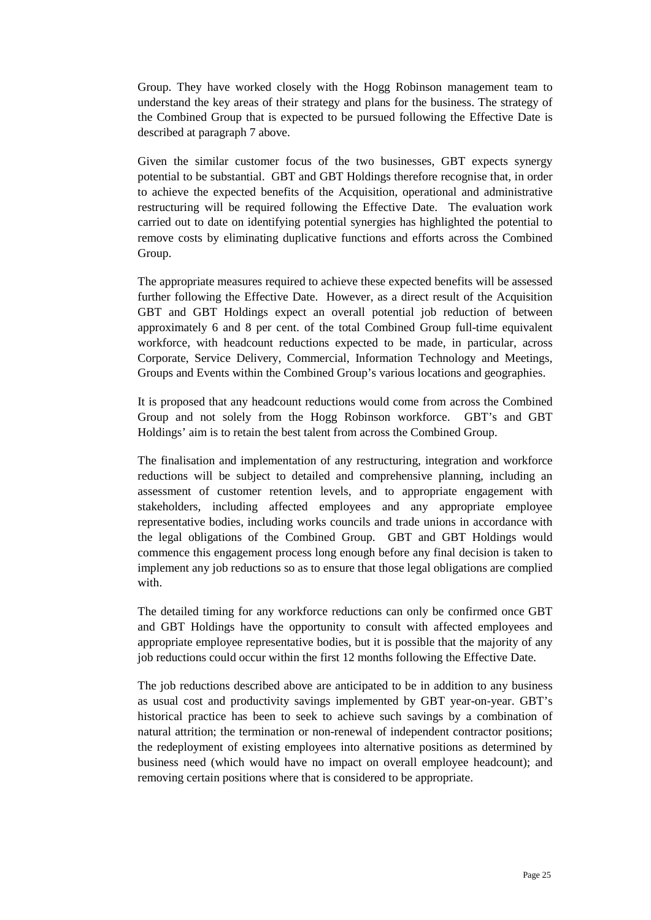Group. They have worked closely with the Hogg Robinson management team to understand the key areas of their strategy and plans for the business. The strategy of the Combined Group that is expected to be pursued following the Effective Date is described at paragraph 7 above.

Given the similar customer focus of the two businesses, GBT expects synergy potential to be substantial. GBT and GBT Holdings therefore recognise that, in order to achieve the expected benefits of the Acquisition, operational and administrative restructuring will be required following the Effective Date. The evaluation work carried out to date on identifying potential synergies has highlighted the potential to remove costs by eliminating duplicative functions and efforts across the Combined Group.

The appropriate measures required to achieve these expected benefits will be assessed further following the Effective Date. However, as a direct result of the Acquisition GBT and GBT Holdings expect an overall potential job reduction of between approximately 6 and 8 per cent. of the total Combined Group full-time equivalent workforce, with headcount reductions expected to be made, in particular, across Corporate, Service Delivery, Commercial, Information Technology and Meetings, Groups and Events within the Combined Group's various locations and geographies.

It is proposed that any headcount reductions would come from across the Combined Group and not solely from the Hogg Robinson workforce. GBT's and GBT Holdings' aim is to retain the best talent from across the Combined Group.

The finalisation and implementation of any restructuring, integration and workforce reductions will be subject to detailed and comprehensive planning, including an assessment of customer retention levels, and to appropriate engagement with stakeholders, including affected employees and any appropriate employee representative bodies, including works councils and trade unions in accordance with the legal obligations of the Combined Group. GBT and GBT Holdings would commence this engagement process long enough before any final decision is taken to implement any job reductions so as to ensure that those legal obligations are complied with

The detailed timing for any workforce reductions can only be confirmed once GBT and GBT Holdings have the opportunity to consult with affected employees and appropriate employee representative bodies, but it is possible that the majority of any job reductions could occur within the first 12 months following the Effective Date.

The job reductions described above are anticipated to be in addition to any business as usual cost and productivity savings implemented by GBT year-on-year. GBT's historical practice has been to seek to achieve such savings by a combination of natural attrition; the termination or non-renewal of independent contractor positions; the redeployment of existing employees into alternative positions as determined by business need (which would have no impact on overall employee headcount); and removing certain positions where that is considered to be appropriate.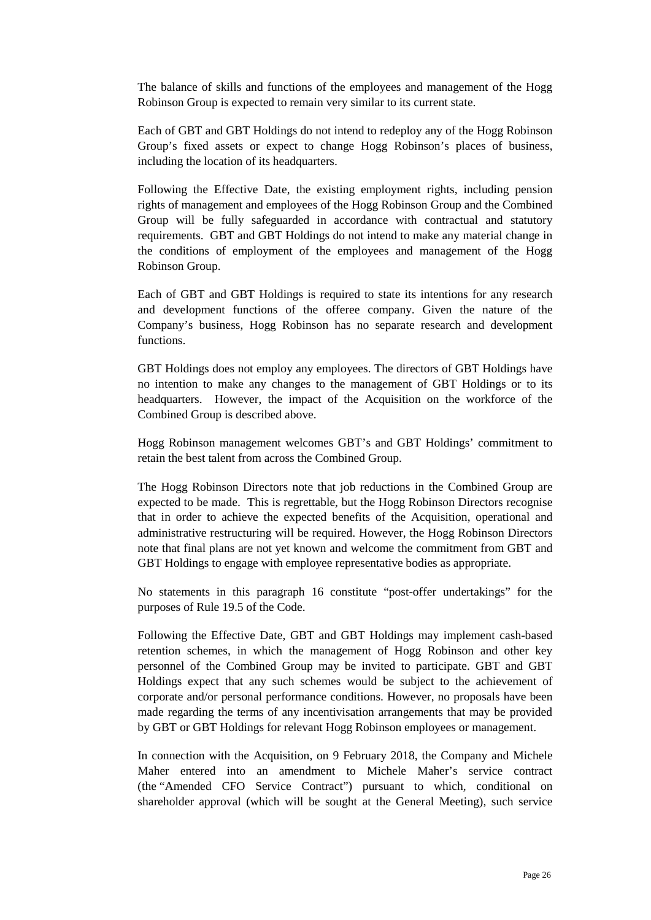The balance of skills and functions of the employees and management of the Hogg Robinson Group is expected to remain very similar to its current state.

Each of GBT and GBT Holdings do not intend to redeploy any of the Hogg Robinson Group's fixed assets or expect to change Hogg Robinson's places of business, including the location of its headquarters.

Following the Effective Date, the existing employment rights, including pension rights of management and employees of the Hogg Robinson Group and the Combined Group will be fully safeguarded in accordance with contractual and statutory requirements. GBT and GBT Holdings do not intend to make any material change in the conditions of employment of the employees and management of the Hogg Robinson Group.

Each of GBT and GBT Holdings is required to state its intentions for any research and development functions of the offeree company. Given the nature of the Company's business, Hogg Robinson has no separate research and development functions.

GBT Holdings does not employ any employees. The directors of GBT Holdings have no intention to make any changes to the management of GBT Holdings or to its headquarters. However, the impact of the Acquisition on the workforce of the Combined Group is described above.

Hogg Robinson management welcomes GBT's and GBT Holdings' commitment to retain the best talent from across the Combined Group.

The Hogg Robinson Directors note that job reductions in the Combined Group are expected to be made. This is regrettable, but the Hogg Robinson Directors recognise that in order to achieve the expected benefits of the Acquisition, operational and administrative restructuring will be required. However, the Hogg Robinson Directors note that final plans are not yet known and welcome the commitment from GBT and GBT Holdings to engage with employee representative bodies as appropriate.

No statements in this paragraph 16 constitute "post-offer undertakings" for the purposes of Rule 19.5 of the Code.

Following the Effective Date, GBT and GBT Holdings may implement cash-based retention schemes, in which the management of Hogg Robinson and other key personnel of the Combined Group may be invited to participate. GBT and GBT Holdings expect that any such schemes would be subject to the achievement of corporate and/or personal performance conditions. However, no proposals have been made regarding the terms of any incentivisation arrangements that may be provided by GBT or GBT Holdings for relevant Hogg Robinson employees or management.

In connection with the Acquisition, on 9 February 2018, the Company and Michele Maher entered into an amendment to Michele Maher's service contract (the "Amended CFO Service Contract") pursuant to which, conditional on shareholder approval (which will be sought at the General Meeting), such service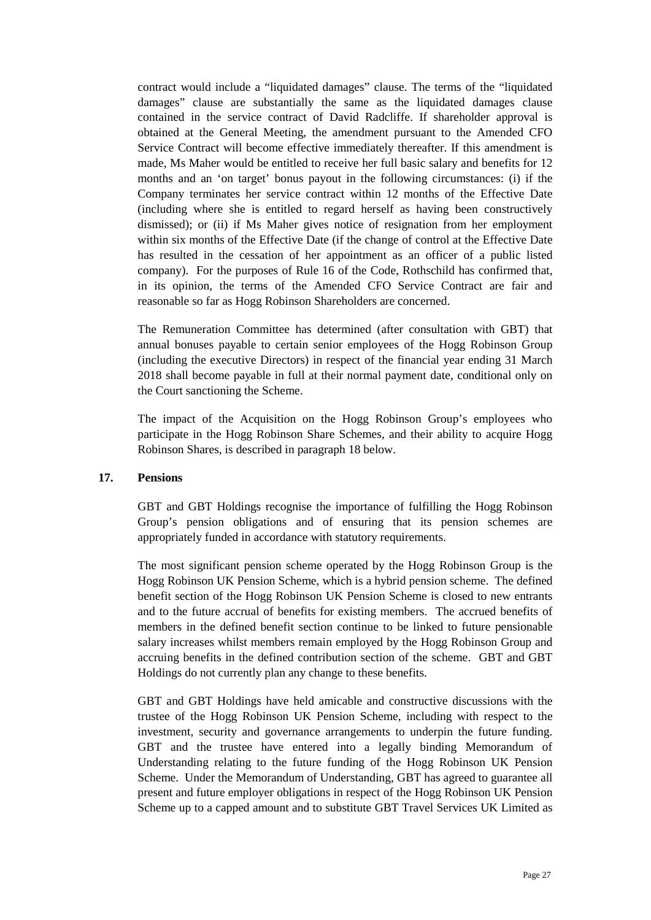contract would include a "liquidated damages" clause. The terms of the "liquidated damages" clause are substantially the same as the liquidated damages clause contained in the service contract of David Radcliffe. If shareholder approval is obtained at the General Meeting, the amendment pursuant to the Amended CFO Service Contract will become effective immediately thereafter. If this amendment is made, Ms Maher would be entitled to receive her full basic salary and benefits for 12 months and an 'on target' bonus payout in the following circumstances: (i) if the Company terminates her service contract within 12 months of the Effective Date (including where she is entitled to regard herself as having been constructively dismissed); or (ii) if Ms Maher gives notice of resignation from her employment within six months of the Effective Date (if the change of control at the Effective Date has resulted in the cessation of her appointment as an officer of a public listed company). For the purposes of Rule 16 of the Code, Rothschild has confirmed that, in its opinion, the terms of the Amended CFO Service Contract are fair and reasonable so far as Hogg Robinson Shareholders are concerned.

The Remuneration Committee has determined (after consultation with GBT) that annual bonuses payable to certain senior employees of the Hogg Robinson Group (including the executive Directors) in respect of the financial year ending 31 March 2018 shall become payable in full at their normal payment date, conditional only on the Court sanctioning the Scheme.

The impact of the Acquisition on the Hogg Robinson Group's employees who participate in the Hogg Robinson Share Schemes, and their ability to acquire Hogg Robinson Shares, is described in paragraph 18 below.

## **17. Pensions**

GBT and GBT Holdings recognise the importance of fulfilling the Hogg Robinson Group's pension obligations and of ensuring that its pension schemes are appropriately funded in accordance with statutory requirements.

The most significant pension scheme operated by the Hogg Robinson Group is the Hogg Robinson UK Pension Scheme, which is a hybrid pension scheme. The defined benefit section of the Hogg Robinson UK Pension Scheme is closed to new entrants and to the future accrual of benefits for existing members. The accrued benefits of members in the defined benefit section continue to be linked to future pensionable salary increases whilst members remain employed by the Hogg Robinson Group and accruing benefits in the defined contribution section of the scheme. GBT and GBT Holdings do not currently plan any change to these benefits.

GBT and GBT Holdings have held amicable and constructive discussions with the trustee of the Hogg Robinson UK Pension Scheme, including with respect to the investment, security and governance arrangements to underpin the future funding. GBT and the trustee have entered into a legally binding Memorandum of Understanding relating to the future funding of the Hogg Robinson UK Pension Scheme. Under the Memorandum of Understanding, GBT has agreed to guarantee all present and future employer obligations in respect of the Hogg Robinson UK Pension Scheme up to a capped amount and to substitute GBT Travel Services UK Limited as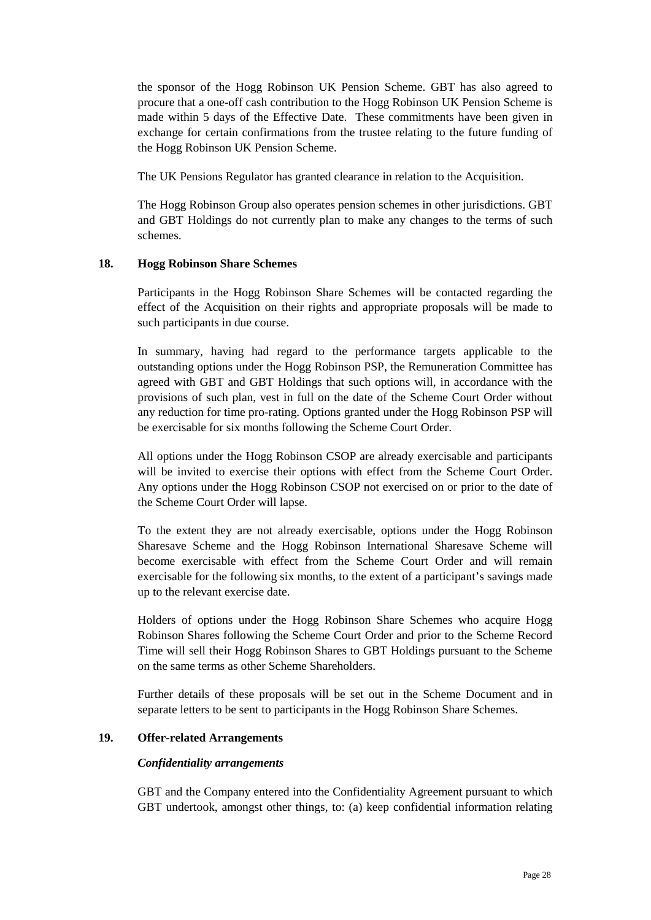the sponsor of the Hogg Robinson UK Pension Scheme. GBT has also agreed to procure that a one-off cash contribution to the Hogg Robinson UK Pension Scheme is made within 5 days of the Effective Date. These commitments have been given in exchange for certain confirmations from the trustee relating to the future funding of the Hogg Robinson UK Pension Scheme.

The UK Pensions Regulator has granted clearance in relation to the Acquisition.

The Hogg Robinson Group also operates pension schemes in other jurisdictions. GBT and GBT Holdings do not currently plan to make any changes to the terms of such schemes.

## **18. Hogg Robinson Share Schemes**

Participants in the Hogg Robinson Share Schemes will be contacted regarding the effect of the Acquisition on their rights and appropriate proposals will be made to such participants in due course.

In summary, having had regard to the performance targets applicable to the outstanding options under the Hogg Robinson PSP, the Remuneration Committee has agreed with GBT and GBT Holdings that such options will, in accordance with the provisions of such plan, vest in full on the date of the Scheme Court Order without any reduction for time pro-rating. Options granted under the Hogg Robinson PSP will be exercisable for six months following the Scheme Court Order.

All options under the Hogg Robinson CSOP are already exercisable and participants will be invited to exercise their options with effect from the Scheme Court Order. Any options under the Hogg Robinson CSOP not exercised on or prior to the date of the Scheme Court Order will lapse.

To the extent they are not already exercisable, options under the Hogg Robinson Sharesave Scheme and the Hogg Robinson International Sharesave Scheme will become exercisable with effect from the Scheme Court Order and will remain exercisable for the following six months, to the extent of a participant's savings made up to the relevant exercise date.

Holders of options under the Hogg Robinson Share Schemes who acquire Hogg Robinson Shares following the Scheme Court Order and prior to the Scheme Record Time will sell their Hogg Robinson Shares to GBT Holdings pursuant to the Scheme on the same terms as other Scheme Shareholders.

Further details of these proposals will be set out in the Scheme Document and in separate letters to be sent to participants in the Hogg Robinson Share Schemes.

# **19. Offer-related Arrangements**

## *Confidentiality arrangements*

GBT and the Company entered into the Confidentiality Agreement pursuant to which GBT undertook, amongst other things, to: (a) keep confidential information relating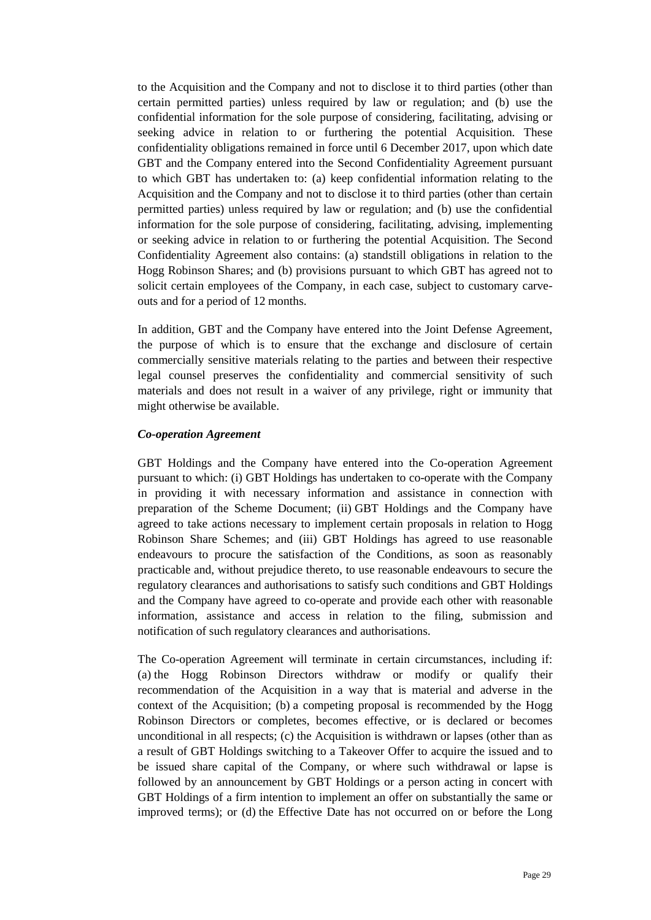to the Acquisition and the Company and not to disclose it to third parties (other than certain permitted parties) unless required by law or regulation; and (b) use the confidential information for the sole purpose of considering, facilitating, advising or seeking advice in relation to or furthering the potential Acquisition. These confidentiality obligations remained in force until 6 December 2017, upon which date GBT and the Company entered into the Second Confidentiality Agreement pursuant to which GBT has undertaken to: (a) keep confidential information relating to the Acquisition and the Company and not to disclose it to third parties (other than certain permitted parties) unless required by law or regulation; and (b) use the confidential information for the sole purpose of considering, facilitating, advising, implementing or seeking advice in relation to or furthering the potential Acquisition. The Second Confidentiality Agreement also contains: (a) standstill obligations in relation to the Hogg Robinson Shares; and (b) provisions pursuant to which GBT has agreed not to solicit certain employees of the Company, in each case, subject to customary carveouts and for a period of 12 months.

In addition, GBT and the Company have entered into the Joint Defense Agreement, the purpose of which is to ensure that the exchange and disclosure of certain commercially sensitive materials relating to the parties and between their respective legal counsel preserves the confidentiality and commercial sensitivity of such materials and does not result in a waiver of any privilege, right or immunity that might otherwise be available.

## *Co-operation Agreement*

GBT Holdings and the Company have entered into the Co-operation Agreement pursuant to which: (i) GBT Holdings has undertaken to co-operate with the Company in providing it with necessary information and assistance in connection with preparation of the Scheme Document; (ii) GBT Holdings and the Company have agreed to take actions necessary to implement certain proposals in relation to Hogg Robinson Share Schemes; and (iii) GBT Holdings has agreed to use reasonable endeavours to procure the satisfaction of the Conditions, as soon as reasonably practicable and, without prejudice thereto, to use reasonable endeavours to secure the regulatory clearances and authorisations to satisfy such conditions and GBT Holdings and the Company have agreed to co-operate and provide each other with reasonable information, assistance and access in relation to the filing, submission and notification of such regulatory clearances and authorisations.

The Co-operation Agreement will terminate in certain circumstances, including if: (a) the Hogg Robinson Directors withdraw or modify or qualify their recommendation of the Acquisition in a way that is material and adverse in the context of the Acquisition; (b) a competing proposal is recommended by the Hogg Robinson Directors or completes, becomes effective, or is declared or becomes unconditional in all respects; (c) the Acquisition is withdrawn or lapses (other than as a result of GBT Holdings switching to a Takeover Offer to acquire the issued and to be issued share capital of the Company, or where such withdrawal or lapse is followed by an announcement by GBT Holdings or a person acting in concert with GBT Holdings of a firm intention to implement an offer on substantially the same or improved terms); or (d) the Effective Date has not occurred on or before the Long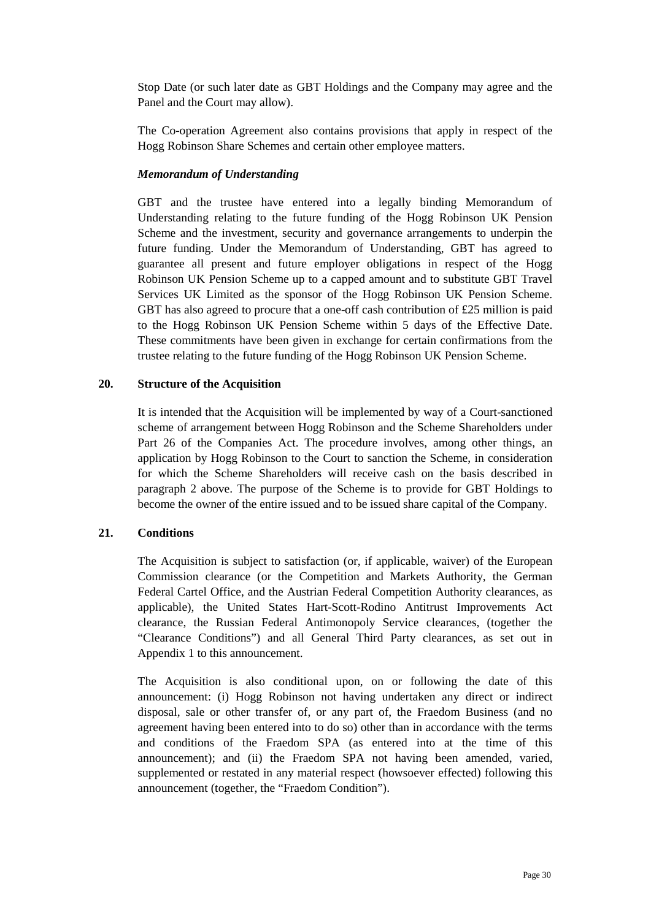Stop Date (or such later date as GBT Holdings and the Company may agree and the Panel and the Court may allow).

The Co-operation Agreement also contains provisions that apply in respect of the Hogg Robinson Share Schemes and certain other employee matters.

## *Memorandum of Understanding*

GBT and the trustee have entered into a legally binding Memorandum of Understanding relating to the future funding of the Hogg Robinson UK Pension Scheme and the investment, security and governance arrangements to underpin the future funding. Under the Memorandum of Understanding, GBT has agreed to guarantee all present and future employer obligations in respect of the Hogg Robinson UK Pension Scheme up to a capped amount and to substitute GBT Travel Services UK Limited as the sponsor of the Hogg Robinson UK Pension Scheme. GBT has also agreed to procure that a one-off cash contribution of  $\text{\pounds}25$  million is paid to the Hogg Robinson UK Pension Scheme within 5 days of the Effective Date. These commitments have been given in exchange for certain confirmations from the trustee relating to the future funding of the Hogg Robinson UK Pension Scheme.

# **20. Structure of the Acquisition**

It is intended that the Acquisition will be implemented by way of a Court-sanctioned scheme of arrangement between Hogg Robinson and the Scheme Shareholders under Part 26 of the Companies Act. The procedure involves, among other things, an application by Hogg Robinson to the Court to sanction the Scheme, in consideration for which the Scheme Shareholders will receive cash on the basis described in paragraph 2 above. The purpose of the Scheme is to provide for GBT Holdings to become the owner of the entire issued and to be issued share capital of the Company.

# **21. Conditions**

The Acquisition is subject to satisfaction (or, if applicable, waiver) of the European Commission clearance (or the Competition and Markets Authority, the German Federal Cartel Office, and the Austrian Federal Competition Authority clearances, as applicable), the United States Hart-Scott-Rodino Antitrust Improvements Act clearance, the Russian Federal Antimonopoly Service clearances, (together the "Clearance Conditions") and all General Third Party clearances, as set out in Appendix 1 to this announcement.

The Acquisition is also conditional upon, on or following the date of this announcement: (i) Hogg Robinson not having undertaken any direct or indirect disposal, sale or other transfer of, or any part of, the Fraedom Business (and no agreement having been entered into to do so) other than in accordance with the terms and conditions of the Fraedom SPA (as entered into at the time of this announcement); and (ii) the Fraedom SPA not having been amended, varied, supplemented or restated in any material respect (howsoever effected) following this announcement (together, the "Fraedom Condition").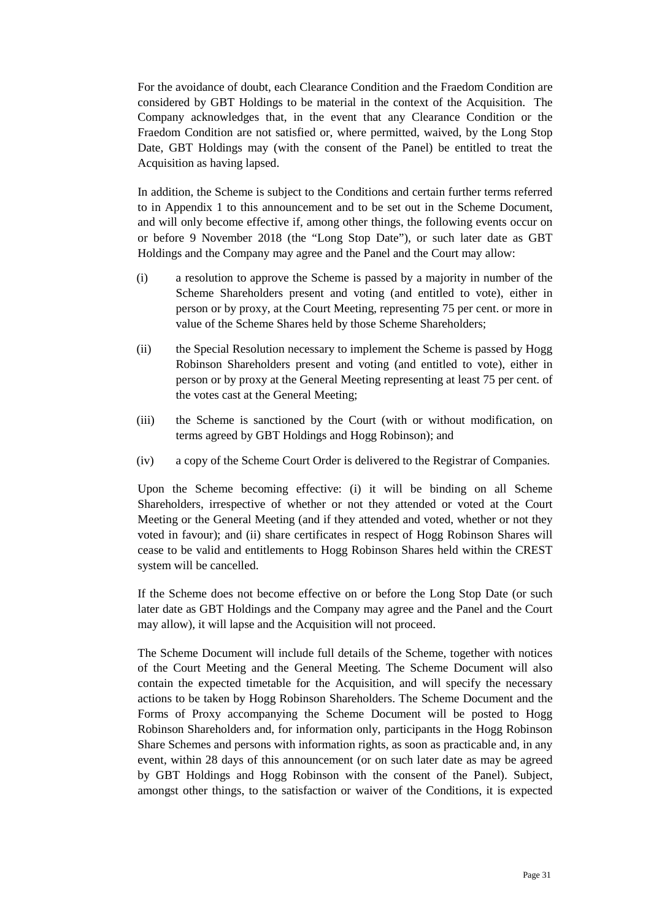For the avoidance of doubt, each Clearance Condition and the Fraedom Condition are considered by GBT Holdings to be material in the context of the Acquisition. The Company acknowledges that, in the event that any Clearance Condition or the Fraedom Condition are not satisfied or, where permitted, waived, by the Long Stop Date, GBT Holdings may (with the consent of the Panel) be entitled to treat the Acquisition as having lapsed.

In addition, the Scheme is subject to the Conditions and certain further terms referred to in Appendix 1 to this announcement and to be set out in the Scheme Document, and will only become effective if, among other things, the following events occur on or before 9 November 2018 (the "Long Stop Date"), or such later date as GBT Holdings and the Company may agree and the Panel and the Court may allow:

- (i) a resolution to approve the Scheme is passed by a majority in number of the Scheme Shareholders present and voting (and entitled to vote), either in person or by proxy, at the Court Meeting, representing 75 per cent. or more in value of the Scheme Shares held by those Scheme Shareholders;
- (ii) the Special Resolution necessary to implement the Scheme is passed by Hogg Robinson Shareholders present and voting (and entitled to vote), either in person or by proxy at the General Meeting representing at least 75 per cent. of the votes cast at the General Meeting;
- (iii) the Scheme is sanctioned by the Court (with or without modification, on terms agreed by GBT Holdings and Hogg Robinson); and
- (iv) a copy of the Scheme Court Order is delivered to the Registrar of Companies.

Upon the Scheme becoming effective: (i) it will be binding on all Scheme Shareholders, irrespective of whether or not they attended or voted at the Court Meeting or the General Meeting (and if they attended and voted, whether or not they voted in favour); and (ii) share certificates in respect of Hogg Robinson Shares will cease to be valid and entitlements to Hogg Robinson Shares held within the CREST system will be cancelled.

If the Scheme does not become effective on or before the Long Stop Date (or such later date as GBT Holdings and the Company may agree and the Panel and the Court may allow), it will lapse and the Acquisition will not proceed.

The Scheme Document will include full details of the Scheme, together with notices of the Court Meeting and the General Meeting. The Scheme Document will also contain the expected timetable for the Acquisition, and will specify the necessary actions to be taken by Hogg Robinson Shareholders. The Scheme Document and the Forms of Proxy accompanying the Scheme Document will be posted to Hogg Robinson Shareholders and, for information only, participants in the Hogg Robinson Share Schemes and persons with information rights, as soon as practicable and, in any event, within 28 days of this announcement (or on such later date as may be agreed by GBT Holdings and Hogg Robinson with the consent of the Panel). Subject, amongst other things, to the satisfaction or waiver of the Conditions, it is expected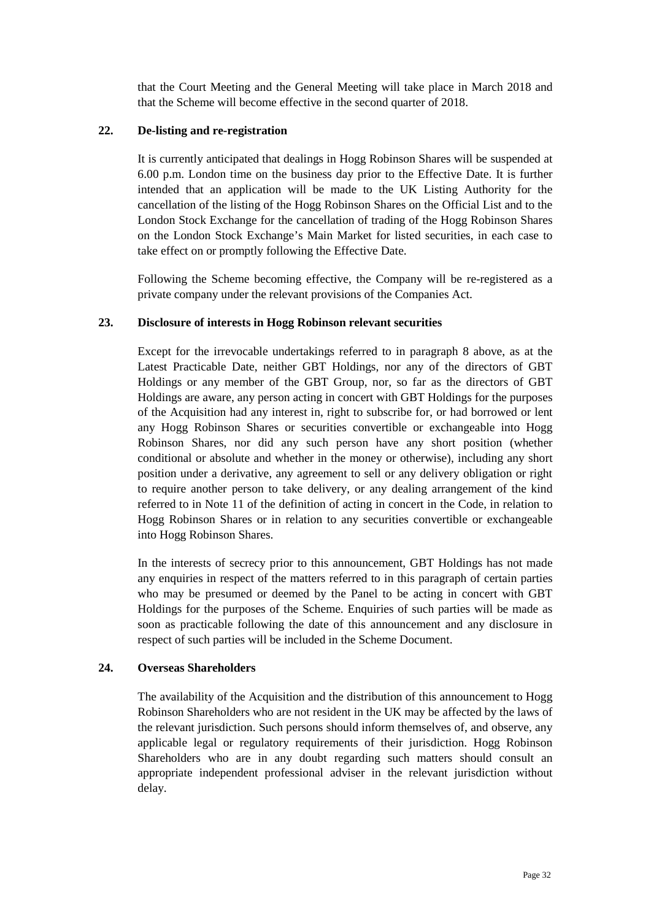that the Court Meeting and the General Meeting will take place in March 2018 and that the Scheme will become effective in the second quarter of 2018.

#### **22. De-listing and re-registration**

It is currently anticipated that dealings in Hogg Robinson Shares will be suspended at 6.00 p.m. London time on the business day prior to the Effective Date. It is further intended that an application will be made to the UK Listing Authority for the cancellation of the listing of the Hogg Robinson Shares on the Official List and to the London Stock Exchange for the cancellation of trading of the Hogg Robinson Shares on the London Stock Exchange's Main Market for listed securities, in each case to take effect on or promptly following the Effective Date.

Following the Scheme becoming effective, the Company will be re-registered as a private company under the relevant provisions of the Companies Act.

## **23. Disclosure of interests in Hogg Robinson relevant securities**

Except for the irrevocable undertakings referred to in paragraph 8 above, as at the Latest Practicable Date, neither GBT Holdings, nor any of the directors of GBT Holdings or any member of the GBT Group, nor, so far as the directors of GBT Holdings are aware, any person acting in concert with GBT Holdings for the purposes of the Acquisition had any interest in, right to subscribe for, or had borrowed or lent any Hogg Robinson Shares or securities convertible or exchangeable into Hogg Robinson Shares, nor did any such person have any short position (whether conditional or absolute and whether in the money or otherwise), including any short position under a derivative, any agreement to sell or any delivery obligation or right to require another person to take delivery, or any dealing arrangement of the kind referred to in Note 11 of the definition of acting in concert in the Code, in relation to Hogg Robinson Shares or in relation to any securities convertible or exchangeable into Hogg Robinson Shares.

In the interests of secrecy prior to this announcement, GBT Holdings has not made any enquiries in respect of the matters referred to in this paragraph of certain parties who may be presumed or deemed by the Panel to be acting in concert with GBT Holdings for the purposes of the Scheme. Enquiries of such parties will be made as soon as practicable following the date of this announcement and any disclosure in respect of such parties will be included in the Scheme Document.

#### **24. Overseas Shareholders**

The availability of the Acquisition and the distribution of this announcement to Hogg Robinson Shareholders who are not resident in the UK may be affected by the laws of the relevant jurisdiction. Such persons should inform themselves of, and observe, any applicable legal or regulatory requirements of their jurisdiction. Hogg Robinson Shareholders who are in any doubt regarding such matters should consult an appropriate independent professional adviser in the relevant jurisdiction without delay.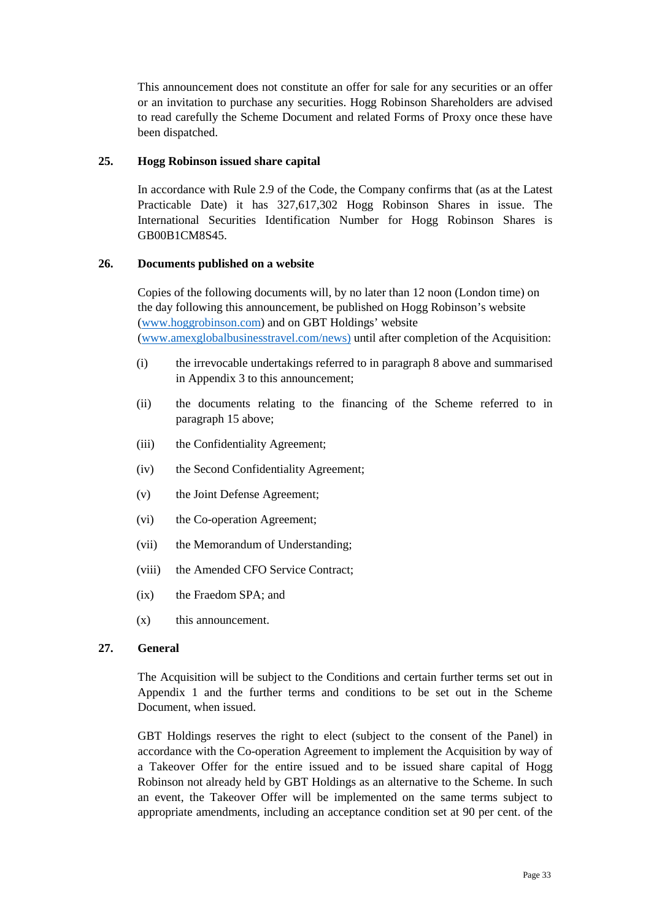This announcement does not constitute an offer for sale for any securities or an offer or an invitation to purchase any securities. Hogg Robinson Shareholders are advised to read carefully the Scheme Document and related Forms of Proxy once these have been dispatched.

## **25. Hogg Robinson issued share capital**

In accordance with Rule 2.9 of the Code, the Company confirms that (as at the Latest Practicable Date) it has 327,617,302 Hogg Robinson Shares in issue. The International Securities Identification Number for Hogg Robinson Shares is GB00B1CM8S45.

# **26. Documents published on a website**

Copies of the following documents will, by no later than 12 noon (London time) on the day following this announcement, be published on Hogg Robinson's website (www.hoggrobinson.com) and on GBT Holdings' website (www.amexglobalbusinesstravel.com/news) until after completion of the Acquisition:

- (i) the irrevocable undertakings referred to in paragraph 8 above and summarised in Appendix 3 to this announcement;
- (ii) the documents relating to the financing of the Scheme referred to in paragraph 15 above;
- (iii) the Confidentiality Agreement;
- (iv) the Second Confidentiality Agreement;
- (v) the Joint Defense Agreement;
- (vi) the Co-operation Agreement;
- (vii) the Memorandum of Understanding;
- (viii) the Amended CFO Service Contract;
- (ix) the Fraedom SPA; and
- (x) this announcement.

## **27. General**

The Acquisition will be subject to the Conditions and certain further terms set out in Appendix 1 and the further terms and conditions to be set out in the Scheme Document, when issued.

GBT Holdings reserves the right to elect (subject to the consent of the Panel) in accordance with the Co-operation Agreement to implement the Acquisition by way of a Takeover Offer for the entire issued and to be issued share capital of Hogg Robinson not already held by GBT Holdings as an alternative to the Scheme. In such an event, the Takeover Offer will be implemented on the same terms subject to appropriate amendments, including an acceptance condition set at 90 per cent. of the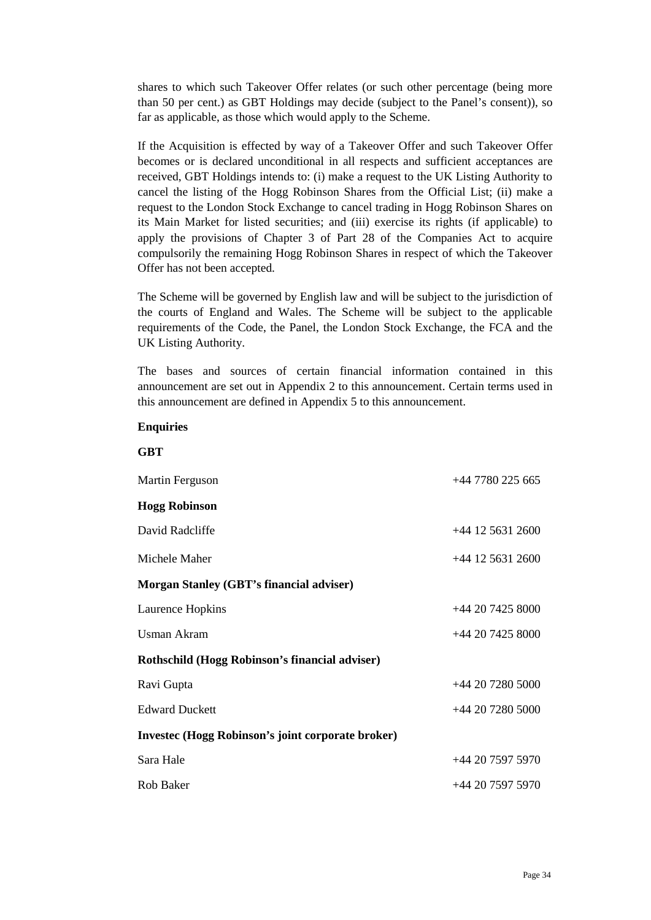shares to which such Takeover Offer relates (or such other percentage (being more than 50 per cent.) as GBT Holdings may decide (subject to the Panel's consent)), so far as applicable, as those which would apply to the Scheme.

If the Acquisition is effected by way of a Takeover Offer and such Takeover Offer becomes or is declared unconditional in all respects and sufficient acceptances are received, GBT Holdings intends to: (i) make a request to the UK Listing Authority to cancel the listing of the Hogg Robinson Shares from the Official List; (ii) make a request to the London Stock Exchange to cancel trading in Hogg Robinson Shares on its Main Market for listed securities; and (iii) exercise its rights (if applicable) to apply the provisions of Chapter 3 of Part 28 of the Companies Act to acquire compulsorily the remaining Hogg Robinson Shares in respect of which the Takeover Offer has not been accepted.

The Scheme will be governed by English law and will be subject to the jurisdiction of the courts of England and Wales. The Scheme will be subject to the applicable requirements of the Code, the Panel, the London Stock Exchange, the FCA and the UK Listing Authority.

The bases and sources of certain financial information contained in this announcement are set out in Appendix 2 to this announcement. Certain terms used in this announcement are defined in Appendix 5 to this announcement.

#### **Enquiries**

#### **GBT**

| Martin Ferguson                                          | $+44\,7780\,225\,665$ |
|----------------------------------------------------------|-----------------------|
| <b>Hogg Robinson</b>                                     |                       |
| David Radcliffe                                          | +44 12 5631 2600      |
| Michele Maher                                            | $+44$ 12 5631 2600    |
| <b>Morgan Stanley (GBT's financial adviser)</b>          |                       |
| Laurence Hopkins                                         | $+442074258000$       |
| <b>Usman Akram</b>                                       | $+442074258000$       |
| Rothschild (Hogg Robinson's financial adviser)           |                       |
| Ravi Gupta                                               | $+442072805000$       |
| <b>Edward Duckett</b>                                    | $+442072805000$       |
| <b>Investec (Hogg Robinson's joint corporate broker)</b> |                       |
| Sara Hale                                                | +44 20 7597 5970      |
| Rob Baker                                                | $+44$ 20 7597 5970    |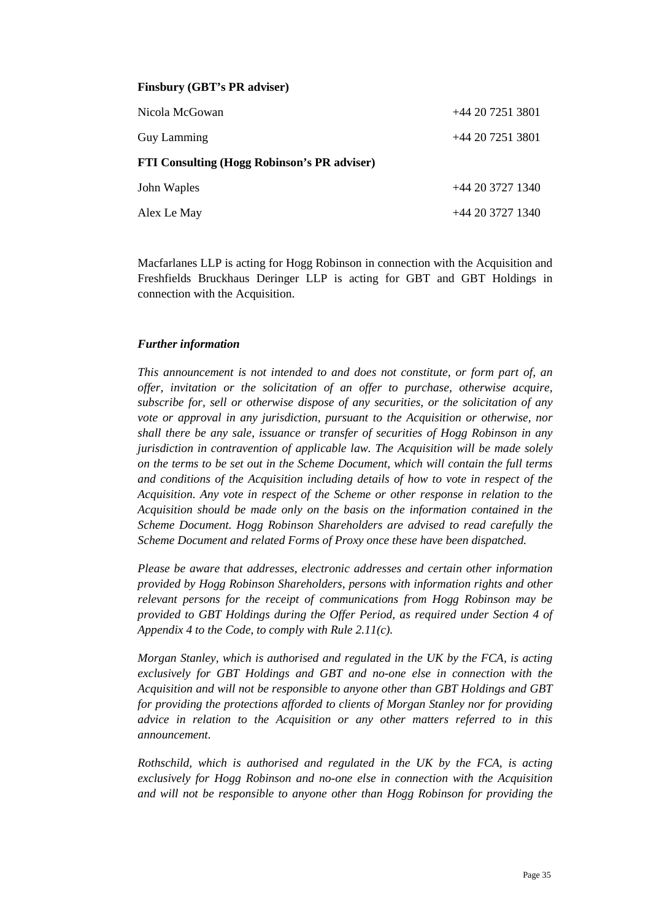| Nicola McGowan                                     | $+442072513801$ |
|----------------------------------------------------|-----------------|
| Guy Lamming                                        | $+442072513801$ |
| <b>FTI Consulting (Hogg Robinson's PR adviser)</b> |                 |
| John Waples                                        | $+442037271340$ |
| Alex Le May                                        | $+442037271340$ |

Macfarlanes LLP is acting for Hogg Robinson in connection with the Acquisition and Freshfields Bruckhaus Deringer LLP is acting for GBT and GBT Holdings in connection with the Acquisition.

## *Further information*

*This announcement is not intended to and does not constitute, or form part of, an offer, invitation or the solicitation of an offer to purchase, otherwise acquire, subscribe for, sell or otherwise dispose of any securities, or the solicitation of any vote or approval in any jurisdiction, pursuant to the Acquisition or otherwise, nor shall there be any sale, issuance or transfer of securities of Hogg Robinson in any jurisdiction in contravention of applicable law. The Acquisition will be made solely on the terms to be set out in the Scheme Document, which will contain the full terms and conditions of the Acquisition including details of how to vote in respect of the Acquisition. Any vote in respect of the Scheme or other response in relation to the Acquisition should be made only on the basis on the information contained in the Scheme Document. Hogg Robinson Shareholders are advised to read carefully the Scheme Document and related Forms of Proxy once these have been dispatched.* 

*Please be aware that addresses, electronic addresses and certain other information provided by Hogg Robinson Shareholders, persons with information rights and other relevant persons for the receipt of communications from Hogg Robinson may be provided to GBT Holdings during the Offer Period, as required under Section 4 of Appendix 4 to the Code, to comply with Rule 2.11(c).* 

*Morgan Stanley, which is authorised and regulated in the UK by the FCA, is acting exclusively for GBT Holdings and GBT and no-one else in connection with the Acquisition and will not be responsible to anyone other than GBT Holdings and GBT for providing the protections afforded to clients of Morgan Stanley nor for providing advice in relation to the Acquisition or any other matters referred to in this announcement.* 

*Rothschild, which is authorised and regulated in the UK by the FCA, is acting exclusively for Hogg Robinson and no-one else in connection with the Acquisition and will not be responsible to anyone other than Hogg Robinson for providing the*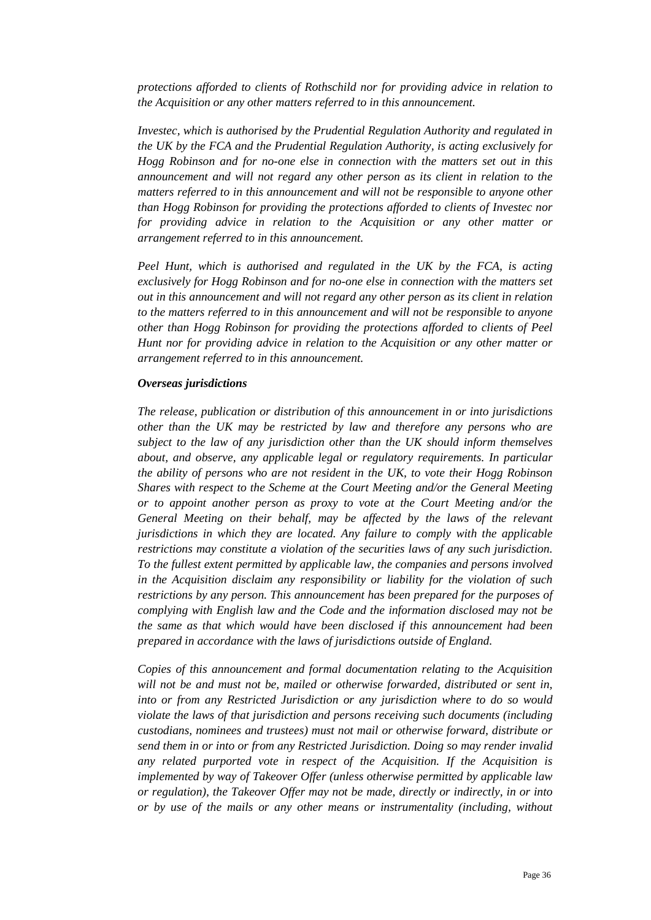*protections afforded to clients of Rothschild nor for providing advice in relation to the Acquisition or any other matters referred to in this announcement.* 

*Investec, which is authorised by the Prudential Regulation Authority and regulated in the UK by the FCA and the Prudential Regulation Authority, is acting exclusively for Hogg Robinson and for no-one else in connection with the matters set out in this announcement and will not regard any other person as its client in relation to the matters referred to in this announcement and will not be responsible to anyone other than Hogg Robinson for providing the protections afforded to clients of Investec nor for providing advice in relation to the Acquisition or any other matter or arrangement referred to in this announcement.* 

*Peel Hunt, which is authorised and regulated in the UK by the FCA, is acting exclusively for Hogg Robinson and for no-one else in connection with the matters set out in this announcement and will not regard any other person as its client in relation to the matters referred to in this announcement and will not be responsible to anyone other than Hogg Robinson for providing the protections afforded to clients of Peel Hunt nor for providing advice in relation to the Acquisition or any other matter or arrangement referred to in this announcement.*

#### *Overseas jurisdictions*

*The release, publication or distribution of this announcement in or into jurisdictions other than the UK may be restricted by law and therefore any persons who are subject to the law of any jurisdiction other than the UK should inform themselves about, and observe, any applicable legal or regulatory requirements. In particular the ability of persons who are not resident in the UK, to vote their Hogg Robinson Shares with respect to the Scheme at the Court Meeting and/or the General Meeting or to appoint another person as proxy to vote at the Court Meeting and/or the General Meeting on their behalf, may be affected by the laws of the relevant jurisdictions in which they are located. Any failure to comply with the applicable restrictions may constitute a violation of the securities laws of any such jurisdiction. To the fullest extent permitted by applicable law, the companies and persons involved in the Acquisition disclaim any responsibility or liability for the violation of such restrictions by any person. This announcement has been prepared for the purposes of complying with English law and the Code and the information disclosed may not be the same as that which would have been disclosed if this announcement had been prepared in accordance with the laws of jurisdictions outside of England.* 

*Copies of this announcement and formal documentation relating to the Acquisition will not be and must not be, mailed or otherwise forwarded, distributed or sent in, into or from any Restricted Jurisdiction or any jurisdiction where to do so would violate the laws of that jurisdiction and persons receiving such documents (including custodians, nominees and trustees) must not mail or otherwise forward, distribute or send them in or into or from any Restricted Jurisdiction. Doing so may render invalid any related purported vote in respect of the Acquisition. If the Acquisition is implemented by way of Takeover Offer (unless otherwise permitted by applicable law or regulation), the Takeover Offer may not be made, directly or indirectly, in or into or by use of the mails or any other means or instrumentality (including, without*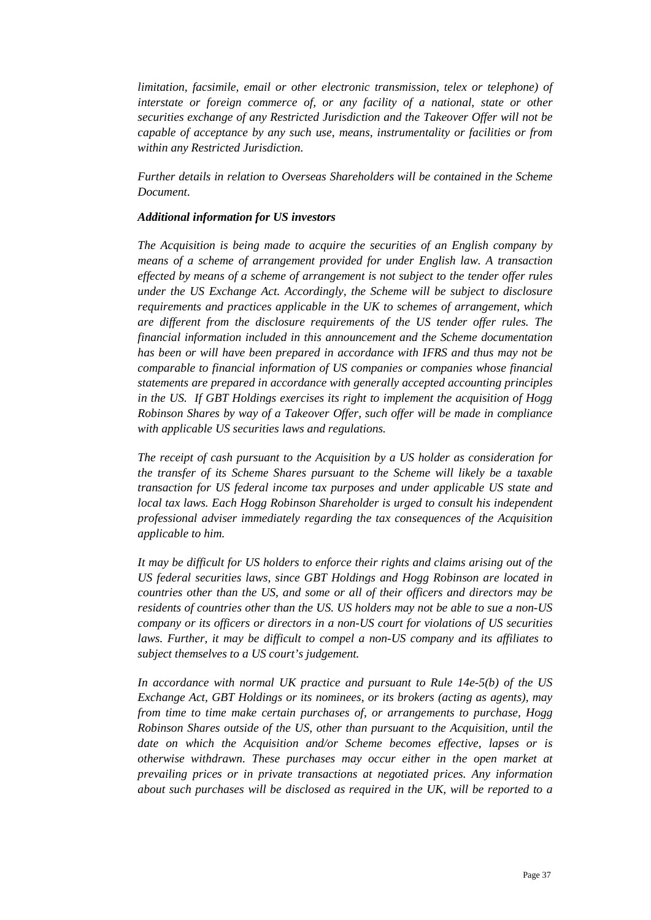*limitation, facsimile, email or other electronic transmission, telex or telephone) of interstate or foreign commerce of, or any facility of a national, state or other securities exchange of any Restricted Jurisdiction and the Takeover Offer will not be capable of acceptance by any such use, means, instrumentality or facilities or from within any Restricted Jurisdiction.* 

*Further details in relation to Overseas Shareholders will be contained in the Scheme Document.* 

#### *Additional information for US investors*

*The Acquisition is being made to acquire the securities of an English company by means of a scheme of arrangement provided for under English law. A transaction effected by means of a scheme of arrangement is not subject to the tender offer rules under the US Exchange Act. Accordingly, the Scheme will be subject to disclosure requirements and practices applicable in the UK to schemes of arrangement, which are different from the disclosure requirements of the US tender offer rules. The financial information included in this announcement and the Scheme documentation has been or will have been prepared in accordance with IFRS and thus may not be comparable to financial information of US companies or companies whose financial statements are prepared in accordance with generally accepted accounting principles in the US. If GBT Holdings exercises its right to implement the acquisition of Hogg Robinson Shares by way of a Takeover Offer, such offer will be made in compliance with applicable US securities laws and regulations.* 

*The receipt of cash pursuant to the Acquisition by a US holder as consideration for the transfer of its Scheme Shares pursuant to the Scheme will likely be a taxable transaction for US federal income tax purposes and under applicable US state and local tax laws. Each Hogg Robinson Shareholder is urged to consult his independent professional adviser immediately regarding the tax consequences of the Acquisition applicable to him.* 

*It may be difficult for US holders to enforce their rights and claims arising out of the US federal securities laws, since GBT Holdings and Hogg Robinson are located in countries other than the US, and some or all of their officers and directors may be residents of countries other than the US. US holders may not be able to sue a non-US company or its officers or directors in a non-US court for violations of US securities laws. Further, it may be difficult to compel a non-US company and its affiliates to subject themselves to a US court's judgement.* 

*In accordance with normal UK practice and pursuant to Rule 14e-5(b) of the US Exchange Act, GBT Holdings or its nominees, or its brokers (acting as agents), may from time to time make certain purchases of, or arrangements to purchase, Hogg Robinson Shares outside of the US, other than pursuant to the Acquisition, until the date on which the Acquisition and/or Scheme becomes effective, lapses or is otherwise withdrawn. These purchases may occur either in the open market at prevailing prices or in private transactions at negotiated prices. Any information about such purchases will be disclosed as required in the UK, will be reported to a*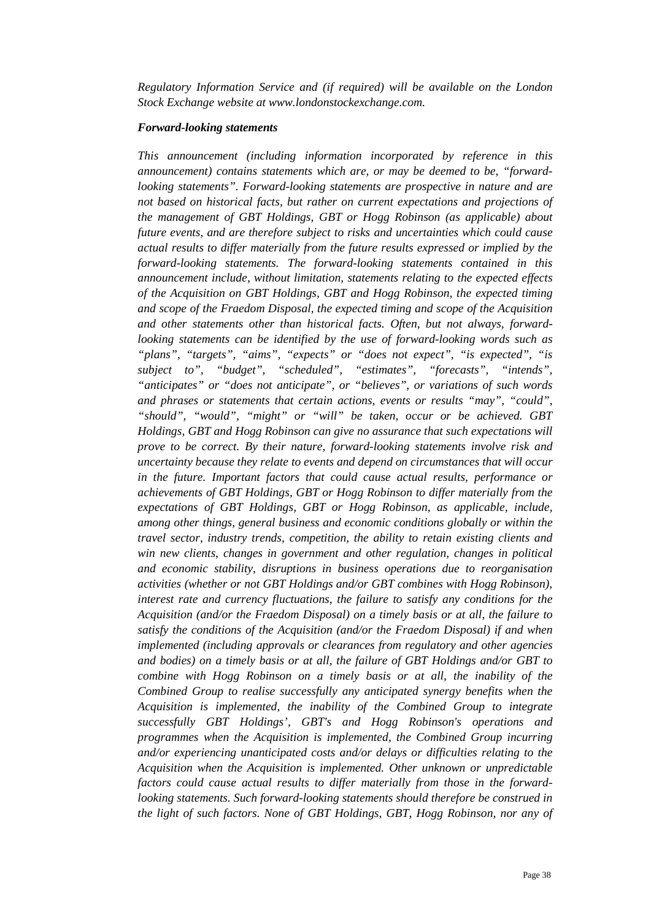*Regulatory Information Service and (if required) will be available on the London Stock Exchange website at www.londonstockexchange.com.* 

#### *Forward-looking statements*

*This announcement (including information incorporated by reference in this announcement) contains statements which are, or may be deemed to be, "forwardlooking statements". Forward-looking statements are prospective in nature and are not based on historical facts, but rather on current expectations and projections of the management of GBT Holdings, GBT or Hogg Robinson (as applicable) about future events, and are therefore subject to risks and uncertainties which could cause actual results to differ materially from the future results expressed or implied by the forward-looking statements. The forward-looking statements contained in this announcement include, without limitation, statements relating to the expected effects of the Acquisition on GBT Holdings, GBT and Hogg Robinson, the expected timing and scope of the Fraedom Disposal, the expected timing and scope of the Acquisition and other statements other than historical facts. Often, but not always, forwardlooking statements can be identified by the use of forward-looking words such as "plans", "targets", "aims", "expects" or "does not expect", "is expected", "is subject to", "budget", "scheduled", "estimates", "forecasts", "intends", "anticipates" or "does not anticipate", or "believes", or variations of such words and phrases or statements that certain actions, events or results "may", "could", "should", "would", "might" or "will" be taken, occur or be achieved. GBT Holdings, GBT and Hogg Robinson can give no assurance that such expectations will prove to be correct. By their nature, forward-looking statements involve risk and uncertainty because they relate to events and depend on circumstances that will occur in the future. Important factors that could cause actual results, performance or achievements of GBT Holdings, GBT or Hogg Robinson to differ materially from the expectations of GBT Holdings, GBT or Hogg Robinson, as applicable, include, among other things, general business and economic conditions globally or within the travel sector, industry trends, competition, the ability to retain existing clients and win new clients, changes in government and other regulation, changes in political and economic stability, disruptions in business operations due to reorganisation activities (whether or not GBT Holdings and/or GBT combines with Hogg Robinson), interest rate and currency fluctuations, the failure to satisfy any conditions for the Acquisition (and/or the Fraedom Disposal) on a timely basis or at all, the failure to satisfy the conditions of the Acquisition (and/or the Fraedom Disposal) if and when implemented (including approvals or clearances from regulatory and other agencies and bodies) on a timely basis or at all, the failure of GBT Holdings and/or GBT to combine with Hogg Robinson on a timely basis or at all, the inability of the Combined Group to realise successfully any anticipated synergy benefits when the Acquisition is implemented, the inability of the Combined Group to integrate successfully GBT Holdings', GBT's and Hogg Robinson's operations and programmes when the Acquisition is implemented, the Combined Group incurring and/or experiencing unanticipated costs and/or delays or difficulties relating to the Acquisition when the Acquisition is implemented. Other unknown or unpredictable factors could cause actual results to differ materially from those in the forwardlooking statements. Such forward-looking statements should therefore be construed in the light of such factors. None of GBT Holdings, GBT, Hogg Robinson, nor any of*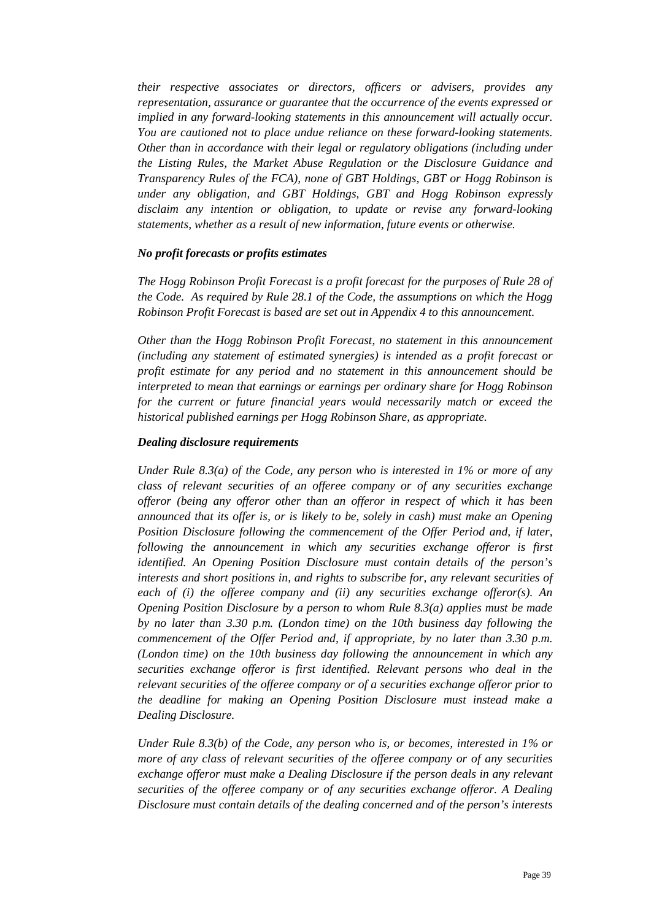*their respective associates or directors, officers or advisers, provides any representation, assurance or guarantee that the occurrence of the events expressed or implied in any forward-looking statements in this announcement will actually occur. You are cautioned not to place undue reliance on these forward-looking statements. Other than in accordance with their legal or regulatory obligations (including under the Listing Rules, the Market Abuse Regulation or the Disclosure Guidance and Transparency Rules of the FCA), none of GBT Holdings, GBT or Hogg Robinson is under any obligation, and GBT Holdings, GBT and Hogg Robinson expressly disclaim any intention or obligation, to update or revise any forward-looking statements, whether as a result of new information, future events or otherwise.* 

#### *No profit forecasts or profits estimates*

*The Hogg Robinson Profit Forecast is a profit forecast for the purposes of Rule 28 of the Code. As required by Rule 28.1 of the Code, the assumptions on which the Hogg Robinson Profit Forecast is based are set out in Appendix 4 to this announcement.* 

*Other than the Hogg Robinson Profit Forecast, no statement in this announcement (including any statement of estimated synergies) is intended as a profit forecast or profit estimate for any period and no statement in this announcement should be interpreted to mean that earnings or earnings per ordinary share for Hogg Robinson*  for the current or future financial years would necessarily match or exceed the *historical published earnings per Hogg Robinson Share, as appropriate.* 

#### *Dealing disclosure requirements*

*Under Rule 8.3(a) of the Code, any person who is interested in 1% or more of any class of relevant securities of an offeree company or of any securities exchange offeror (being any offeror other than an offeror in respect of which it has been announced that its offer is, or is likely to be, solely in cash) must make an Opening Position Disclosure following the commencement of the Offer Period and, if later, following the announcement in which any securities exchange offeror is first identified. An Opening Position Disclosure must contain details of the person's interests and short positions in, and rights to subscribe for, any relevant securities of each of (i) the offeree company and (ii) any securities exchange offeror(s). An Opening Position Disclosure by a person to whom Rule 8.3(a) applies must be made by no later than 3.30 p.m. (London time) on the 10th business day following the commencement of the Offer Period and, if appropriate, by no later than 3.30 p.m. (London time) on the 10th business day following the announcement in which any securities exchange offeror is first identified. Relevant persons who deal in the relevant securities of the offeree company or of a securities exchange offeror prior to the deadline for making an Opening Position Disclosure must instead make a Dealing Disclosure.* 

*Under Rule 8.3(b) of the Code, any person who is, or becomes, interested in 1% or more of any class of relevant securities of the offeree company or of any securities exchange offeror must make a Dealing Disclosure if the person deals in any relevant securities of the offeree company or of any securities exchange offeror. A Dealing Disclosure must contain details of the dealing concerned and of the person's interests*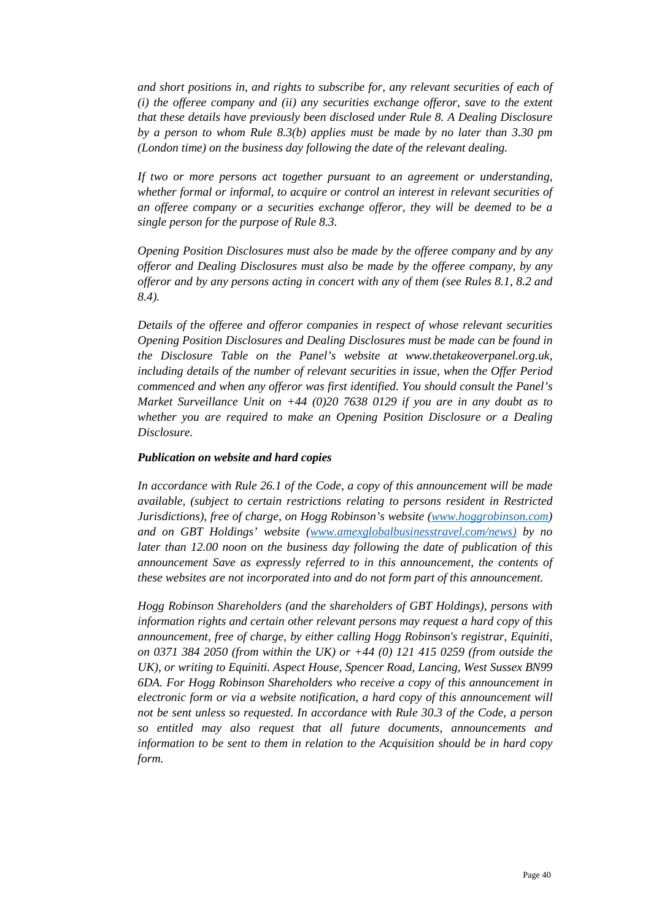*and short positions in, and rights to subscribe for, any relevant securities of each of (i) the offeree company and (ii) any securities exchange offeror, save to the extent that these details have previously been disclosed under Rule 8. A Dealing Disclosure by a person to whom Rule 8.3(b) applies must be made by no later than 3.30 pm (London time) on the business day following the date of the relevant dealing.* 

*If two or more persons act together pursuant to an agreement or understanding, whether formal or informal, to acquire or control an interest in relevant securities of an offeree company or a securities exchange offeror, they will be deemed to be a single person for the purpose of Rule 8.3.* 

*Opening Position Disclosures must also be made by the offeree company and by any offeror and Dealing Disclosures must also be made by the offeree company, by any offeror and by any persons acting in concert with any of them (see Rules 8.1, 8.2 and 8.4).* 

*Details of the offeree and offeror companies in respect of whose relevant securities Opening Position Disclosures and Dealing Disclosures must be made can be found in the Disclosure Table on the Panel's website at www.thetakeoverpanel.org.uk, including details of the number of relevant securities in issue, when the Offer Period commenced and when any offeror was first identified. You should consult the Panel's Market Surveillance Unit on +44 (0)20 7638 0129 if you are in any doubt as to whether you are required to make an Opening Position Disclosure or a Dealing Disclosure.* 

## *Publication on website and hard copies*

*In accordance with Rule 26.1 of the Code, a copy of this announcement will be made available, (subject to certain restrictions relating to persons resident in Restricted Jurisdictions), free of charge, on Hogg Robinson's website (www.hoggrobinson.com) and on GBT Holdings' website (www.amexglobalbusinesstravel.com/news) by no later than 12.00 noon on the business day following the date of publication of this announcement Save as expressly referred to in this announcement, the contents of these websites are not incorporated into and do not form part of this announcement.* 

*Hogg Robinson Shareholders (and the shareholders of GBT Holdings), persons with information rights and certain other relevant persons may request a hard copy of this announcement, free of charge, by either calling Hogg Robinson's registrar, Equiniti, on 0371 384 2050 (from within the UK) or +44 (0) 121 415 0259 (from outside the UK), or writing to Equiniti. Aspect House, Spencer Road, Lancing, West Sussex BN99 6DA. For Hogg Robinson Shareholders who receive a copy of this announcement in electronic form or via a website notification, a hard copy of this announcement will not be sent unless so requested. In accordance with Rule 30.3 of the Code, a person so entitled may also request that all future documents, announcements and information to be sent to them in relation to the Acquisition should be in hard copy form.*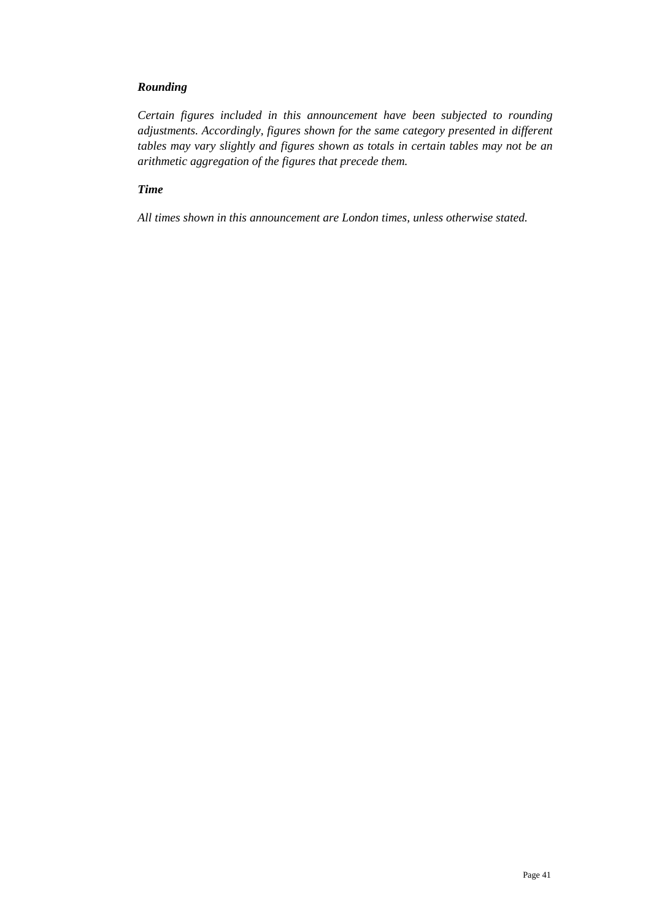# *Rounding*

*Certain figures included in this announcement have been subjected to rounding adjustments. Accordingly, figures shown for the same category presented in different tables may vary slightly and figures shown as totals in certain tables may not be an arithmetic aggregation of the figures that precede them.* 

# *Time*

*All times shown in this announcement are London times, unless otherwise stated.*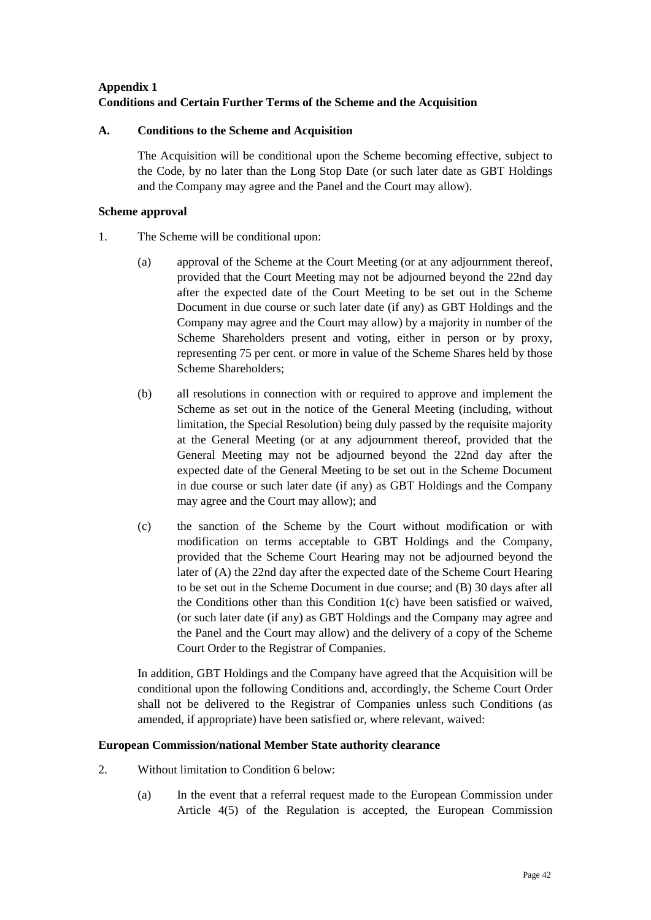# **Appendix 1 Conditions and Certain Further Terms of the Scheme and the Acquisition**

## **A. Conditions to the Scheme and Acquisition**

The Acquisition will be conditional upon the Scheme becoming effective, subject to the Code, by no later than the Long Stop Date (or such later date as GBT Holdings and the Company may agree and the Panel and the Court may allow).

## **Scheme approval**

- 1. The Scheme will be conditional upon:
	- (a) approval of the Scheme at the Court Meeting (or at any adjournment thereof, provided that the Court Meeting may not be adjourned beyond the 22nd day after the expected date of the Court Meeting to be set out in the Scheme Document in due course or such later date (if any) as GBT Holdings and the Company may agree and the Court may allow) by a majority in number of the Scheme Shareholders present and voting, either in person or by proxy, representing 75 per cent. or more in value of the Scheme Shares held by those Scheme Shareholders;
	- (b) all resolutions in connection with or required to approve and implement the Scheme as set out in the notice of the General Meeting (including, without limitation, the Special Resolution) being duly passed by the requisite majority at the General Meeting (or at any adjournment thereof, provided that the General Meeting may not be adjourned beyond the 22nd day after the expected date of the General Meeting to be set out in the Scheme Document in due course or such later date (if any) as GBT Holdings and the Company may agree and the Court may allow); and
	- (c) the sanction of the Scheme by the Court without modification or with modification on terms acceptable to GBT Holdings and the Company, provided that the Scheme Court Hearing may not be adjourned beyond the later of (A) the 22nd day after the expected date of the Scheme Court Hearing to be set out in the Scheme Document in due course; and (B) 30 days after all the Conditions other than this Condition 1(c) have been satisfied or waived, (or such later date (if any) as GBT Holdings and the Company may agree and the Panel and the Court may allow) and the delivery of a copy of the Scheme Court Order to the Registrar of Companies.

In addition, GBT Holdings and the Company have agreed that the Acquisition will be conditional upon the following Conditions and, accordingly, the Scheme Court Order shall not be delivered to the Registrar of Companies unless such Conditions (as amended, if appropriate) have been satisfied or, where relevant, waived:

## **European Commission/national Member State authority clearance**

- 2. Without limitation to Condition 6 below:
	- (a) In the event that a referral request made to the European Commission under Article 4(5) of the Regulation is accepted, the European Commission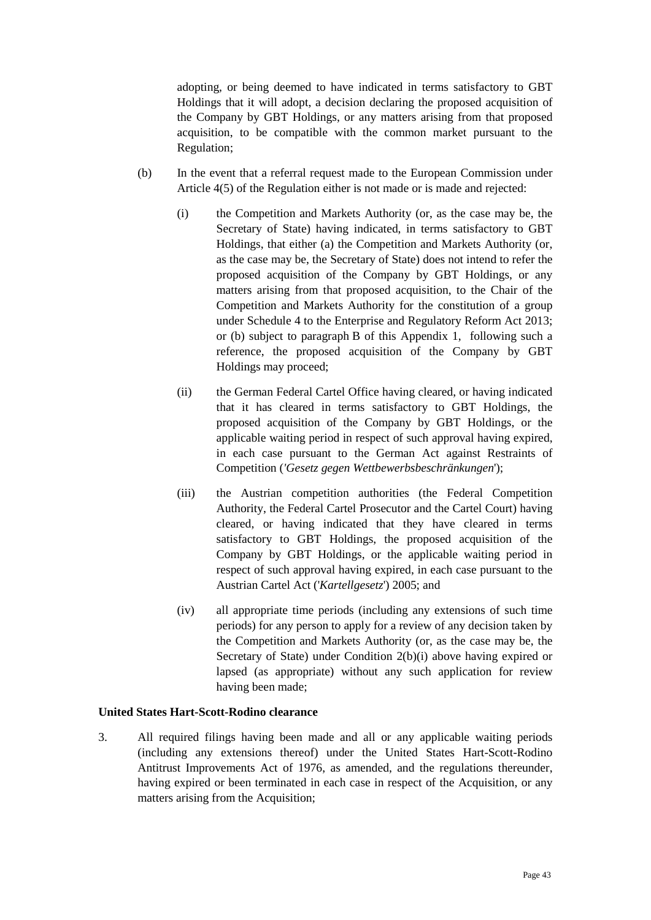adopting, or being deemed to have indicated in terms satisfactory to GBT Holdings that it will adopt, a decision declaring the proposed acquisition of the Company by GBT Holdings, or any matters arising from that proposed acquisition, to be compatible with the common market pursuant to the Regulation;

- (b) In the event that a referral request made to the European Commission under Article 4(5) of the Regulation either is not made or is made and rejected:
	- (i) the Competition and Markets Authority (or, as the case may be, the Secretary of State) having indicated, in terms satisfactory to GBT Holdings, that either (a) the Competition and Markets Authority (or, as the case may be, the Secretary of State) does not intend to refer the proposed acquisition of the Company by GBT Holdings, or any matters arising from that proposed acquisition, to the Chair of the Competition and Markets Authority for the constitution of a group under Schedule 4 to the Enterprise and Regulatory Reform Act 2013; or (b) subject to paragraph B of this Appendix 1, following such a reference, the proposed acquisition of the Company by GBT Holdings may proceed;
	- (ii) the German Federal Cartel Office having cleared, or having indicated that it has cleared in terms satisfactory to GBT Holdings, the proposed acquisition of the Company by GBT Holdings, or the applicable waiting period in respect of such approval having expired, in each case pursuant to the German Act against Restraints of Competition (*'Gesetz gegen Wettbewerbsbeschränkungen*');
	- (iii) the Austrian competition authorities (the Federal Competition Authority, the Federal Cartel Prosecutor and the Cartel Court) having cleared, or having indicated that they have cleared in terms satisfactory to GBT Holdings, the proposed acquisition of the Company by GBT Holdings, or the applicable waiting period in respect of such approval having expired, in each case pursuant to the Austrian Cartel Act ('*Kartellgesetz*') 2005; and
	- (iv) all appropriate time periods (including any extensions of such time periods) for any person to apply for a review of any decision taken by the Competition and Markets Authority (or, as the case may be, the Secretary of State) under Condition 2(b)(i) above having expired or lapsed (as appropriate) without any such application for review having been made;

# **United States Hart-Scott-Rodino clearance**

3. All required filings having been made and all or any applicable waiting periods (including any extensions thereof) under the United States Hart-Scott-Rodino Antitrust Improvements Act of 1976, as amended, and the regulations thereunder, having expired or been terminated in each case in respect of the Acquisition, or any matters arising from the Acquisition;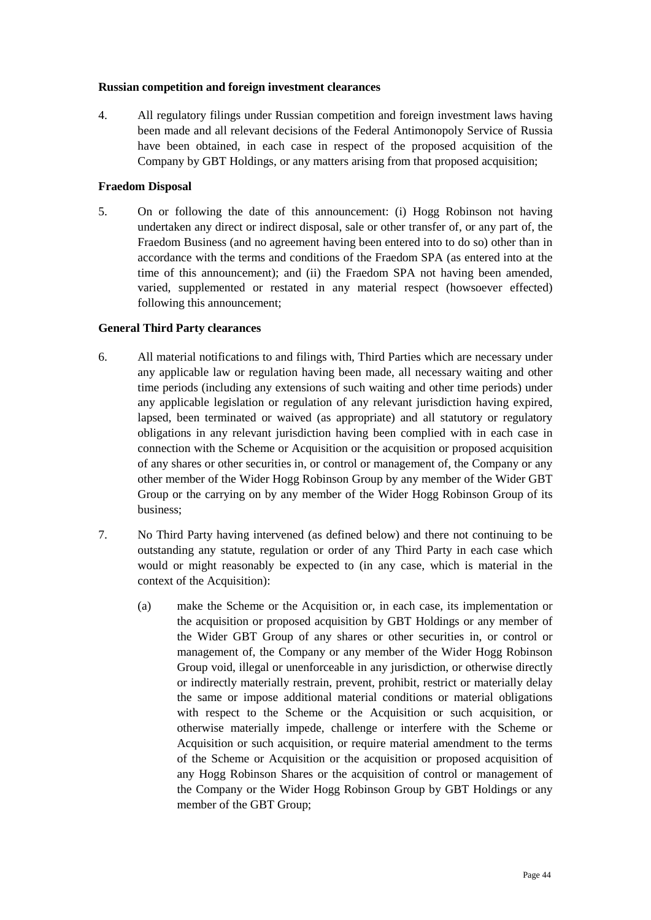#### **Russian competition and foreign investment clearances**

4. All regulatory filings under Russian competition and foreign investment laws having been made and all relevant decisions of the Federal Antimonopoly Service of Russia have been obtained, in each case in respect of the proposed acquisition of the Company by GBT Holdings, or any matters arising from that proposed acquisition;

## **Fraedom Disposal**

5. On or following the date of this announcement: (i) Hogg Robinson not having undertaken any direct or indirect disposal, sale or other transfer of, or any part of, the Fraedom Business (and no agreement having been entered into to do so) other than in accordance with the terms and conditions of the Fraedom SPA (as entered into at the time of this announcement); and (ii) the Fraedom SPA not having been amended, varied, supplemented or restated in any material respect (howsoever effected) following this announcement;

#### **General Third Party clearances**

- 6. All material notifications to and filings with, Third Parties which are necessary under any applicable law or regulation having been made, all necessary waiting and other time periods (including any extensions of such waiting and other time periods) under any applicable legislation or regulation of any relevant jurisdiction having expired, lapsed, been terminated or waived (as appropriate) and all statutory or regulatory obligations in any relevant jurisdiction having been complied with in each case in connection with the Scheme or Acquisition or the acquisition or proposed acquisition of any shares or other securities in, or control or management of, the Company or any other member of the Wider Hogg Robinson Group by any member of the Wider GBT Group or the carrying on by any member of the Wider Hogg Robinson Group of its business;
- 7. No Third Party having intervened (as defined below) and there not continuing to be outstanding any statute, regulation or order of any Third Party in each case which would or might reasonably be expected to (in any case, which is material in the context of the Acquisition):
	- (a) make the Scheme or the Acquisition or, in each case, its implementation or the acquisition or proposed acquisition by GBT Holdings or any member of the Wider GBT Group of any shares or other securities in, or control or management of, the Company or any member of the Wider Hogg Robinson Group void, illegal or unenforceable in any jurisdiction, or otherwise directly or indirectly materially restrain, prevent, prohibit, restrict or materially delay the same or impose additional material conditions or material obligations with respect to the Scheme or the Acquisition or such acquisition, or otherwise materially impede, challenge or interfere with the Scheme or Acquisition or such acquisition, or require material amendment to the terms of the Scheme or Acquisition or the acquisition or proposed acquisition of any Hogg Robinson Shares or the acquisition of control or management of the Company or the Wider Hogg Robinson Group by GBT Holdings or any member of the GBT Group;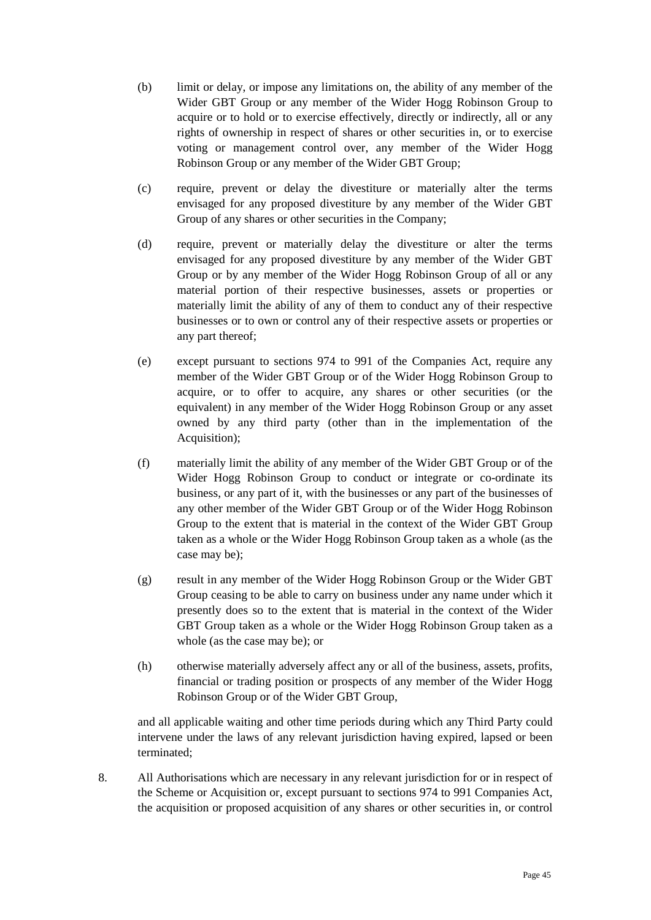- (b) limit or delay, or impose any limitations on, the ability of any member of the Wider GBT Group or any member of the Wider Hogg Robinson Group to acquire or to hold or to exercise effectively, directly or indirectly, all or any rights of ownership in respect of shares or other securities in, or to exercise voting or management control over, any member of the Wider Hogg Robinson Group or any member of the Wider GBT Group;
- (c) require, prevent or delay the divestiture or materially alter the terms envisaged for any proposed divestiture by any member of the Wider GBT Group of any shares or other securities in the Company;
- (d) require, prevent or materially delay the divestiture or alter the terms envisaged for any proposed divestiture by any member of the Wider GBT Group or by any member of the Wider Hogg Robinson Group of all or any material portion of their respective businesses, assets or properties or materially limit the ability of any of them to conduct any of their respective businesses or to own or control any of their respective assets or properties or any part thereof;
- (e) except pursuant to sections 974 to 991 of the Companies Act, require any member of the Wider GBT Group or of the Wider Hogg Robinson Group to acquire, or to offer to acquire, any shares or other securities (or the equivalent) in any member of the Wider Hogg Robinson Group or any asset owned by any third party (other than in the implementation of the Acquisition);
- (f) materially limit the ability of any member of the Wider GBT Group or of the Wider Hogg Robinson Group to conduct or integrate or co-ordinate its business, or any part of it, with the businesses or any part of the businesses of any other member of the Wider GBT Group or of the Wider Hogg Robinson Group to the extent that is material in the context of the Wider GBT Group taken as a whole or the Wider Hogg Robinson Group taken as a whole (as the case may be);
- (g) result in any member of the Wider Hogg Robinson Group or the Wider GBT Group ceasing to be able to carry on business under any name under which it presently does so to the extent that is material in the context of the Wider GBT Group taken as a whole or the Wider Hogg Robinson Group taken as a whole (as the case may be); or
- (h) otherwise materially adversely affect any or all of the business, assets, profits, financial or trading position or prospects of any member of the Wider Hogg Robinson Group or of the Wider GBT Group,

and all applicable waiting and other time periods during which any Third Party could intervene under the laws of any relevant jurisdiction having expired, lapsed or been terminated;

8. All Authorisations which are necessary in any relevant jurisdiction for or in respect of the Scheme or Acquisition or, except pursuant to sections 974 to 991 Companies Act, the acquisition or proposed acquisition of any shares or other securities in, or control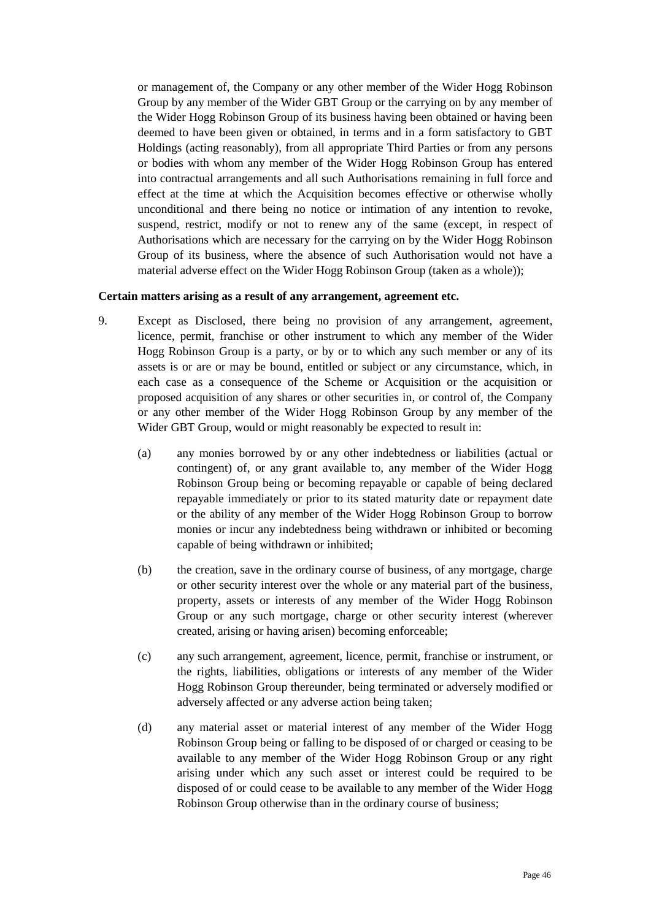or management of, the Company or any other member of the Wider Hogg Robinson Group by any member of the Wider GBT Group or the carrying on by any member of the Wider Hogg Robinson Group of its business having been obtained or having been deemed to have been given or obtained, in terms and in a form satisfactory to GBT Holdings (acting reasonably), from all appropriate Third Parties or from any persons or bodies with whom any member of the Wider Hogg Robinson Group has entered into contractual arrangements and all such Authorisations remaining in full force and effect at the time at which the Acquisition becomes effective or otherwise wholly unconditional and there being no notice or intimation of any intention to revoke, suspend, restrict, modify or not to renew any of the same (except, in respect of Authorisations which are necessary for the carrying on by the Wider Hogg Robinson Group of its business, where the absence of such Authorisation would not have a material adverse effect on the Wider Hogg Robinson Group (taken as a whole));

#### **Certain matters arising as a result of any arrangement, agreement etc.**

- 9. Except as Disclosed, there being no provision of any arrangement, agreement, licence, permit, franchise or other instrument to which any member of the Wider Hogg Robinson Group is a party, or by or to which any such member or any of its assets is or are or may be bound, entitled or subject or any circumstance, which, in each case as a consequence of the Scheme or Acquisition or the acquisition or proposed acquisition of any shares or other securities in, or control of, the Company or any other member of the Wider Hogg Robinson Group by any member of the Wider GBT Group, would or might reasonably be expected to result in:
	- (a) any monies borrowed by or any other indebtedness or liabilities (actual or contingent) of, or any grant available to, any member of the Wider Hogg Robinson Group being or becoming repayable or capable of being declared repayable immediately or prior to its stated maturity date or repayment date or the ability of any member of the Wider Hogg Robinson Group to borrow monies or incur any indebtedness being withdrawn or inhibited or becoming capable of being withdrawn or inhibited;
	- (b) the creation, save in the ordinary course of business, of any mortgage, charge or other security interest over the whole or any material part of the business, property, assets or interests of any member of the Wider Hogg Robinson Group or any such mortgage, charge or other security interest (wherever created, arising or having arisen) becoming enforceable;
	- (c) any such arrangement, agreement, licence, permit, franchise or instrument, or the rights, liabilities, obligations or interests of any member of the Wider Hogg Robinson Group thereunder, being terminated or adversely modified or adversely affected or any adverse action being taken;
	- (d) any material asset or material interest of any member of the Wider Hogg Robinson Group being or falling to be disposed of or charged or ceasing to be available to any member of the Wider Hogg Robinson Group or any right arising under which any such asset or interest could be required to be disposed of or could cease to be available to any member of the Wider Hogg Robinson Group otherwise than in the ordinary course of business;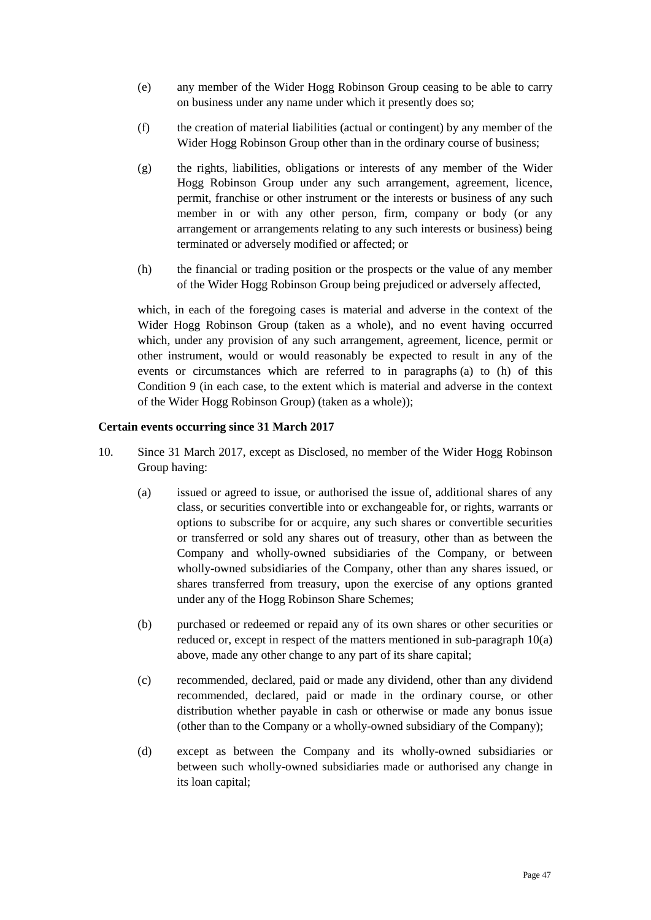- (e) any member of the Wider Hogg Robinson Group ceasing to be able to carry on business under any name under which it presently does so;
- (f) the creation of material liabilities (actual or contingent) by any member of the Wider Hogg Robinson Group other than in the ordinary course of business;
- (g) the rights, liabilities, obligations or interests of any member of the Wider Hogg Robinson Group under any such arrangement, agreement, licence, permit, franchise or other instrument or the interests or business of any such member in or with any other person, firm, company or body (or any arrangement or arrangements relating to any such interests or business) being terminated or adversely modified or affected; or
- (h) the financial or trading position or the prospects or the value of any member of the Wider Hogg Robinson Group being prejudiced or adversely affected,

which, in each of the foregoing cases is material and adverse in the context of the Wider Hogg Robinson Group (taken as a whole), and no event having occurred which, under any provision of any such arrangement, agreement, licence, permit or other instrument, would or would reasonably be expected to result in any of the events or circumstances which are referred to in paragraphs (a) to (h) of this Condition 9 (in each case, to the extent which is material and adverse in the context of the Wider Hogg Robinson Group) (taken as a whole));

## **Certain events occurring since 31 March 2017**

- 10. Since 31 March 2017, except as Disclosed, no member of the Wider Hogg Robinson Group having:
	- (a) issued or agreed to issue, or authorised the issue of, additional shares of any class, or securities convertible into or exchangeable for, or rights, warrants or options to subscribe for or acquire, any such shares or convertible securities or transferred or sold any shares out of treasury, other than as between the Company and wholly-owned subsidiaries of the Company, or between wholly-owned subsidiaries of the Company, other than any shares issued, or shares transferred from treasury, upon the exercise of any options granted under any of the Hogg Robinson Share Schemes;
	- (b) purchased or redeemed or repaid any of its own shares or other securities or reduced or, except in respect of the matters mentioned in sub-paragraph 10(a) above, made any other change to any part of its share capital;
	- (c) recommended, declared, paid or made any dividend, other than any dividend recommended, declared, paid or made in the ordinary course, or other distribution whether payable in cash or otherwise or made any bonus issue (other than to the Company or a wholly-owned subsidiary of the Company);
	- (d) except as between the Company and its wholly-owned subsidiaries or between such wholly-owned subsidiaries made or authorised any change in its loan capital;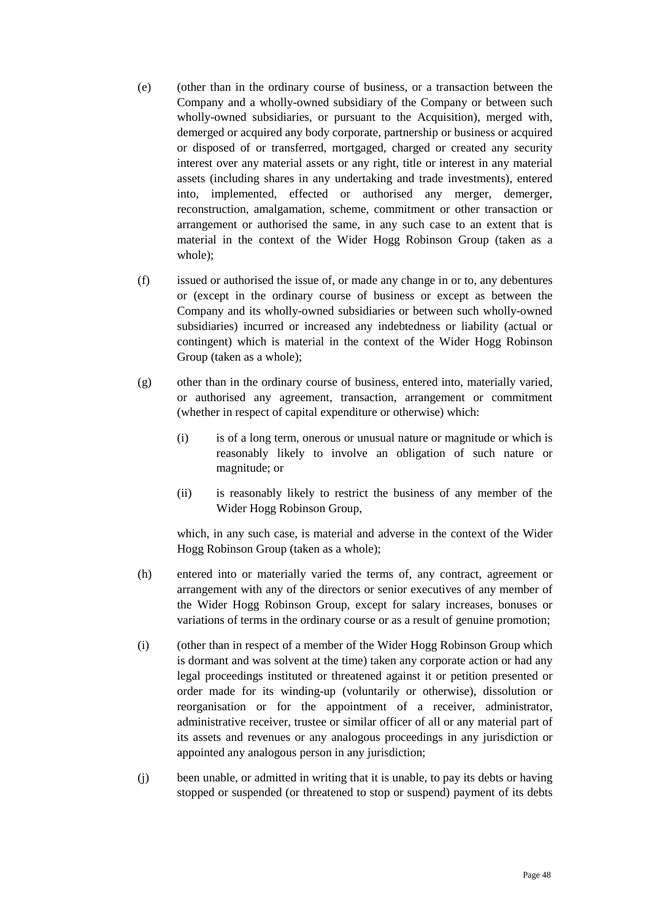- (e) (other than in the ordinary course of business, or a transaction between the Company and a wholly-owned subsidiary of the Company or between such wholly-owned subsidiaries, or pursuant to the Acquisition), merged with, demerged or acquired any body corporate, partnership or business or acquired or disposed of or transferred, mortgaged, charged or created any security interest over any material assets or any right, title or interest in any material assets (including shares in any undertaking and trade investments), entered into, implemented, effected or authorised any merger, demerger, reconstruction, amalgamation, scheme, commitment or other transaction or arrangement or authorised the same, in any such case to an extent that is material in the context of the Wider Hogg Robinson Group (taken as a whole);
- (f) issued or authorised the issue of, or made any change in or to, any debentures or (except in the ordinary course of business or except as between the Company and its wholly-owned subsidiaries or between such wholly-owned subsidiaries) incurred or increased any indebtedness or liability (actual or contingent) which is material in the context of the Wider Hogg Robinson Group (taken as a whole);
- (g) other than in the ordinary course of business, entered into, materially varied, or authorised any agreement, transaction, arrangement or commitment (whether in respect of capital expenditure or otherwise) which:
	- (i) is of a long term, onerous or unusual nature or magnitude or which is reasonably likely to involve an obligation of such nature or magnitude; or
	- (ii) is reasonably likely to restrict the business of any member of the Wider Hogg Robinson Group,

which, in any such case, is material and adverse in the context of the Wider Hogg Robinson Group (taken as a whole);

- (h) entered into or materially varied the terms of, any contract, agreement or arrangement with any of the directors or senior executives of any member of the Wider Hogg Robinson Group, except for salary increases, bonuses or variations of terms in the ordinary course or as a result of genuine promotion;
- (i) (other than in respect of a member of the Wider Hogg Robinson Group which is dormant and was solvent at the time) taken any corporate action or had any legal proceedings instituted or threatened against it or petition presented or order made for its winding-up (voluntarily or otherwise), dissolution or reorganisation or for the appointment of a receiver, administrator, administrative receiver, trustee or similar officer of all or any material part of its assets and revenues or any analogous proceedings in any jurisdiction or appointed any analogous person in any jurisdiction;
- (j) been unable, or admitted in writing that it is unable, to pay its debts or having stopped or suspended (or threatened to stop or suspend) payment of its debts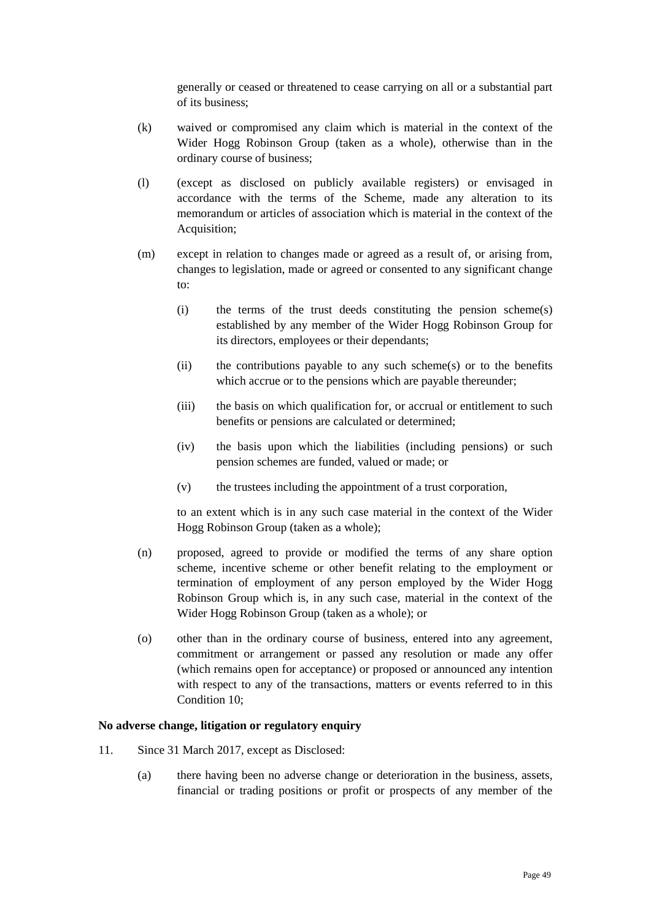generally or ceased or threatened to cease carrying on all or a substantial part of its business;

- (k) waived or compromised any claim which is material in the context of the Wider Hogg Robinson Group (taken as a whole), otherwise than in the ordinary course of business;
- (l) (except as disclosed on publicly available registers) or envisaged in accordance with the terms of the Scheme, made any alteration to its memorandum or articles of association which is material in the context of the Acquisition;
- (m) except in relation to changes made or agreed as a result of, or arising from, changes to legislation, made or agreed or consented to any significant change to:
	- (i) the terms of the trust deeds constituting the pension scheme(s) established by any member of the Wider Hogg Robinson Group for its directors, employees or their dependants;
	- $(ii)$  the contributions payable to any such scheme(s) or to the benefits which accrue or to the pensions which are payable thereunder;
	- (iii) the basis on which qualification for, or accrual or entitlement to such benefits or pensions are calculated or determined;
	- (iv) the basis upon which the liabilities (including pensions) or such pension schemes are funded, valued or made; or
	- (v) the trustees including the appointment of a trust corporation,

to an extent which is in any such case material in the context of the Wider Hogg Robinson Group (taken as a whole);

- (n) proposed, agreed to provide or modified the terms of any share option scheme, incentive scheme or other benefit relating to the employment or termination of employment of any person employed by the Wider Hogg Robinson Group which is, in any such case, material in the context of the Wider Hogg Robinson Group (taken as a whole); or
- (o) other than in the ordinary course of business, entered into any agreement, commitment or arrangement or passed any resolution or made any offer (which remains open for acceptance) or proposed or announced any intention with respect to any of the transactions, matters or events referred to in this Condition 10;

# **No adverse change, litigation or regulatory enquiry**

- 11. Since 31 March 2017, except as Disclosed:
	- (a) there having been no adverse change or deterioration in the business, assets, financial or trading positions or profit or prospects of any member of the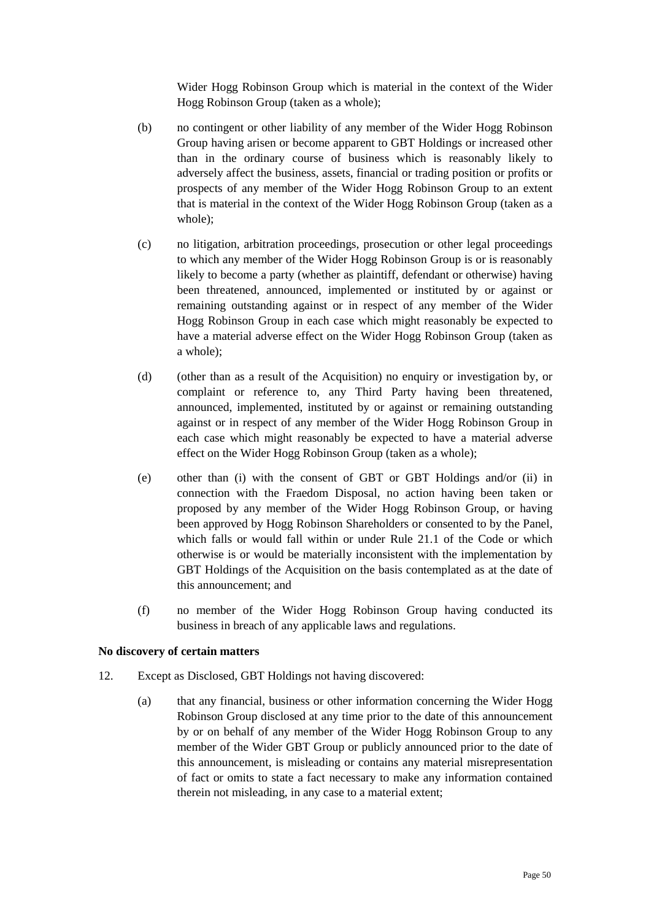Wider Hogg Robinson Group which is material in the context of the Wider Hogg Robinson Group (taken as a whole);

- (b) no contingent or other liability of any member of the Wider Hogg Robinson Group having arisen or become apparent to GBT Holdings or increased other than in the ordinary course of business which is reasonably likely to adversely affect the business, assets, financial or trading position or profits or prospects of any member of the Wider Hogg Robinson Group to an extent that is material in the context of the Wider Hogg Robinson Group (taken as a whole);
- (c) no litigation, arbitration proceedings, prosecution or other legal proceedings to which any member of the Wider Hogg Robinson Group is or is reasonably likely to become a party (whether as plaintiff, defendant or otherwise) having been threatened, announced, implemented or instituted by or against or remaining outstanding against or in respect of any member of the Wider Hogg Robinson Group in each case which might reasonably be expected to have a material adverse effect on the Wider Hogg Robinson Group (taken as a whole);
- (d) (other than as a result of the Acquisition) no enquiry or investigation by, or complaint or reference to, any Third Party having been threatened, announced, implemented, instituted by or against or remaining outstanding against or in respect of any member of the Wider Hogg Robinson Group in each case which might reasonably be expected to have a material adverse effect on the Wider Hogg Robinson Group (taken as a whole);
- (e) other than (i) with the consent of GBT or GBT Holdings and/or (ii) in connection with the Fraedom Disposal, no action having been taken or proposed by any member of the Wider Hogg Robinson Group, or having been approved by Hogg Robinson Shareholders or consented to by the Panel, which falls or would fall within or under Rule 21.1 of the Code or which otherwise is or would be materially inconsistent with the implementation by GBT Holdings of the Acquisition on the basis contemplated as at the date of this announcement; and
- (f) no member of the Wider Hogg Robinson Group having conducted its business in breach of any applicable laws and regulations.

#### **No discovery of certain matters**

- 12. Except as Disclosed, GBT Holdings not having discovered:
	- (a) that any financial, business or other information concerning the Wider Hogg Robinson Group disclosed at any time prior to the date of this announcement by or on behalf of any member of the Wider Hogg Robinson Group to any member of the Wider GBT Group or publicly announced prior to the date of this announcement, is misleading or contains any material misrepresentation of fact or omits to state a fact necessary to make any information contained therein not misleading, in any case to a material extent;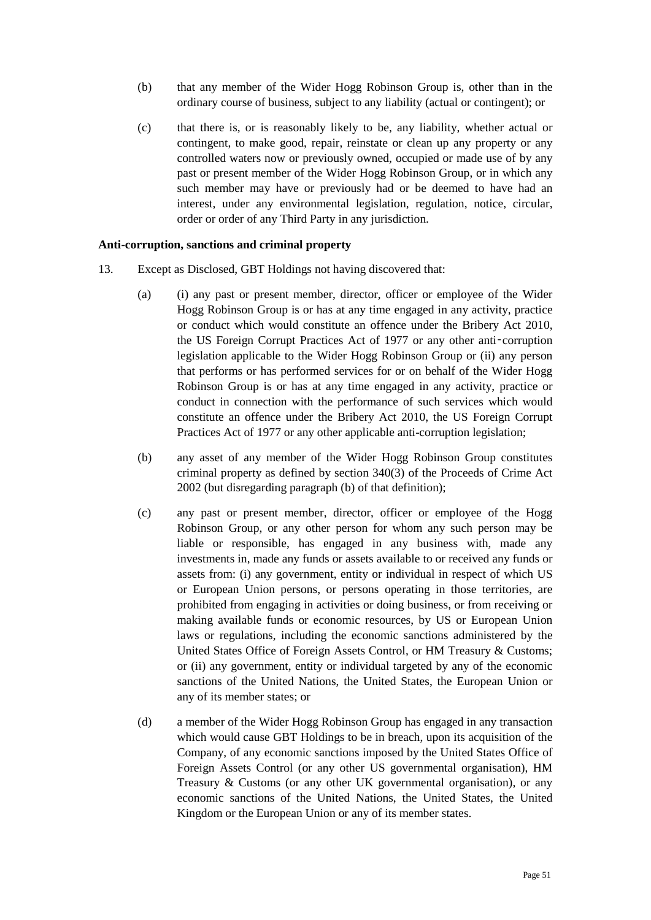- (b) that any member of the Wider Hogg Robinson Group is, other than in the ordinary course of business, subject to any liability (actual or contingent); or
- (c) that there is, or is reasonably likely to be, any liability, whether actual or contingent, to make good, repair, reinstate or clean up any property or any controlled waters now or previously owned, occupied or made use of by any past or present member of the Wider Hogg Robinson Group, or in which any such member may have or previously had or be deemed to have had an interest, under any environmental legislation, regulation, notice, circular, order or order of any Third Party in any jurisdiction.

#### **Anti-corruption, sanctions and criminal property**

- 13. Except as Disclosed, GBT Holdings not having discovered that:
	- (a) (i) any past or present member, director, officer or employee of the Wider Hogg Robinson Group is or has at any time engaged in any activity, practice or conduct which would constitute an offence under the Bribery Act 2010, the US Foreign Corrupt Practices Act of 1977 or any other anti‑corruption legislation applicable to the Wider Hogg Robinson Group or (ii) any person that performs or has performed services for or on behalf of the Wider Hogg Robinson Group is or has at any time engaged in any activity, practice or conduct in connection with the performance of such services which would constitute an offence under the Bribery Act 2010, the US Foreign Corrupt Practices Act of 1977 or any other applicable anti-corruption legislation;
	- (b) any asset of any member of the Wider Hogg Robinson Group constitutes criminal property as defined by section 340(3) of the Proceeds of Crime Act 2002 (but disregarding paragraph (b) of that definition);
	- (c) any past or present member, director, officer or employee of the Hogg Robinson Group, or any other person for whom any such person may be liable or responsible, has engaged in any business with, made any investments in, made any funds or assets available to or received any funds or assets from: (i) any government, entity or individual in respect of which US or European Union persons, or persons operating in those territories, are prohibited from engaging in activities or doing business, or from receiving or making available funds or economic resources, by US or European Union laws or regulations, including the economic sanctions administered by the United States Office of Foreign Assets Control, or HM Treasury & Customs; or (ii) any government, entity or individual targeted by any of the economic sanctions of the United Nations, the United States, the European Union or any of its member states; or
	- (d) a member of the Wider Hogg Robinson Group has engaged in any transaction which would cause GBT Holdings to be in breach, upon its acquisition of the Company, of any economic sanctions imposed by the United States Office of Foreign Assets Control (or any other US governmental organisation), HM Treasury & Customs (or any other UK governmental organisation), or any economic sanctions of the United Nations, the United States, the United Kingdom or the European Union or any of its member states.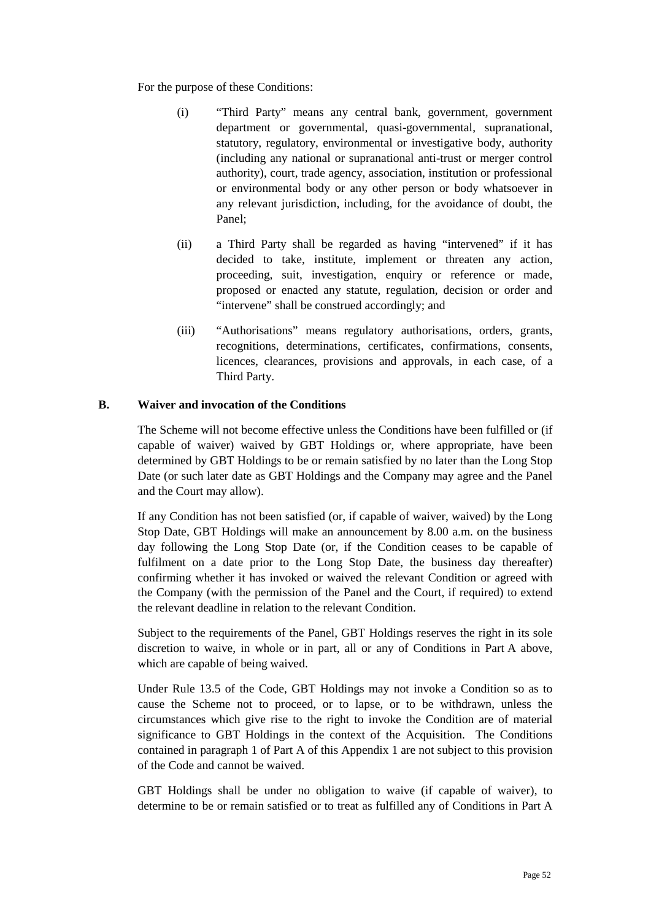For the purpose of these Conditions:

- (i) "Third Party" means any central bank, government, government department or governmental, quasi-governmental, supranational, statutory, regulatory, environmental or investigative body, authority (including any national or supranational anti-trust or merger control authority), court, trade agency, association, institution or professional or environmental body or any other person or body whatsoever in any relevant jurisdiction, including, for the avoidance of doubt, the Panel;
- (ii) a Third Party shall be regarded as having "intervened" if it has decided to take, institute, implement or threaten any action, proceeding, suit, investigation, enquiry or reference or made, proposed or enacted any statute, regulation, decision or order and "intervene" shall be construed accordingly; and
- (iii) "Authorisations" means regulatory authorisations, orders, grants, recognitions, determinations, certificates, confirmations, consents, licences, clearances, provisions and approvals, in each case, of a Third Party.

# **B. Waiver and invocation of the Conditions**

The Scheme will not become effective unless the Conditions have been fulfilled or (if capable of waiver) waived by GBT Holdings or, where appropriate, have been determined by GBT Holdings to be or remain satisfied by no later than the Long Stop Date (or such later date as GBT Holdings and the Company may agree and the Panel and the Court may allow).

If any Condition has not been satisfied (or, if capable of waiver, waived) by the Long Stop Date, GBT Holdings will make an announcement by 8.00 a.m. on the business day following the Long Stop Date (or, if the Condition ceases to be capable of fulfilment on a date prior to the Long Stop Date, the business day thereafter) confirming whether it has invoked or waived the relevant Condition or agreed with the Company (with the permission of the Panel and the Court, if required) to extend the relevant deadline in relation to the relevant Condition.

Subject to the requirements of the Panel, GBT Holdings reserves the right in its sole discretion to waive, in whole or in part, all or any of Conditions in Part A above, which are capable of being waived.

Under Rule 13.5 of the Code, GBT Holdings may not invoke a Condition so as to cause the Scheme not to proceed, or to lapse, or to be withdrawn, unless the circumstances which give rise to the right to invoke the Condition are of material significance to GBT Holdings in the context of the Acquisition. The Conditions contained in paragraph 1 of Part A of this Appendix 1 are not subject to this provision of the Code and cannot be waived.

GBT Holdings shall be under no obligation to waive (if capable of waiver), to determine to be or remain satisfied or to treat as fulfilled any of Conditions in Part A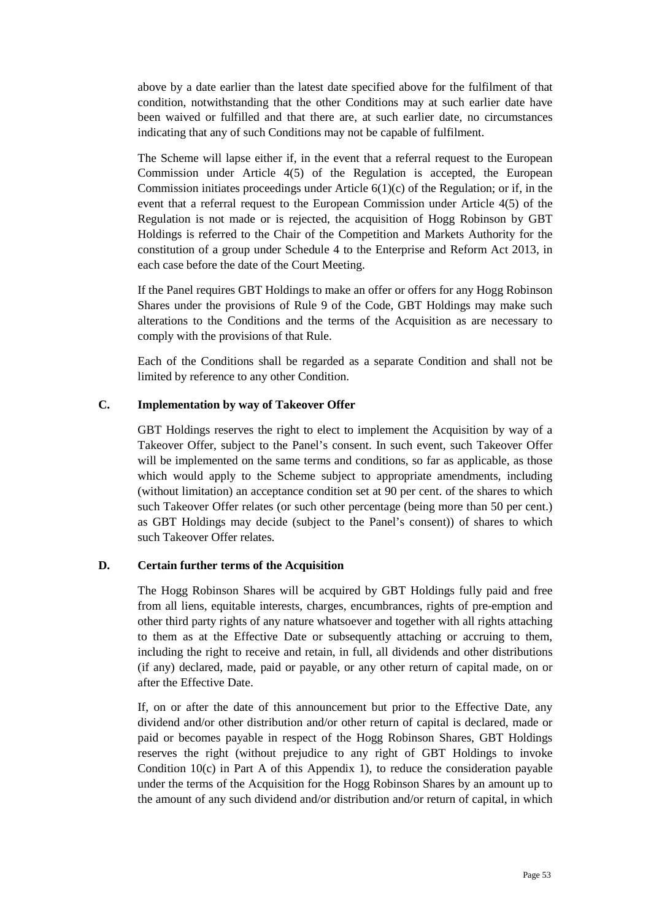above by a date earlier than the latest date specified above for the fulfilment of that condition, notwithstanding that the other Conditions may at such earlier date have been waived or fulfilled and that there are, at such earlier date, no circumstances indicating that any of such Conditions may not be capable of fulfilment.

The Scheme will lapse either if, in the event that a referral request to the European Commission under Article 4(5) of the Regulation is accepted, the European Commission initiates proceedings under Article  $6(1)(c)$  of the Regulation; or if, in the event that a referral request to the European Commission under Article 4(5) of the Regulation is not made or is rejected, the acquisition of Hogg Robinson by GBT Holdings is referred to the Chair of the Competition and Markets Authority for the constitution of a group under Schedule 4 to the Enterprise and Reform Act 2013, in each case before the date of the Court Meeting.

If the Panel requires GBT Holdings to make an offer or offers for any Hogg Robinson Shares under the provisions of Rule 9 of the Code, GBT Holdings may make such alterations to the Conditions and the terms of the Acquisition as are necessary to comply with the provisions of that Rule.

Each of the Conditions shall be regarded as a separate Condition and shall not be limited by reference to any other Condition.

# **C. Implementation by way of Takeover Offer**

GBT Holdings reserves the right to elect to implement the Acquisition by way of a Takeover Offer, subject to the Panel's consent. In such event, such Takeover Offer will be implemented on the same terms and conditions, so far as applicable, as those which would apply to the Scheme subject to appropriate amendments, including (without limitation) an acceptance condition set at 90 per cent. of the shares to which such Takeover Offer relates (or such other percentage (being more than 50 per cent.) as GBT Holdings may decide (subject to the Panel's consent)) of shares to which such Takeover Offer relates.

## **D. Certain further terms of the Acquisition**

The Hogg Robinson Shares will be acquired by GBT Holdings fully paid and free from all liens, equitable interests, charges, encumbrances, rights of pre-emption and other third party rights of any nature whatsoever and together with all rights attaching to them as at the Effective Date or subsequently attaching or accruing to them, including the right to receive and retain, in full, all dividends and other distributions (if any) declared, made, paid or payable, or any other return of capital made, on or after the Effective Date.

If, on or after the date of this announcement but prior to the Effective Date, any dividend and/or other distribution and/or other return of capital is declared, made or paid or becomes payable in respect of the Hogg Robinson Shares, GBT Holdings reserves the right (without prejudice to any right of GBT Holdings to invoke Condition  $10(c)$  in Part A of this Appendix 1), to reduce the consideration payable under the terms of the Acquisition for the Hogg Robinson Shares by an amount up to the amount of any such dividend and/or distribution and/or return of capital, in which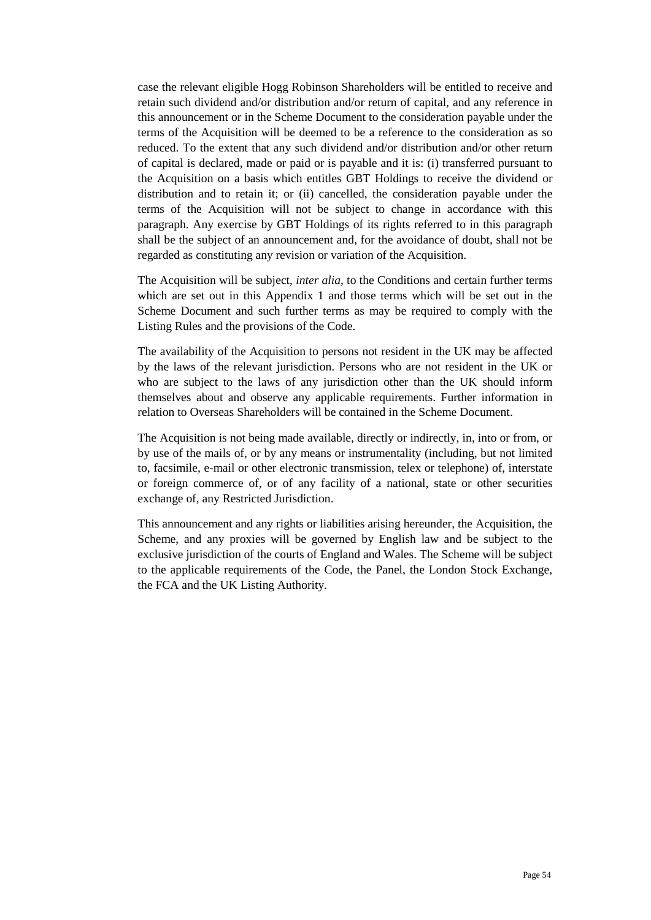case the relevant eligible Hogg Robinson Shareholders will be entitled to receive and retain such dividend and/or distribution and/or return of capital, and any reference in this announcement or in the Scheme Document to the consideration payable under the terms of the Acquisition will be deemed to be a reference to the consideration as so reduced. To the extent that any such dividend and/or distribution and/or other return of capital is declared, made or paid or is payable and it is: (i) transferred pursuant to the Acquisition on a basis which entitles GBT Holdings to receive the dividend or distribution and to retain it; or (ii) cancelled, the consideration payable under the terms of the Acquisition will not be subject to change in accordance with this paragraph. Any exercise by GBT Holdings of its rights referred to in this paragraph shall be the subject of an announcement and, for the avoidance of doubt, shall not be regarded as constituting any revision or variation of the Acquisition.

The Acquisition will be subject, *inter alia*, to the Conditions and certain further terms which are set out in this Appendix 1 and those terms which will be set out in the Scheme Document and such further terms as may be required to comply with the Listing Rules and the provisions of the Code.

The availability of the Acquisition to persons not resident in the UK may be affected by the laws of the relevant jurisdiction. Persons who are not resident in the UK or who are subject to the laws of any jurisdiction other than the UK should inform themselves about and observe any applicable requirements. Further information in relation to Overseas Shareholders will be contained in the Scheme Document.

The Acquisition is not being made available, directly or indirectly, in, into or from, or by use of the mails of, or by any means or instrumentality (including, but not limited to, facsimile, e-mail or other electronic transmission, telex or telephone) of, interstate or foreign commerce of, or of any facility of a national, state or other securities exchange of, any Restricted Jurisdiction.

This announcement and any rights or liabilities arising hereunder, the Acquisition, the Scheme, and any proxies will be governed by English law and be subject to the exclusive jurisdiction of the courts of England and Wales. The Scheme will be subject to the applicable requirements of the Code, the Panel, the London Stock Exchange, the FCA and the UK Listing Authority.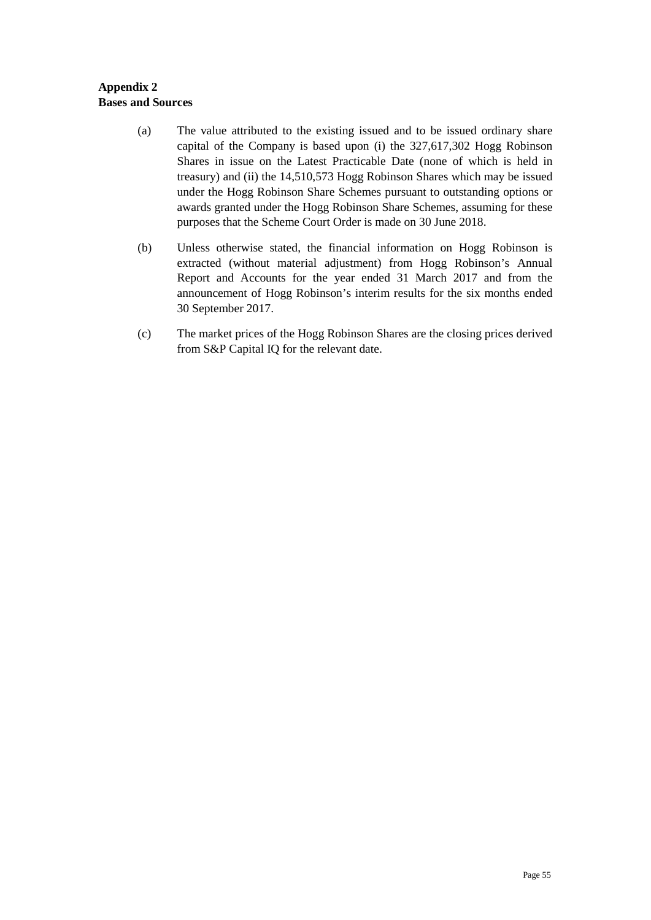# **Appendix 2 Bases and Sources**

- (a) The value attributed to the existing issued and to be issued ordinary share capital of the Company is based upon (i) the 327,617,302 Hogg Robinson Shares in issue on the Latest Practicable Date (none of which is held in treasury) and (ii) the 14,510,573 Hogg Robinson Shares which may be issued under the Hogg Robinson Share Schemes pursuant to outstanding options or awards granted under the Hogg Robinson Share Schemes, assuming for these purposes that the Scheme Court Order is made on 30 June 2018.
- (b) Unless otherwise stated, the financial information on Hogg Robinson is extracted (without material adjustment) from Hogg Robinson's Annual Report and Accounts for the year ended 31 March 2017 and from the announcement of Hogg Robinson's interim results for the six months ended 30 September 2017.
- (c) The market prices of the Hogg Robinson Shares are the closing prices derived from S&P Capital IQ for the relevant date.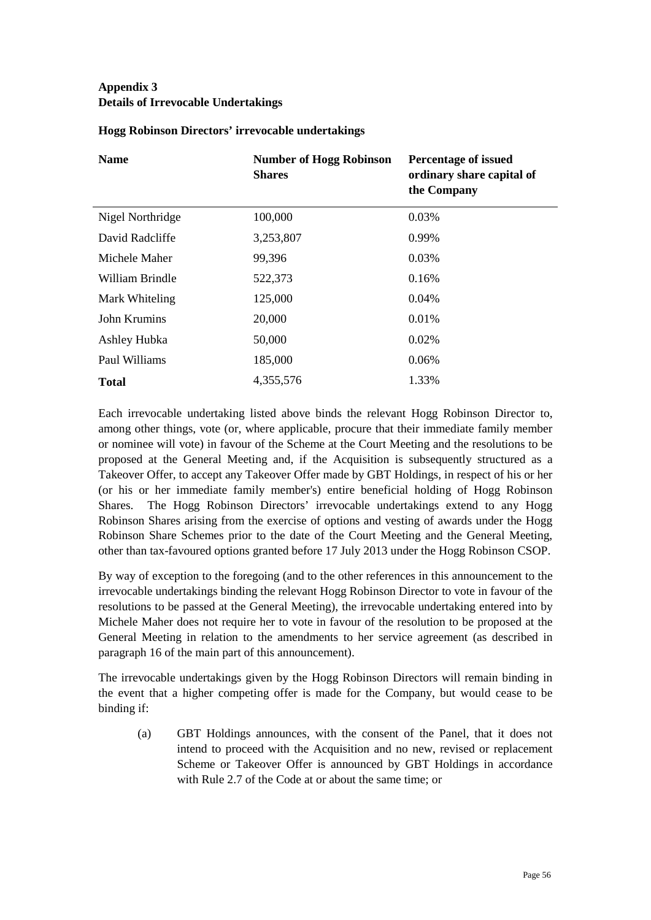# **Appendix 3 Details of Irrevocable Undertakings**

| <b>Name</b>      | <b>Number of Hogg Robinson</b><br><b>Shares</b> | <b>Percentage of issued</b><br>ordinary share capital of<br>the Company |
|------------------|-------------------------------------------------|-------------------------------------------------------------------------|
| Nigel Northridge | 100,000                                         | 0.03%                                                                   |
| David Radcliffe  | 3,253,807                                       | 0.99%                                                                   |
| Michele Maher    | 99,396                                          | 0.03%                                                                   |
| William Brindle  | 522,373                                         | 0.16%                                                                   |
| Mark Whiteling   | 125,000                                         | 0.04%                                                                   |
| John Krumins     | 20,000                                          | 0.01%                                                                   |
| Ashley Hubka     | 50,000                                          | 0.02%                                                                   |
| Paul Williams    | 185,000                                         | 0.06%                                                                   |
| <b>Total</b>     | 4,355,576                                       | 1.33%                                                                   |

# **Hogg Robinson Directors' irrevocable undertakings**

Each irrevocable undertaking listed above binds the relevant Hogg Robinson Director to, among other things, vote (or, where applicable, procure that their immediate family member or nominee will vote) in favour of the Scheme at the Court Meeting and the resolutions to be proposed at the General Meeting and, if the Acquisition is subsequently structured as a Takeover Offer, to accept any Takeover Offer made by GBT Holdings, in respect of his or her (or his or her immediate family member's) entire beneficial holding of Hogg Robinson Shares. The Hogg Robinson Directors' irrevocable undertakings extend to any Hogg Robinson Shares arising from the exercise of options and vesting of awards under the Hogg Robinson Share Schemes prior to the date of the Court Meeting and the General Meeting, other than tax-favoured options granted before 17 July 2013 under the Hogg Robinson CSOP.

By way of exception to the foregoing (and to the other references in this announcement to the irrevocable undertakings binding the relevant Hogg Robinson Director to vote in favour of the resolutions to be passed at the General Meeting), the irrevocable undertaking entered into by Michele Maher does not require her to vote in favour of the resolution to be proposed at the General Meeting in relation to the amendments to her service agreement (as described in paragraph 16 of the main part of this announcement).

The irrevocable undertakings given by the Hogg Robinson Directors will remain binding in the event that a higher competing offer is made for the Company, but would cease to be binding if:

(a) GBT Holdings announces, with the consent of the Panel, that it does not intend to proceed with the Acquisition and no new, revised or replacement Scheme or Takeover Offer is announced by GBT Holdings in accordance with Rule 2.7 of the Code at or about the same time; or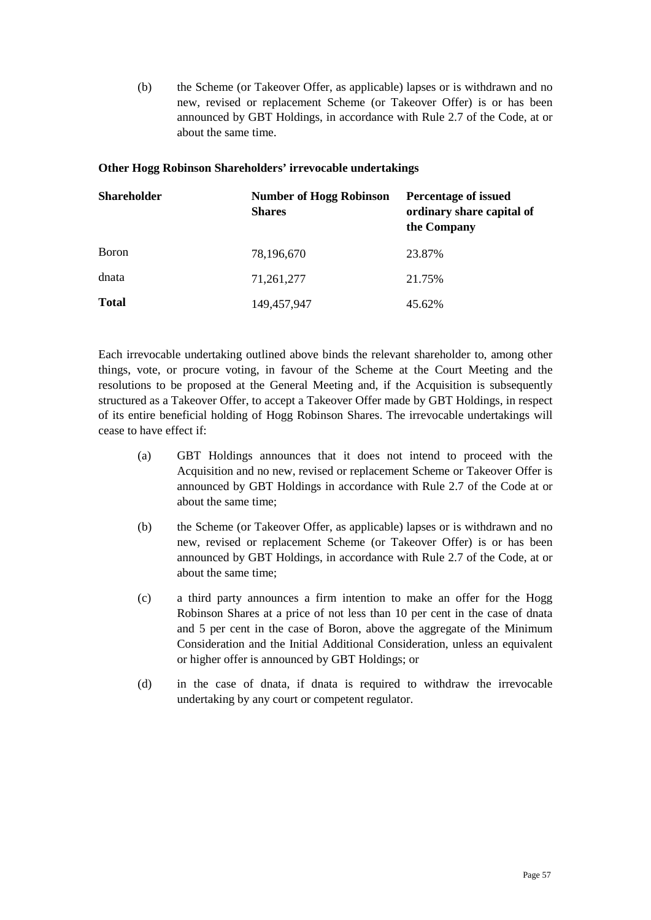(b) the Scheme (or Takeover Offer, as applicable) lapses or is withdrawn and no new, revised or replacement Scheme (or Takeover Offer) is or has been announced by GBT Holdings, in accordance with Rule 2.7 of the Code, at or about the same time.

## **Other Hogg Robinson Shareholders' irrevocable undertakings**

| <b>Shareholder</b> | <b>Number of Hogg Robinson</b><br><b>Shares</b> | <b>Percentage of issued</b><br>ordinary share capital of<br>the Company |
|--------------------|-------------------------------------------------|-------------------------------------------------------------------------|
| Boron              | 78,196,670                                      | 23.87%                                                                  |
| dnata              | 71,261,277                                      | 21.75%                                                                  |
| <b>Total</b>       | 149,457,947                                     | 45.62%                                                                  |

Each irrevocable undertaking outlined above binds the relevant shareholder to, among other things, vote, or procure voting, in favour of the Scheme at the Court Meeting and the resolutions to be proposed at the General Meeting and, if the Acquisition is subsequently structured as a Takeover Offer, to accept a Takeover Offer made by GBT Holdings, in respect of its entire beneficial holding of Hogg Robinson Shares. The irrevocable undertakings will cease to have effect if:

- (a) GBT Holdings announces that it does not intend to proceed with the Acquisition and no new, revised or replacement Scheme or Takeover Offer is announced by GBT Holdings in accordance with Rule 2.7 of the Code at or about the same time;
- (b) the Scheme (or Takeover Offer, as applicable) lapses or is withdrawn and no new, revised or replacement Scheme (or Takeover Offer) is or has been announced by GBT Holdings, in accordance with Rule 2.7 of the Code, at or about the same time;
- (c) a third party announces a firm intention to make an offer for the Hogg Robinson Shares at a price of not less than 10 per cent in the case of dnata and 5 per cent in the case of Boron, above the aggregate of the Minimum Consideration and the Initial Additional Consideration, unless an equivalent or higher offer is announced by GBT Holdings; or
- (d) in the case of dnata, if dnata is required to withdraw the irrevocable undertaking by any court or competent regulator.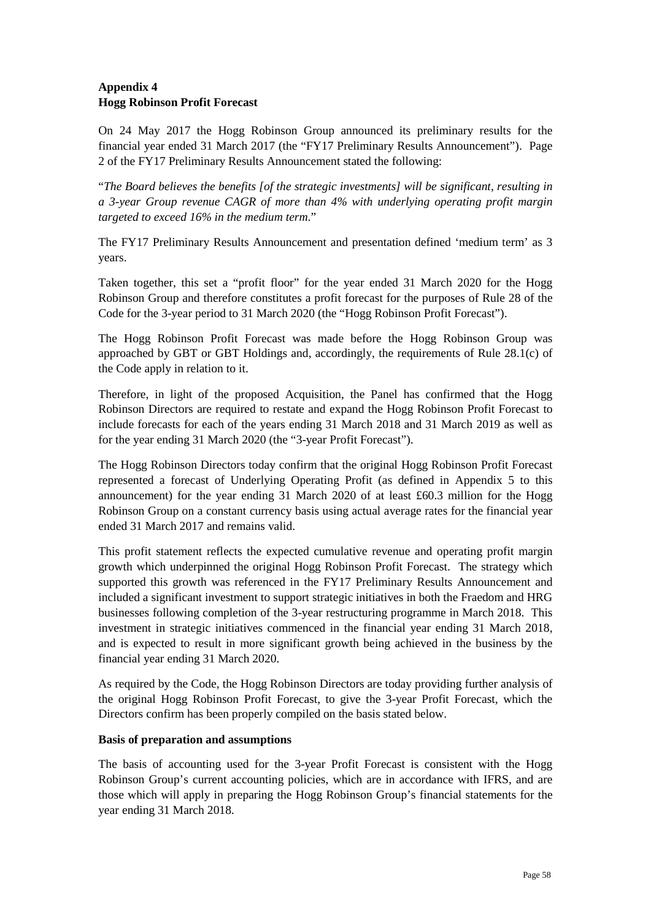# **Appendix 4 Hogg Robinson Profit Forecast**

On 24 May 2017 the Hogg Robinson Group announced its preliminary results for the financial year ended 31 March 2017 (the "FY17 Preliminary Results Announcement"). Page 2 of the FY17 Preliminary Results Announcement stated the following:

"*The Board believes the benefits [of the strategic investments] will be significant, resulting in a 3-year Group revenue CAGR of more than 4% with underlying operating profit margin targeted to exceed 16% in the medium term*."

The FY17 Preliminary Results Announcement and presentation defined 'medium term' as 3 years.

Taken together, this set a "profit floor" for the year ended 31 March 2020 for the Hogg Robinson Group and therefore constitutes a profit forecast for the purposes of Rule 28 of the Code for the 3-year period to 31 March 2020 (the "Hogg Robinson Profit Forecast").

The Hogg Robinson Profit Forecast was made before the Hogg Robinson Group was approached by GBT or GBT Holdings and, accordingly, the requirements of Rule 28.1(c) of the Code apply in relation to it.

Therefore, in light of the proposed Acquisition, the Panel has confirmed that the Hogg Robinson Directors are required to restate and expand the Hogg Robinson Profit Forecast to include forecasts for each of the years ending 31 March 2018 and 31 March 2019 as well as for the year ending 31 March 2020 (the "3-year Profit Forecast").

The Hogg Robinson Directors today confirm that the original Hogg Robinson Profit Forecast represented a forecast of Underlying Operating Profit (as defined in Appendix 5 to this announcement) for the year ending 31 March 2020 of at least £60.3 million for the Hogg Robinson Group on a constant currency basis using actual average rates for the financial year ended 31 March 2017 and remains valid.

This profit statement reflects the expected cumulative revenue and operating profit margin growth which underpinned the original Hogg Robinson Profit Forecast. The strategy which supported this growth was referenced in the FY17 Preliminary Results Announcement and included a significant investment to support strategic initiatives in both the Fraedom and HRG businesses following completion of the 3-year restructuring programme in March 2018. This investment in strategic initiatives commenced in the financial year ending 31 March 2018, and is expected to result in more significant growth being achieved in the business by the financial year ending 31 March 2020.

As required by the Code, the Hogg Robinson Directors are today providing further analysis of the original Hogg Robinson Profit Forecast, to give the 3-year Profit Forecast, which the Directors confirm has been properly compiled on the basis stated below.

## **Basis of preparation and assumptions**

The basis of accounting used for the 3-year Profit Forecast is consistent with the Hogg Robinson Group's current accounting policies, which are in accordance with IFRS, and are those which will apply in preparing the Hogg Robinson Group's financial statements for the year ending 31 March 2018.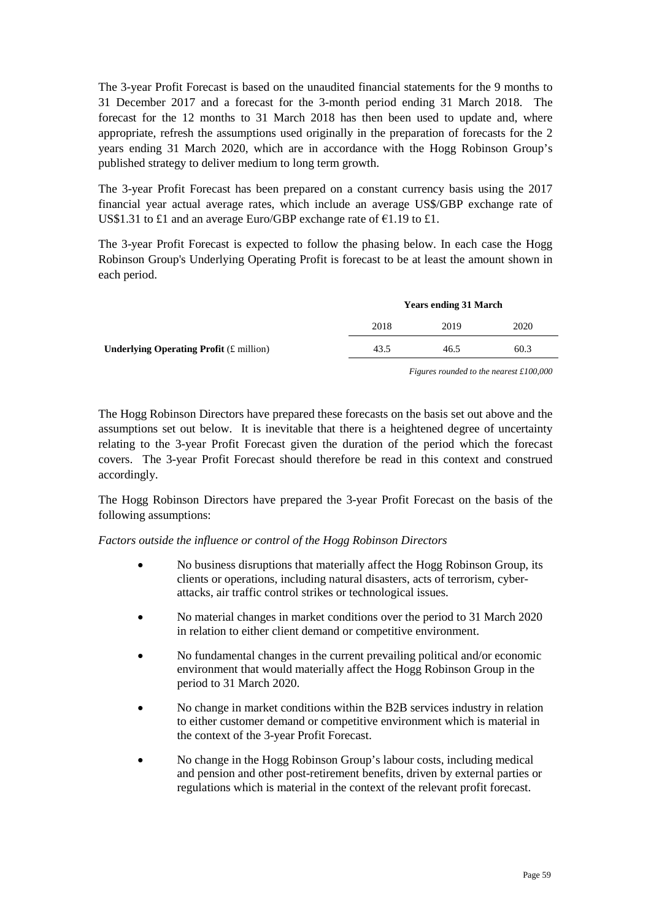The 3-year Profit Forecast is based on the unaudited financial statements for the 9 months to 31 December 2017 and a forecast for the 3-month period ending 31 March 2018. The forecast for the 12 months to 31 March 2018 has then been used to update and, where appropriate, refresh the assumptions used originally in the preparation of forecasts for the 2 years ending 31 March 2020, which are in accordance with the Hogg Robinson Group's published strategy to deliver medium to long term growth.

The 3-year Profit Forecast has been prepared on a constant currency basis using the 2017 financial year actual average rates, which include an average US\$/GBP exchange rate of US\$1.31 to £1 and an average Euro/GBP exchange rate of  $\epsilon$ 1.19 to £1.

The 3-year Profit Forecast is expected to follow the phasing below. In each case the Hogg Robinson Group's Underlying Operating Profit is forecast to be at least the amount shown in each period.

|                                                          | <b>Years ending 31 March</b> |      |      |
|----------------------------------------------------------|------------------------------|------|------|
|                                                          | 2018                         | 2019 | 2020 |
| <b>Underlying Operating Profit</b> $(E \text{ million})$ | 43.5                         | 46.5 | 60.3 |
|                                                          |                              |      |      |

*Figures rounded to the nearest £100,000* 

The Hogg Robinson Directors have prepared these forecasts on the basis set out above and the assumptions set out below. It is inevitable that there is a heightened degree of uncertainty relating to the 3-year Profit Forecast given the duration of the period which the forecast covers. The 3-year Profit Forecast should therefore be read in this context and construed accordingly.

The Hogg Robinson Directors have prepared the 3-year Profit Forecast on the basis of the following assumptions:

*Factors outside the influence or control of the Hogg Robinson Directors* 

- No business disruptions that materially affect the Hogg Robinson Group, its clients or operations, including natural disasters, acts of terrorism, cyberattacks, air traffic control strikes or technological issues.
- No material changes in market conditions over the period to 31 March 2020 in relation to either client demand or competitive environment.
- No fundamental changes in the current prevailing political and/or economic environment that would materially affect the Hogg Robinson Group in the period to 31 March 2020.
- No change in market conditions within the B2B services industry in relation to either customer demand or competitive environment which is material in the context of the 3-year Profit Forecast.
- No change in the Hogg Robinson Group's labour costs, including medical and pension and other post-retirement benefits, driven by external parties or regulations which is material in the context of the relevant profit forecast.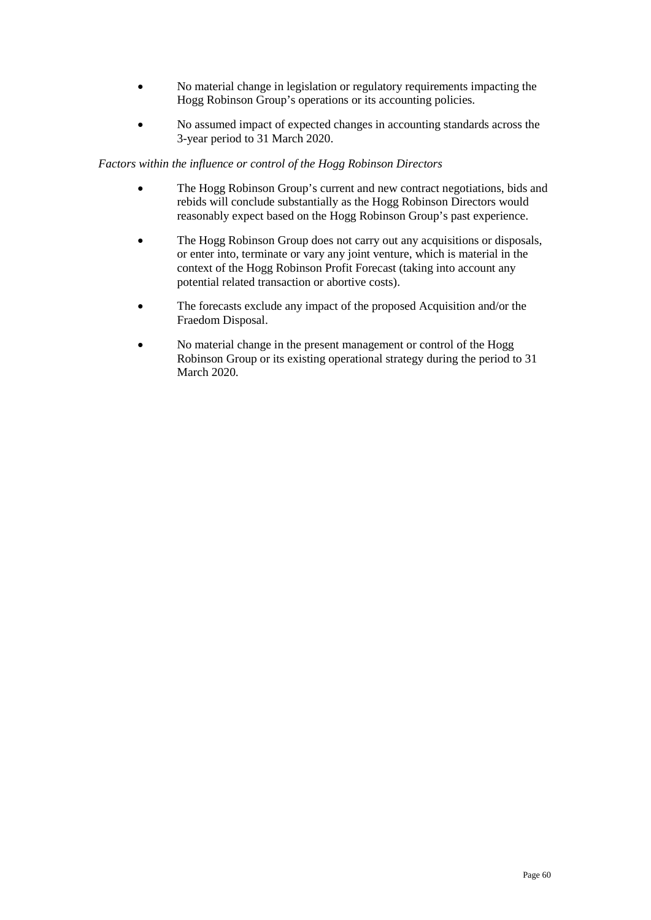- No material change in legislation or regulatory requirements impacting the Hogg Robinson Group's operations or its accounting policies.
- No assumed impact of expected changes in accounting standards across the 3-year period to 31 March 2020.

## *Factors within the influence or control of the Hogg Robinson Directors*

- The Hogg Robinson Group's current and new contract negotiations, bids and rebids will conclude substantially as the Hogg Robinson Directors would reasonably expect based on the Hogg Robinson Group's past experience.
- The Hogg Robinson Group does not carry out any acquisitions or disposals, or enter into, terminate or vary any joint venture, which is material in the context of the Hogg Robinson Profit Forecast (taking into account any potential related transaction or abortive costs).
- The forecasts exclude any impact of the proposed Acquisition and/or the Fraedom Disposal.
- No material change in the present management or control of the Hogg Robinson Group or its existing operational strategy during the period to 31 March 2020.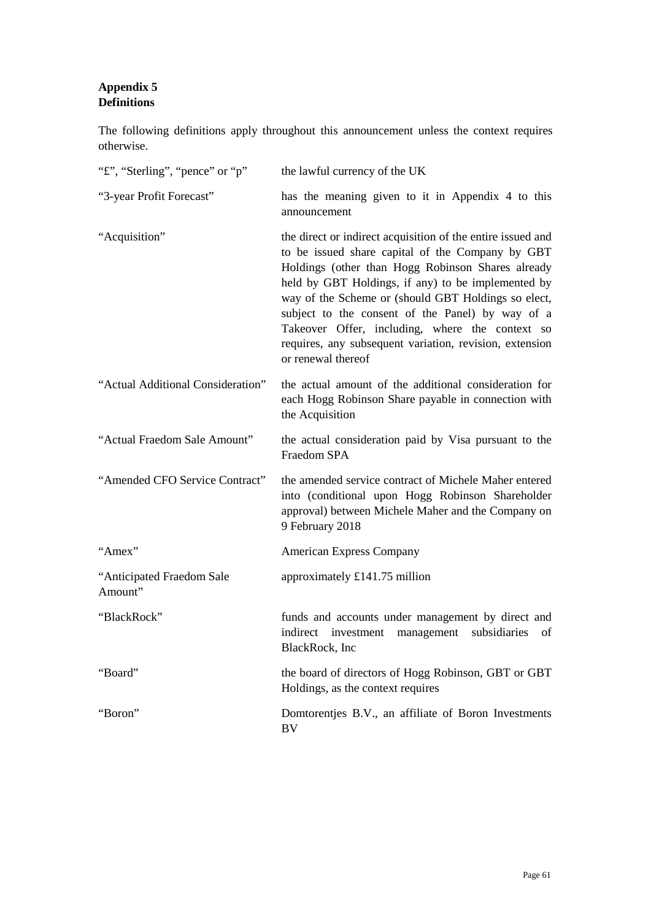# **Appendix 5 Definitions**

The following definitions apply throughout this announcement unless the context requires otherwise.

| "f", "Sterling", "pence" or "p"      | the lawful currency of the UK                                                                                                                                                                                                                                                                                                                                                                                                                                             |
|--------------------------------------|---------------------------------------------------------------------------------------------------------------------------------------------------------------------------------------------------------------------------------------------------------------------------------------------------------------------------------------------------------------------------------------------------------------------------------------------------------------------------|
| "3-year Profit Forecast"             | has the meaning given to it in Appendix 4 to this<br>announcement                                                                                                                                                                                                                                                                                                                                                                                                         |
| "Acquisition"                        | the direct or indirect acquisition of the entire issued and<br>to be issued share capital of the Company by GBT<br>Holdings (other than Hogg Robinson Shares already<br>held by GBT Holdings, if any) to be implemented by<br>way of the Scheme or (should GBT Holdings so elect,<br>subject to the consent of the Panel) by way of a<br>Takeover Offer, including, where the context so<br>requires, any subsequent variation, revision, extension<br>or renewal thereof |
| "Actual Additional Consideration"    | the actual amount of the additional consideration for<br>each Hogg Robinson Share payable in connection with<br>the Acquisition                                                                                                                                                                                                                                                                                                                                           |
| "Actual Fraedom Sale Amount"         | the actual consideration paid by Visa pursuant to the<br><b>Fraedom SPA</b>                                                                                                                                                                                                                                                                                                                                                                                               |
| "Amended CFO Service Contract"       | the amended service contract of Michele Maher entered<br>into (conditional upon Hogg Robinson Shareholder<br>approval) between Michele Maher and the Company on<br>9 February 2018                                                                                                                                                                                                                                                                                        |
| "Amex"                               | <b>American Express Company</b>                                                                                                                                                                                                                                                                                                                                                                                                                                           |
| "Anticipated Fraedom Sale<br>Amount" | approximately £141.75 million                                                                                                                                                                                                                                                                                                                                                                                                                                             |
| "BlackRock"                          | funds and accounts under management by direct and<br>management subsidiaries<br>indirect<br>investment<br>of<br>BlackRock, Inc                                                                                                                                                                                                                                                                                                                                            |
| "Board"                              | the board of directors of Hogg Robinson, GBT or GBT<br>Holdings, as the context requires                                                                                                                                                                                                                                                                                                                                                                                  |
| "Boron"                              | Domtorentjes B.V., an affiliate of Boron Investments<br><b>BV</b>                                                                                                                                                                                                                                                                                                                                                                                                         |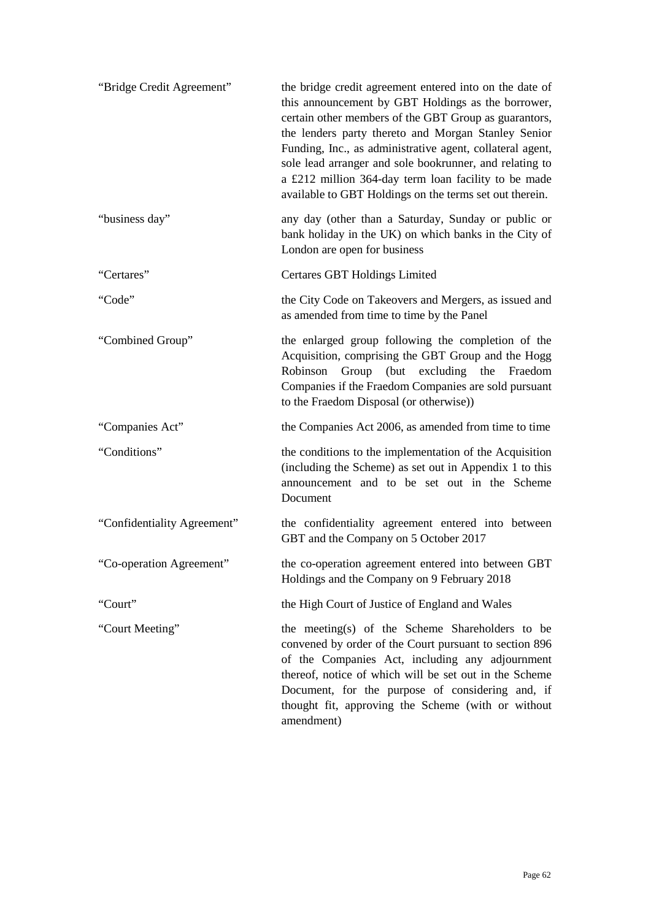| "Bridge Credit Agreement"   | the bridge credit agreement entered into on the date of<br>this announcement by GBT Holdings as the borrower,<br>certain other members of the GBT Group as guarantors,<br>the lenders party thereto and Morgan Stanley Senior<br>Funding, Inc., as administrative agent, collateral agent,<br>sole lead arranger and sole bookrunner, and relating to<br>a £212 million 364-day term loan facility to be made<br>available to GBT Holdings on the terms set out therein. |
|-----------------------------|--------------------------------------------------------------------------------------------------------------------------------------------------------------------------------------------------------------------------------------------------------------------------------------------------------------------------------------------------------------------------------------------------------------------------------------------------------------------------|
| "business day"              | any day (other than a Saturday, Sunday or public or<br>bank holiday in the UK) on which banks in the City of<br>London are open for business                                                                                                                                                                                                                                                                                                                             |
| "Certares"                  | Certares GBT Holdings Limited                                                                                                                                                                                                                                                                                                                                                                                                                                            |
| "Code"                      | the City Code on Takeovers and Mergers, as issued and<br>as amended from time to time by the Panel                                                                                                                                                                                                                                                                                                                                                                       |
| "Combined Group"            | the enlarged group following the completion of the<br>Acquisition, comprising the GBT Group and the Hogg<br>Robinson Group (but excluding the Fraedom<br>Companies if the Fraedom Companies are sold pursuant<br>to the Fraedom Disposal (or otherwise))                                                                                                                                                                                                                 |
| "Companies Act"             | the Companies Act 2006, as amended from time to time                                                                                                                                                                                                                                                                                                                                                                                                                     |
| "Conditions"                | the conditions to the implementation of the Acquisition<br>(including the Scheme) as set out in Appendix 1 to this<br>announcement and to be set out in the Scheme<br>Document                                                                                                                                                                                                                                                                                           |
| "Confidentiality Agreement" | the confidentiality agreement entered into between<br>GBT and the Company on 5 October 2017                                                                                                                                                                                                                                                                                                                                                                              |
| "Co-operation Agreement"    | the co-operation agreement entered into between GBT<br>Holdings and the Company on 9 February 2018                                                                                                                                                                                                                                                                                                                                                                       |
| "Court"                     | the High Court of Justice of England and Wales                                                                                                                                                                                                                                                                                                                                                                                                                           |
| "Court Meeting"             | the meeting(s) of the Scheme Shareholders to be<br>convened by order of the Court pursuant to section 896<br>of the Companies Act, including any adjournment<br>thereof, notice of which will be set out in the Scheme<br>Document, for the purpose of considering and, if<br>thought fit, approving the Scheme (with or without<br>amendment)                                                                                                                           |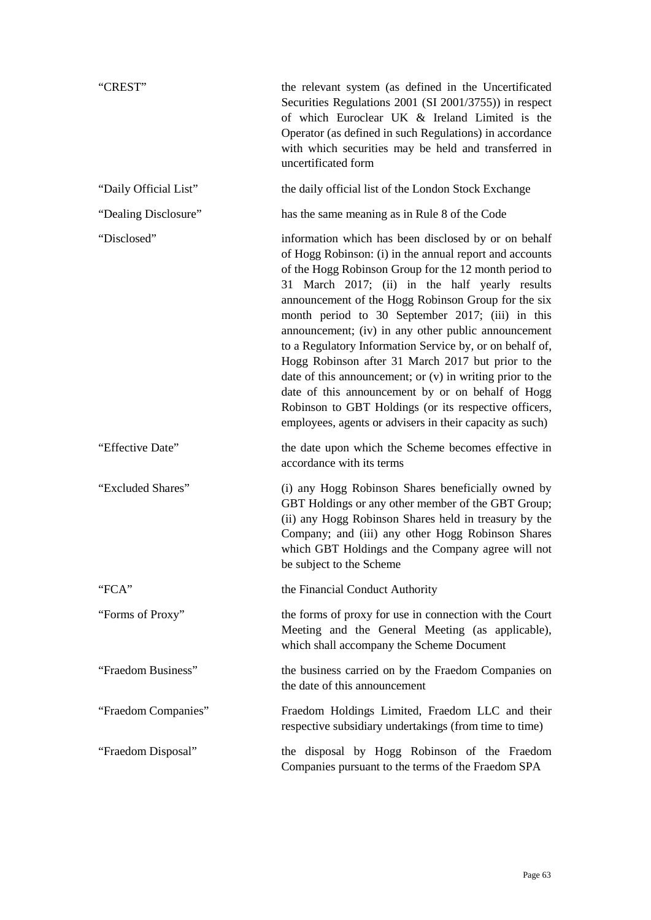| "CREST"               | the relevant system (as defined in the Uncertificated<br>Securities Regulations 2001 (SI 2001/3755)) in respect<br>of which Euroclear UK & Ireland Limited is the<br>Operator (as defined in such Regulations) in accordance<br>with which securities may be held and transferred in<br>uncertificated form                                                                                                                                                                                                                                                                                                                                                                                                                                             |
|-----------------------|---------------------------------------------------------------------------------------------------------------------------------------------------------------------------------------------------------------------------------------------------------------------------------------------------------------------------------------------------------------------------------------------------------------------------------------------------------------------------------------------------------------------------------------------------------------------------------------------------------------------------------------------------------------------------------------------------------------------------------------------------------|
| "Daily Official List" | the daily official list of the London Stock Exchange                                                                                                                                                                                                                                                                                                                                                                                                                                                                                                                                                                                                                                                                                                    |
| "Dealing Disclosure"  | has the same meaning as in Rule 8 of the Code                                                                                                                                                                                                                                                                                                                                                                                                                                                                                                                                                                                                                                                                                                           |
| "Disclosed"           | information which has been disclosed by or on behalf<br>of Hogg Robinson: (i) in the annual report and accounts<br>of the Hogg Robinson Group for the 12 month period to<br>31 March 2017; (ii) in the half yearly results<br>announcement of the Hogg Robinson Group for the six<br>month period to 30 September 2017; (iii) in this<br>announcement; (iv) in any other public announcement<br>to a Regulatory Information Service by, or on behalf of,<br>Hogg Robinson after 31 March 2017 but prior to the<br>date of this announcement; or $(v)$ in writing prior to the<br>date of this announcement by or on behalf of Hogg<br>Robinson to GBT Holdings (or its respective officers,<br>employees, agents or advisers in their capacity as such) |
| "Effective Date"      | the date upon which the Scheme becomes effective in<br>accordance with its terms                                                                                                                                                                                                                                                                                                                                                                                                                                                                                                                                                                                                                                                                        |
| "Excluded Shares"     | (i) any Hogg Robinson Shares beneficially owned by<br>GBT Holdings or any other member of the GBT Group;<br>(ii) any Hogg Robinson Shares held in treasury by the<br>Company; and (iii) any other Hogg Robinson Shares<br>which GBT Holdings and the Company agree will not<br>be subject to the Scheme                                                                                                                                                                                                                                                                                                                                                                                                                                                 |
| "FCA"                 | the Financial Conduct Authority                                                                                                                                                                                                                                                                                                                                                                                                                                                                                                                                                                                                                                                                                                                         |
| "Forms of Proxy"      | the forms of proxy for use in connection with the Court<br>Meeting and the General Meeting (as applicable),<br>which shall accompany the Scheme Document                                                                                                                                                                                                                                                                                                                                                                                                                                                                                                                                                                                                |
| "Fraedom Business"    | the business carried on by the Fraedom Companies on<br>the date of this announcement                                                                                                                                                                                                                                                                                                                                                                                                                                                                                                                                                                                                                                                                    |
| "Fraedom Companies"   | Fraedom Holdings Limited, Fraedom LLC and their<br>respective subsidiary undertakings (from time to time)                                                                                                                                                                                                                                                                                                                                                                                                                                                                                                                                                                                                                                               |
| "Fraedom Disposal"    | the disposal by Hogg Robinson of the Fraedom<br>Companies pursuant to the terms of the Fraedom SPA                                                                                                                                                                                                                                                                                                                                                                                                                                                                                                                                                                                                                                                      |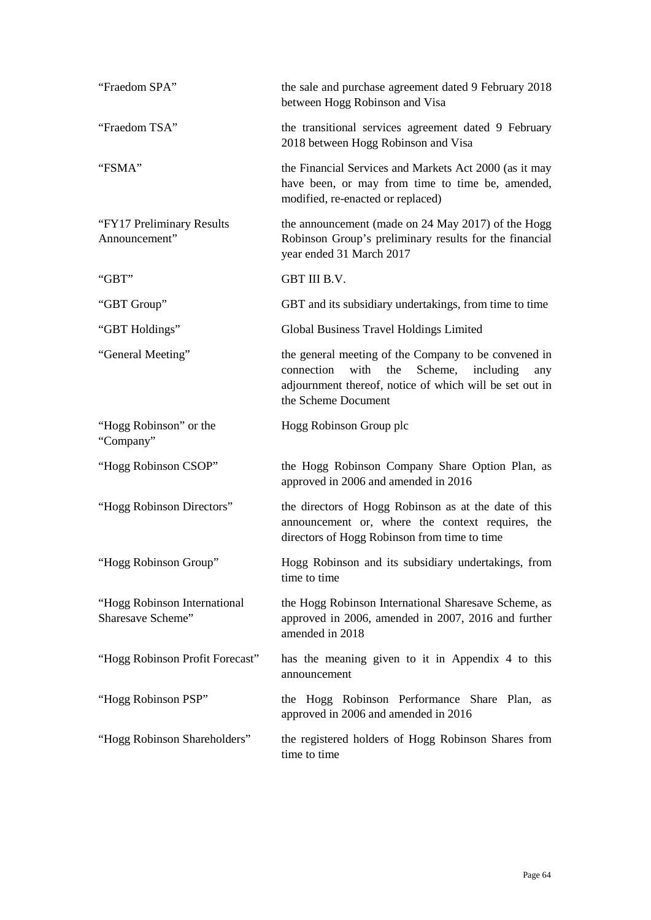| "Fraedom SPA"                                     | the sale and purchase agreement dated 9 February 2018<br>between Hogg Robinson and Visa                                                                                                      |
|---------------------------------------------------|----------------------------------------------------------------------------------------------------------------------------------------------------------------------------------------------|
| "Fraedom TSA"                                     | the transitional services agreement dated 9 February<br>2018 between Hogg Robinson and Visa                                                                                                  |
| "FSMA"                                            | the Financial Services and Markets Act 2000 (as it may<br>have been, or may from time to time be, amended,<br>modified, re-enacted or replaced)                                              |
| "FY17 Preliminary Results"<br>Announcement"       | the announcement (made on 24 May 2017) of the Hogg<br>Robinson Group's preliminary results for the financial<br>year ended 31 March 2017                                                     |
| "GBT"                                             | GBT III B.V.                                                                                                                                                                                 |
| "GBT Group"                                       | GBT and its subsidiary undertakings, from time to time                                                                                                                                       |
| "GBT Holdings"                                    | Global Business Travel Holdings Limited                                                                                                                                                      |
| "General Meeting"                                 | the general meeting of the Company to be convened in<br>connection<br>with the<br>Scheme, including<br>any<br>adjournment thereof, notice of which will be set out in<br>the Scheme Document |
| "Hogg Robinson" or the<br>"Company"               | Hogg Robinson Group plc                                                                                                                                                                      |
| "Hogg Robinson CSOP"                              | the Hogg Robinson Company Share Option Plan, as<br>approved in 2006 and amended in 2016                                                                                                      |
| "Hogg Robinson Directors"                         | the directors of Hogg Robinson as at the date of this<br>announcement or, where the context requires, the<br>directors of Hogg Robinson from time to time                                    |
| "Hogg Robinson Group"                             | Hogg Robinson and its subsidiary undertakings, from<br>time to time                                                                                                                          |
| "Hogg Robinson International<br>Sharesave Scheme" | the Hogg Robinson International Sharesave Scheme, as<br>approved in 2006, amended in 2007, 2016 and further<br>amended in 2018                                                               |
| "Hogg Robinson Profit Forecast"                   | has the meaning given to it in Appendix 4 to this<br>announcement                                                                                                                            |
| "Hogg Robinson PSP"                               | the Hogg Robinson Performance Share Plan, as<br>approved in 2006 and amended in 2016                                                                                                         |
| "Hogg Robinson Shareholders"                      | the registered holders of Hogg Robinson Shares from<br>time to time                                                                                                                          |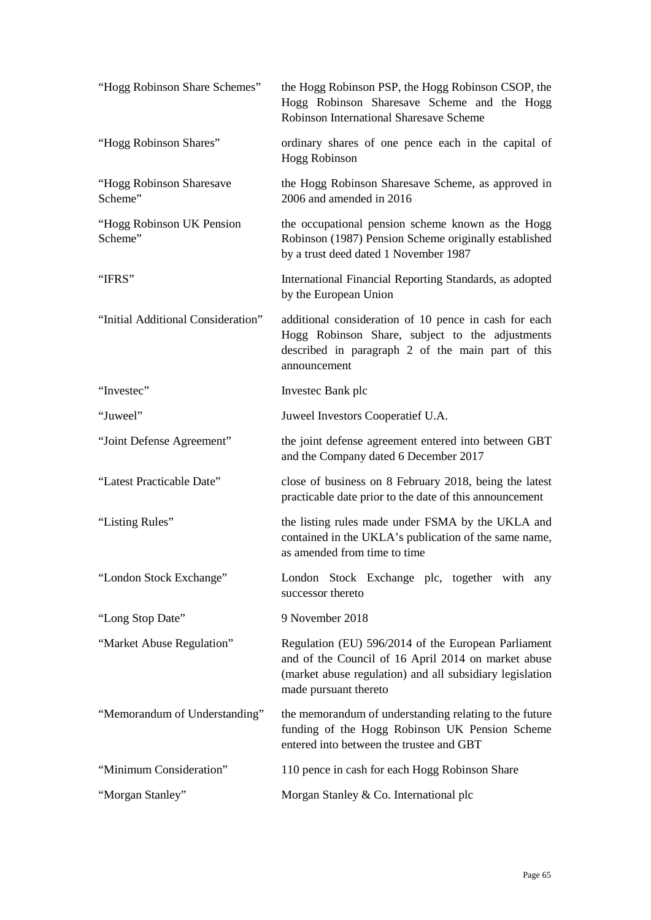| "Hogg Robinson Share Schemes"        | the Hogg Robinson PSP, the Hogg Robinson CSOP, the<br>Hogg Robinson Sharesave Scheme and the Hogg<br>Robinson International Sharesave Scheme                                                    |
|--------------------------------------|-------------------------------------------------------------------------------------------------------------------------------------------------------------------------------------------------|
| "Hogg Robinson Shares"               | ordinary shares of one pence each in the capital of<br><b>Hogg Robinson</b>                                                                                                                     |
| "Hogg Robinson Sharesave<br>Scheme"  | the Hogg Robinson Sharesave Scheme, as approved in<br>2006 and amended in 2016                                                                                                                  |
| "Hogg Robinson UK Pension<br>Scheme" | the occupational pension scheme known as the Hogg<br>Robinson (1987) Pension Scheme originally established<br>by a trust deed dated 1 November 1987                                             |
| "IFRS"                               | International Financial Reporting Standards, as adopted<br>by the European Union                                                                                                                |
| "Initial Additional Consideration"   | additional consideration of 10 pence in cash for each<br>Hogg Robinson Share, subject to the adjustments<br>described in paragraph 2 of the main part of this<br>announcement                   |
| "Investec"                           | Invested Bank plc                                                                                                                                                                               |
| "Juweel"                             | Juweel Investors Cooperatief U.A.                                                                                                                                                               |
| "Joint Defense Agreement"            | the joint defense agreement entered into between GBT<br>and the Company dated 6 December 2017                                                                                                   |
| "Latest Practicable Date"            | close of business on 8 February 2018, being the latest<br>practicable date prior to the date of this announcement                                                                               |
| "Listing Rules"                      | the listing rules made under FSMA by the UKLA and<br>contained in the UKLA's publication of the same name,<br>as amended from time to time                                                      |
| "London Stock Exchange"              | London Stock Exchange plc, together with any<br>successor thereto                                                                                                                               |
| "Long Stop Date"                     | 9 November 2018                                                                                                                                                                                 |
| "Market Abuse Regulation"            | Regulation (EU) 596/2014 of the European Parliament<br>and of the Council of 16 April 2014 on market abuse<br>(market abuse regulation) and all subsidiary legislation<br>made pursuant thereto |
| "Memorandum of Understanding"        | the memorandum of understanding relating to the future<br>funding of the Hogg Robinson UK Pension Scheme<br>entered into between the trustee and GBT                                            |
| "Minimum Consideration"              | 110 pence in cash for each Hogg Robinson Share                                                                                                                                                  |
| "Morgan Stanley"                     | Morgan Stanley & Co. International plc                                                                                                                                                          |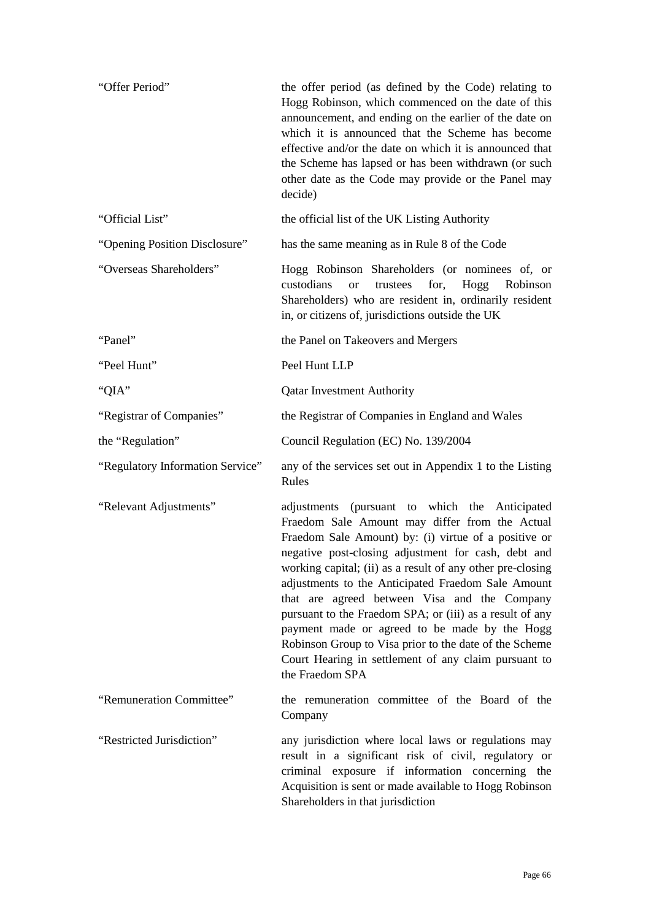| "Offer Period"                   | the offer period (as defined by the Code) relating to<br>Hogg Robinson, which commenced on the date of this<br>announcement, and ending on the earlier of the date on<br>which it is announced that the Scheme has become<br>effective and/or the date on which it is announced that<br>the Scheme has lapsed or has been withdrawn (or such<br>other date as the Code may provide or the Panel may<br>decide)                                                                                                                                                                                                                        |
|----------------------------------|---------------------------------------------------------------------------------------------------------------------------------------------------------------------------------------------------------------------------------------------------------------------------------------------------------------------------------------------------------------------------------------------------------------------------------------------------------------------------------------------------------------------------------------------------------------------------------------------------------------------------------------|
| "Official List"                  | the official list of the UK Listing Authority                                                                                                                                                                                                                                                                                                                                                                                                                                                                                                                                                                                         |
| "Opening Position Disclosure"    | has the same meaning as in Rule 8 of the Code                                                                                                                                                                                                                                                                                                                                                                                                                                                                                                                                                                                         |
| "Overseas Shareholders"          | Hogg Robinson Shareholders (or nominees of, or<br>custodians<br>trustees<br>for,<br>Hogg<br><sub>or</sub><br>Robinson<br>Shareholders) who are resident in, ordinarily resident<br>in, or citizens of, jurisdictions outside the UK                                                                                                                                                                                                                                                                                                                                                                                                   |
| "Panel"                          | the Panel on Takeovers and Mergers                                                                                                                                                                                                                                                                                                                                                                                                                                                                                                                                                                                                    |
| "Peel Hunt"                      | Peel Hunt LLP                                                                                                                                                                                                                                                                                                                                                                                                                                                                                                                                                                                                                         |
| "QIA"                            | <b>Qatar Investment Authority</b>                                                                                                                                                                                                                                                                                                                                                                                                                                                                                                                                                                                                     |
| "Registrar of Companies"         | the Registrar of Companies in England and Wales                                                                                                                                                                                                                                                                                                                                                                                                                                                                                                                                                                                       |
| the "Regulation"                 | Council Regulation (EC) No. 139/2004                                                                                                                                                                                                                                                                                                                                                                                                                                                                                                                                                                                                  |
| "Regulatory Information Service" | any of the services set out in Appendix 1 to the Listing<br>Rules                                                                                                                                                                                                                                                                                                                                                                                                                                                                                                                                                                     |
| "Relevant Adjustments"           | adjustments (pursuant to which the Anticipated<br>Fraedom Sale Amount may differ from the Actual<br>Fraedom Sale Amount) by: (i) virtue of a positive or<br>negative post-closing adjustment for cash, debt and<br>working capital; (ii) as a result of any other pre-closing<br>adjustments to the Anticipated Fraedom Sale Amount<br>that are agreed between Visa and the Company<br>pursuant to the Fraedom SPA; or (iii) as a result of any<br>payment made or agreed to be made by the Hogg<br>Robinson Group to Visa prior to the date of the Scheme<br>Court Hearing in settlement of any claim pursuant to<br>the Fraedom SPA |
| "Remuneration Committee"         | the remuneration committee of the Board of the<br>Company                                                                                                                                                                                                                                                                                                                                                                                                                                                                                                                                                                             |
| "Restricted Jurisdiction"        | any jurisdiction where local laws or regulations may<br>result in a significant risk of civil, regulatory or<br>criminal exposure if information concerning the<br>Acquisition is sent or made available to Hogg Robinson<br>Shareholders in that jurisdiction                                                                                                                                                                                                                                                                                                                                                                        |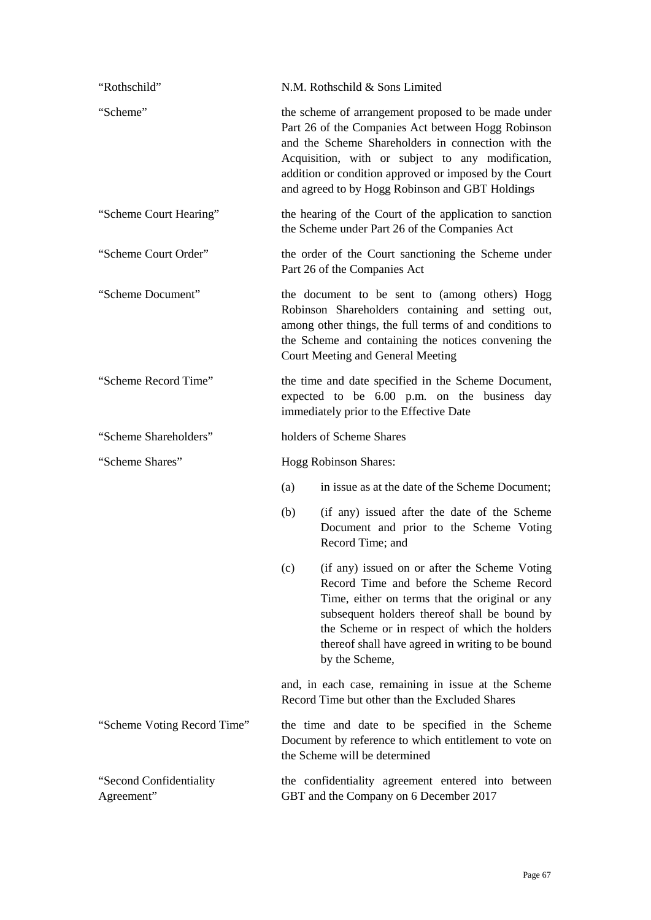| "Rothschild"                          |     | N.M. Rothschild & Sons Limited                                                                                                                                                                                                                                                                                                    |
|---------------------------------------|-----|-----------------------------------------------------------------------------------------------------------------------------------------------------------------------------------------------------------------------------------------------------------------------------------------------------------------------------------|
| "Scheme"                              |     | the scheme of arrangement proposed to be made under<br>Part 26 of the Companies Act between Hogg Robinson<br>and the Scheme Shareholders in connection with the<br>Acquisition, with or subject to any modification,<br>addition or condition approved or imposed by the Court<br>and agreed to by Hogg Robinson and GBT Holdings |
| "Scheme Court Hearing"                |     | the hearing of the Court of the application to sanction<br>the Scheme under Part 26 of the Companies Act                                                                                                                                                                                                                          |
| "Scheme Court Order"                  |     | the order of the Court sanctioning the Scheme under<br>Part 26 of the Companies Act                                                                                                                                                                                                                                               |
| "Scheme Document"                     |     | the document to be sent to (among others) Hogg<br>Robinson Shareholders containing and setting out,<br>among other things, the full terms of and conditions to<br>the Scheme and containing the notices convening the<br>Court Meeting and General Meeting                                                                        |
| "Scheme Record Time"                  |     | the time and date specified in the Scheme Document,<br>expected to be 6.00 p.m. on the business day<br>immediately prior to the Effective Date                                                                                                                                                                                    |
| "Scheme Shareholders"                 |     | holders of Scheme Shares                                                                                                                                                                                                                                                                                                          |
| "Scheme Shares"                       |     | Hogg Robinson Shares:                                                                                                                                                                                                                                                                                                             |
|                                       | (a) | in issue as at the date of the Scheme Document;                                                                                                                                                                                                                                                                                   |
|                                       | (b) | (if any) issued after the date of the Scheme<br>Document and prior to the Scheme Voting<br>Record Time; and                                                                                                                                                                                                                       |
|                                       | (c) | (if any) issued on or after the Scheme Voting<br>Record Time and before the Scheme Record<br>Time, either on terms that the original or any<br>subsequent holders thereof shall be bound by<br>the Scheme or in respect of which the holders<br>thereof shall have agreed in writing to be bound<br>by the Scheme,                |
|                                       |     | and, in each case, remaining in issue at the Scheme<br>Record Time but other than the Excluded Shares                                                                                                                                                                                                                             |
| "Scheme Voting Record Time"           |     | the time and date to be specified in the Scheme<br>Document by reference to which entitlement to vote on<br>the Scheme will be determined                                                                                                                                                                                         |
| "Second Confidentiality<br>Agreement" |     | the confidentiality agreement entered into between<br>GBT and the Company on 6 December 2017                                                                                                                                                                                                                                      |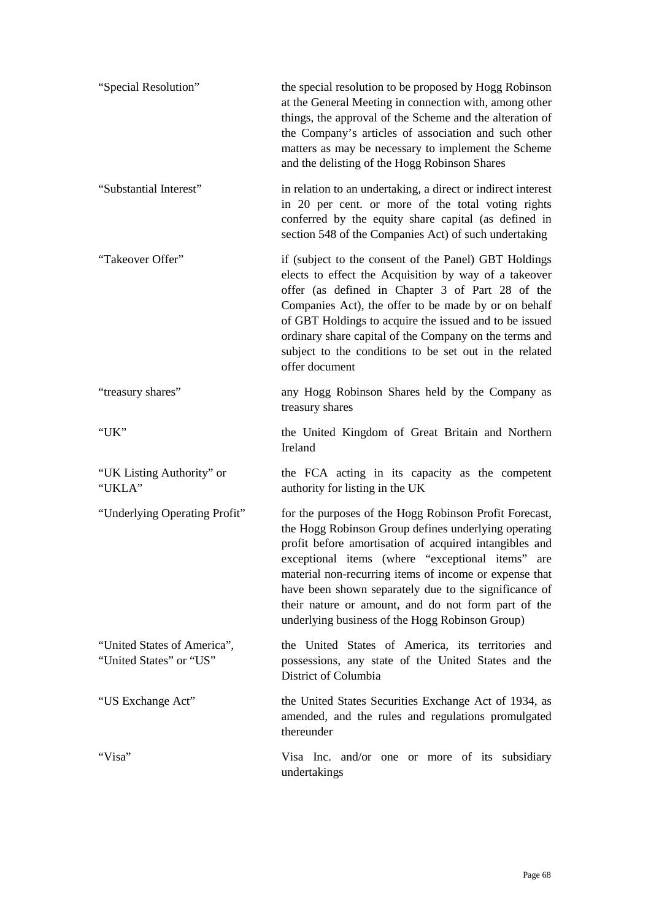| "Special Resolution"                                   | the special resolution to be proposed by Hogg Robinson<br>at the General Meeting in connection with, among other<br>things, the approval of the Scheme and the alteration of<br>the Company's articles of association and such other<br>matters as may be necessary to implement the Scheme<br>and the delisting of the Hogg Robinson Shares                                                                                                              |
|--------------------------------------------------------|-----------------------------------------------------------------------------------------------------------------------------------------------------------------------------------------------------------------------------------------------------------------------------------------------------------------------------------------------------------------------------------------------------------------------------------------------------------|
| "Substantial Interest"                                 | in relation to an undertaking, a direct or indirect interest<br>in 20 per cent. or more of the total voting rights<br>conferred by the equity share capital (as defined in<br>section 548 of the Companies Act) of such undertaking                                                                                                                                                                                                                       |
| "Takeover Offer"                                       | if (subject to the consent of the Panel) GBT Holdings<br>elects to effect the Acquisition by way of a takeover<br>offer (as defined in Chapter 3 of Part 28 of the<br>Companies Act), the offer to be made by or on behalf<br>of GBT Holdings to acquire the issued and to be issued<br>ordinary share capital of the Company on the terms and<br>subject to the conditions to be set out in the related<br>offer document                                |
| "treasury shares"                                      | any Hogg Robinson Shares held by the Company as<br>treasury shares                                                                                                                                                                                                                                                                                                                                                                                        |
| "UK"                                                   | the United Kingdom of Great Britain and Northern<br>Ireland                                                                                                                                                                                                                                                                                                                                                                                               |
| "UK Listing Authority" or<br>"UKLA"                    | the FCA acting in its capacity as the competent<br>authority for listing in the UK                                                                                                                                                                                                                                                                                                                                                                        |
| "Underlying Operating Profit"                          | for the purposes of the Hogg Robinson Profit Forecast,<br>the Hogg Robinson Group defines underlying operating<br>profit before amortisation of acquired intangibles and<br>exceptional items (where "exceptional items" are<br>material non-recurring items of income or expense that<br>have been shown separately due to the significance of<br>their nature or amount, and do not form part of the<br>underlying business of the Hogg Robinson Group) |
| "United States of America",<br>"United States" or "US" | the United States of America, its territories and<br>possessions, any state of the United States and the<br>District of Columbia                                                                                                                                                                                                                                                                                                                          |
| "US Exchange Act"                                      | the United States Securities Exchange Act of 1934, as<br>amended, and the rules and regulations promulgated<br>thereunder                                                                                                                                                                                                                                                                                                                                 |
| "Visa"                                                 | Visa Inc. and/or one or more of its subsidiary<br>undertakings                                                                                                                                                                                                                                                                                                                                                                                            |